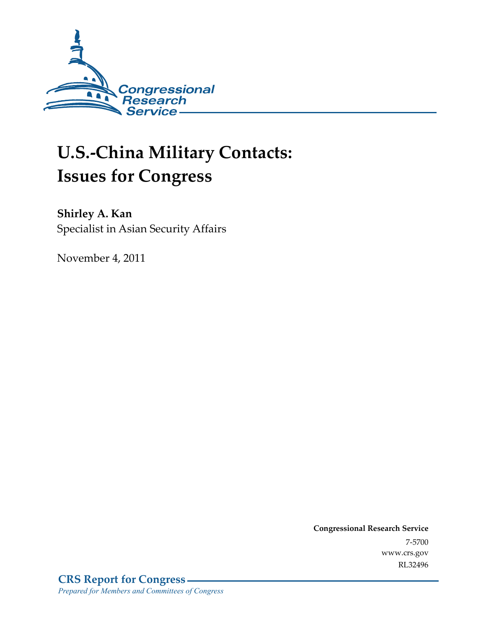

# **U.S.-China Military Contacts: Issues for Congress**

**Shirley A. Kan**  Specialist in Asian Security Affairs

November 4, 2011

**Congressional Research Service**  7-5700 www.crs.gov RL32496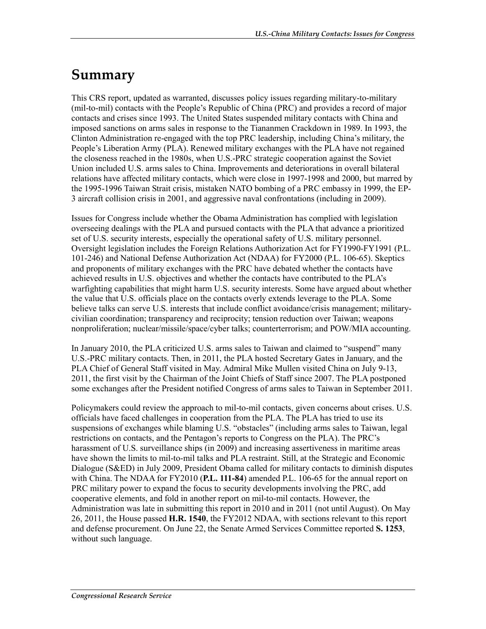## **Summary**

This CRS report, updated as warranted, discusses policy issues regarding military-to-military (mil-to-mil) contacts with the People's Republic of China (PRC) and provides a record of major contacts and crises since 1993. The United States suspended military contacts with China and imposed sanctions on arms sales in response to the Tiananmen Crackdown in 1989. In 1993, the Clinton Administration re-engaged with the top PRC leadership, including China's military, the People's Liberation Army (PLA). Renewed military exchanges with the PLA have not regained the closeness reached in the 1980s, when U.S.-PRC strategic cooperation against the Soviet Union included U.S. arms sales to China. Improvements and deteriorations in overall bilateral relations have affected military contacts, which were close in 1997-1998 and 2000, but marred by the 1995-1996 Taiwan Strait crisis, mistaken NATO bombing of a PRC embassy in 1999, the EP-3 aircraft collision crisis in 2001, and aggressive naval confrontations (including in 2009).

Issues for Congress include whether the Obama Administration has complied with legislation overseeing dealings with the PLA and pursued contacts with the PLA that advance a prioritized set of U.S. security interests, especially the operational safety of U.S. military personnel. Oversight legislation includes the Foreign Relations Authorization Act for FY1990-FY1991 (P.L. 101-246) and National Defense Authorization Act (NDAA) for FY2000 (P.L. 106-65). Skeptics and proponents of military exchanges with the PRC have debated whether the contacts have achieved results in U.S. objectives and whether the contacts have contributed to the PLA's warfighting capabilities that might harm U.S. security interests. Some have argued about whether the value that U.S. officials place on the contacts overly extends leverage to the PLA. Some believe talks can serve U.S. interests that include conflict avoidance/crisis management; militarycivilian coordination; transparency and reciprocity; tension reduction over Taiwan; weapons nonproliferation; nuclear/missile/space/cyber talks; counterterrorism; and POW/MIA accounting.

In January 2010, the PLA criticized U.S. arms sales to Taiwan and claimed to "suspend" many U.S.-PRC military contacts. Then, in 2011, the PLA hosted Secretary Gates in January, and the PLA Chief of General Staff visited in May. Admiral Mike Mullen visited China on July 9-13, 2011, the first visit by the Chairman of the Joint Chiefs of Staff since 2007. The PLA postponed some exchanges after the President notified Congress of arms sales to Taiwan in September 2011.

Policymakers could review the approach to mil-to-mil contacts, given concerns about crises. U.S. officials have faced challenges in cooperation from the PLA. The PLA has tried to use its suspensions of exchanges while blaming U.S. "obstacles" (including arms sales to Taiwan, legal restrictions on contacts, and the Pentagon's reports to Congress on the PLA). The PRC's harassment of U.S. surveillance ships (in 2009) and increasing assertiveness in maritime areas have shown the limits to mil-to-mil talks and PLA restraint. Still, at the Strategic and Economic Dialogue (S&ED) in July 2009, President Obama called for military contacts to diminish disputes with China. The NDAA for FY2010 (**P.L. 111-84**) amended P.L. 106-65 for the annual report on PRC military power to expand the focus to security developments involving the PRC, add cooperative elements, and fold in another report on mil-to-mil contacts. However, the Administration was late in submitting this report in 2010 and in 2011 (not until August). On May 26, 2011, the House passed **H.R. 1540**, the FY2012 NDAA, with sections relevant to this report and defense procurement. On June 22, the Senate Armed Services Committee reported **S. 1253**, without such language.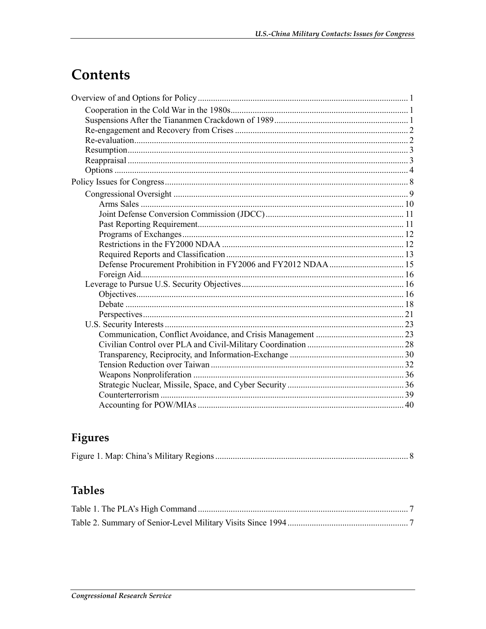## Contents

## Figures

|--|--|--|--|

## **Tables**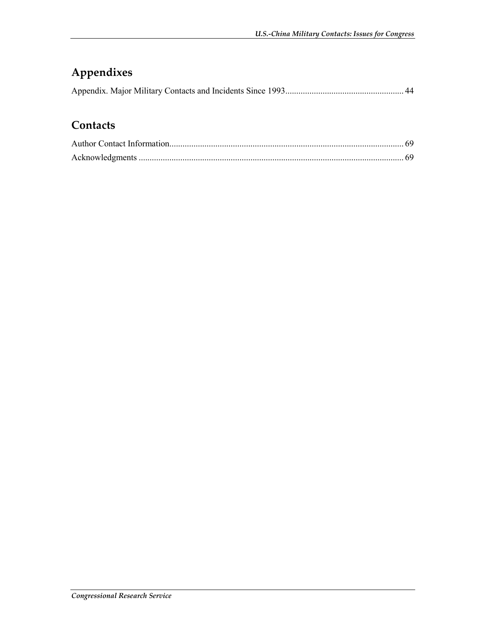## **Appendixes**

## **Contacts**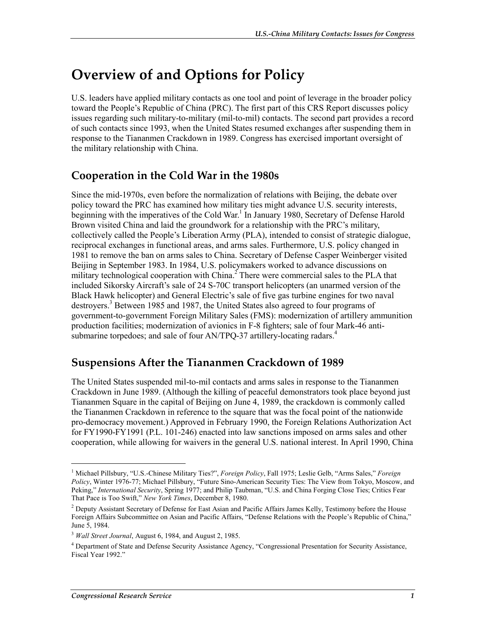## **Overview of and Options for Policy**

U.S. leaders have applied military contacts as one tool and point of leverage in the broader policy toward the People's Republic of China (PRC). The first part of this CRS Report discusses policy issues regarding such military-to-military (mil-to-mil) contacts. The second part provides a record of such contacts since 1993, when the United States resumed exchanges after suspending them in response to the Tiananmen Crackdown in 1989. Congress has exercised important oversight of the military relationship with China.

## **Cooperation in the Cold War in the 1980s**

Since the mid-1970s, even before the normalization of relations with Beijing, the debate over policy toward the PRC has examined how military ties might advance U.S. security interests, beginning with the imperatives of the Cold War.<sup>1</sup> In January 1980, Secretary of Defense Harold Brown visited China and laid the groundwork for a relationship with the PRC's military, collectively called the People's Liberation Army (PLA), intended to consist of strategic dialogue, reciprocal exchanges in functional areas, and arms sales. Furthermore, U.S. policy changed in 1981 to remove the ban on arms sales to China. Secretary of Defense Casper Weinberger visited Beijing in September 1983. In 1984, U.S. policymakers worked to advance discussions on military technological cooperation with China.<sup>2</sup> There were commercial sales to the PLA that included Sikorsky Aircraft's sale of 24 S-70C transport helicopters (an unarmed version of the Black Hawk helicopter) and General Electric's sale of five gas turbine engines for two naval destroyers.<sup>3</sup> Between 1985 and 1987, the United States also agreed to four programs of government-to-government Foreign Military Sales (FMS): modernization of artillery ammunition production facilities; modernization of avionics in F-8 fighters; sale of four Mark-46 antisubmarine torpedoes; and sale of four AN/TPQ-37 artillery-locating radars.<sup>4</sup>

### **Suspensions After the Tiananmen Crackdown of 1989**

The United States suspended mil-to-mil contacts and arms sales in response to the Tiananmen Crackdown in June 1989. (Although the killing of peaceful demonstrators took place beyond just Tiananmen Square in the capital of Beijing on June 4, 1989, the crackdown is commonly called the Tiananmen Crackdown in reference to the square that was the focal point of the nationwide pro-democracy movement.) Approved in February 1990, the Foreign Relations Authorization Act for FY1990-FY1991 (P.L. 101-246) enacted into law sanctions imposed on arms sales and other cooperation, while allowing for waivers in the general U.S. national interest. In April 1990, China

<sup>1</sup> Michael Pillsbury, "U.S.-Chinese Military Ties?", *Foreign Policy*, Fall 1975; Leslie Gelb, "Arms Sales," *Foreign Policy*, Winter 1976-77; Michael Pillsbury, "Future Sino-American Security Ties: The View from Tokyo, Moscow, and Peking," *International Security*, Spring 1977; and Philip Taubman, "U.S. and China Forging Close Ties; Critics Fear That Pace is Too Swift," *New York Times*, December 8, 1980.

<sup>&</sup>lt;sup>2</sup> Deputy Assistant Secretary of Defense for East Asian and Pacific Affairs James Kelly, Testimony before the House Foreign Affairs Subcommittee on Asian and Pacific Affairs, "Defense Relations with the People's Republic of China," June 5, 1984.

<sup>3</sup> *Wall Street Journal*, August 6, 1984, and August 2, 1985.

<sup>4</sup> Department of State and Defense Security Assistance Agency, "Congressional Presentation for Security Assistance, Fiscal Year 1992."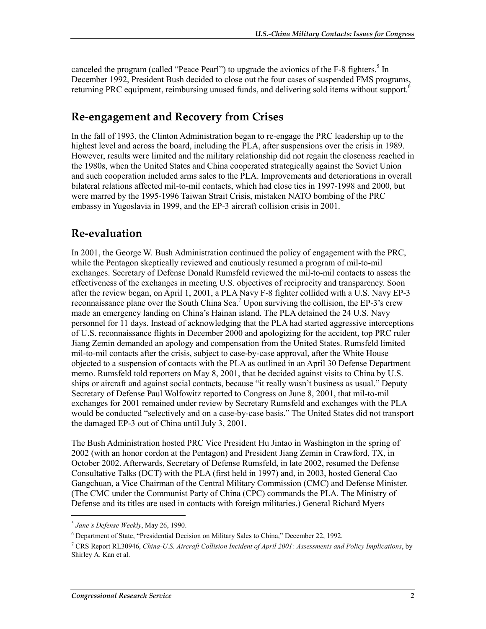canceled the program (called "Peace Pearl") to upgrade the avionics of the F-8 fighters.<sup>5</sup> In December 1992, President Bush decided to close out the four cases of suspended FMS programs, returning PRC equipment, reimbursing unused funds, and delivering sold items without support.<sup>6</sup>

### **Re-engagement and Recovery from Crises**

In the fall of 1993, the Clinton Administration began to re-engage the PRC leadership up to the highest level and across the board, including the PLA, after suspensions over the crisis in 1989. However, results were limited and the military relationship did not regain the closeness reached in the 1980s, when the United States and China cooperated strategically against the Soviet Union and such cooperation included arms sales to the PLA. Improvements and deteriorations in overall bilateral relations affected mil-to-mil contacts, which had close ties in 1997-1998 and 2000, but were marred by the 1995-1996 Taiwan Strait Crisis, mistaken NATO bombing of the PRC embassy in Yugoslavia in 1999, and the EP-3 aircraft collision crisis in 2001.

### **Re-evaluation**

In 2001, the George W. Bush Administration continued the policy of engagement with the PRC, while the Pentagon skeptically reviewed and cautiously resumed a program of mil-to-mil exchanges. Secretary of Defense Donald Rumsfeld reviewed the mil-to-mil contacts to assess the effectiveness of the exchanges in meeting U.S. objectives of reciprocity and transparency. Soon after the review began, on April 1, 2001, a PLA Navy F-8 fighter collided with a U.S. Navy EP-3 reconnaissance plane over the South China Sea.<sup>7</sup> Upon surviving the collision, the EP-3's crew made an emergency landing on China's Hainan island. The PLA detained the 24 U.S. Navy personnel for 11 days. Instead of acknowledging that the PLA had started aggressive interceptions of U.S. reconnaissance flights in December 2000 and apologizing for the accident, top PRC ruler Jiang Zemin demanded an apology and compensation from the United States. Rumsfeld limited mil-to-mil contacts after the crisis, subject to case-by-case approval, after the White House objected to a suspension of contacts with the PLA as outlined in an April 30 Defense Department memo. Rumsfeld told reporters on May 8, 2001, that he decided against visits to China by U.S. ships or aircraft and against social contacts, because "it really wasn't business as usual." Deputy Secretary of Defense Paul Wolfowitz reported to Congress on June 8, 2001, that mil-to-mil exchanges for 2001 remained under review by Secretary Rumsfeld and exchanges with the PLA would be conducted "selectively and on a case-by-case basis." The United States did not transport the damaged EP-3 out of China until July 3, 2001.

The Bush Administration hosted PRC Vice President Hu Jintao in Washington in the spring of 2002 (with an honor cordon at the Pentagon) and President Jiang Zemin in Crawford, TX, in October 2002. Afterwards, Secretary of Defense Rumsfeld, in late 2002, resumed the Defense Consultative Talks (DCT) with the PLA (first held in 1997) and, in 2003, hosted General Cao Gangchuan, a Vice Chairman of the Central Military Commission (CMC) and Defense Minister. (The CMC under the Communist Party of China (CPC) commands the PLA. The Ministry of Defense and its titles are used in contacts with foreign militaries.) General Richard Myers

<sup>5</sup> *Jane's Defense Weekly*, May 26, 1990.

<sup>&</sup>lt;sup>6</sup> Department of State, "Presidential Decision on Military Sales to China," December 22, 1992.

<sup>7</sup> CRS Report RL30946, *China-U.S. Aircraft Collision Incident of April 2001: Assessments and Policy Implications*, by Shirley A. Kan et al.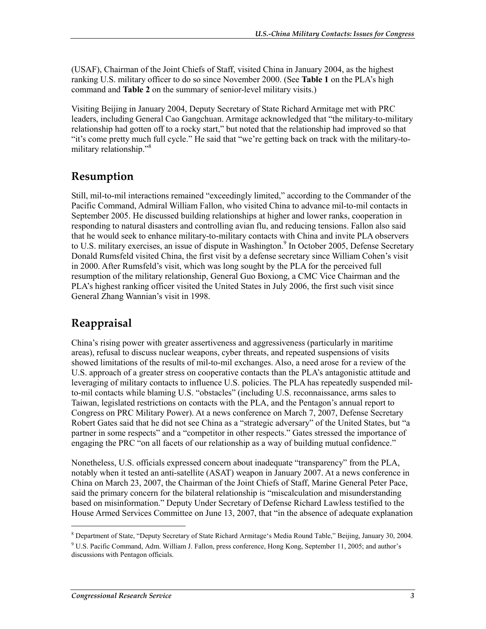(USAF), Chairman of the Joint Chiefs of Staff, visited China in January 2004, as the highest ranking U.S. military officer to do so since November 2000. (See **Table 1** on the PLA's high command and **Table 2** on the summary of senior-level military visits.)

Visiting Beijing in January 2004, Deputy Secretary of State Richard Armitage met with PRC leaders, including General Cao Gangchuan. Armitage acknowledged that "the military-to-military relationship had gotten off to a rocky start," but noted that the relationship had improved so that "it's come pretty much full cycle." He said that "we're getting back on track with the military-tomilitary relationship."<sup>8</sup>

## **Resumption**

Still, mil-to-mil interactions remained "exceedingly limited," according to the Commander of the Pacific Command, Admiral William Fallon, who visited China to advance mil-to-mil contacts in September 2005. He discussed building relationships at higher and lower ranks, cooperation in responding to natural disasters and controlling avian flu, and reducing tensions. Fallon also said that he would seek to enhance military-to-military contacts with China and invite PLA observers to U.S. military exercises, an issue of dispute in Washington.<sup>9</sup> In October 2005, Defense Secretary Donald Rumsfeld visited China, the first visit by a defense secretary since William Cohen's visit in 2000. After Rumsfeld's visit, which was long sought by the PLA for the perceived full resumption of the military relationship, General Guo Boxiong, a CMC Vice Chairman and the PLA's highest ranking officer visited the United States in July 2006, the first such visit since General Zhang Wannian's visit in 1998.

## **Reappraisal**

China's rising power with greater assertiveness and aggressiveness (particularly in maritime areas), refusal to discuss nuclear weapons, cyber threats, and repeated suspensions of visits showed limitations of the results of mil-to-mil exchanges. Also, a need arose for a review of the U.S. approach of a greater stress on cooperative contacts than the PLA's antagonistic attitude and leveraging of military contacts to influence U.S. policies. The PLA has repeatedly suspended milto-mil contacts while blaming U.S. "obstacles" (including U.S. reconnaissance, arms sales to Taiwan, legislated restrictions on contacts with the PLA, and the Pentagon's annual report to Congress on PRC Military Power). At a news conference on March 7, 2007, Defense Secretary Robert Gates said that he did not see China as a "strategic adversary" of the United States, but "a partner in some respects" and a "competitor in other respects." Gates stressed the importance of engaging the PRC "on all facets of our relationship as a way of building mutual confidence."

Nonetheless, U.S. officials expressed concern about inadequate "transparency" from the PLA, notably when it tested an anti-satellite (ASAT) weapon in January 2007. At a news conference in China on March 23, 2007, the Chairman of the Joint Chiefs of Staff, Marine General Peter Pace, said the primary concern for the bilateral relationship is "miscalculation and misunderstanding based on misinformation." Deputy Under Secretary of Defense Richard Lawless testified to the House Armed Services Committee on June 13, 2007, that "in the absence of adequate explanation

<sup>&</sup>lt;sup>8</sup> Department of State, "Deputy Secretary of State Richard Armitage's Media Round Table," Beijing, January 30, 2004.

<sup>&</sup>lt;sup>9</sup> U.S. Pacific Command, Adm. William J. Fallon, press conference, Hong Kong, September 11, 2005; and author's discussions with Pentagon officials.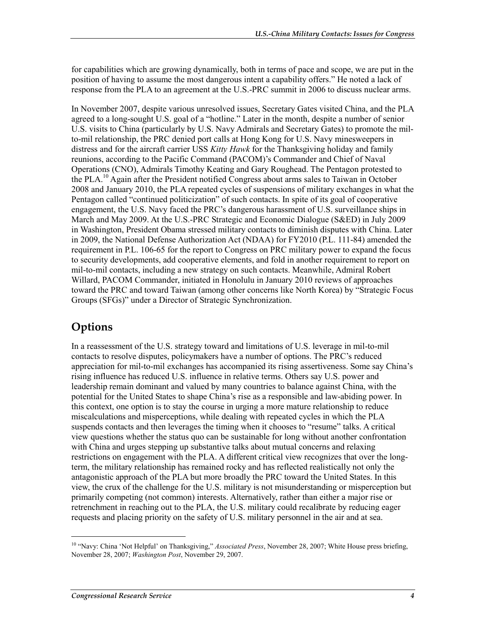for capabilities which are growing dynamically, both in terms of pace and scope, we are put in the position of having to assume the most dangerous intent a capability offers." He noted a lack of response from the PLA to an agreement at the U.S.-PRC summit in 2006 to discuss nuclear arms.

In November 2007, despite various unresolved issues, Secretary Gates visited China, and the PLA agreed to a long-sought U.S. goal of a "hotline." Later in the month, despite a number of senior U.S. visits to China (particularly by U.S. Navy Admirals and Secretary Gates) to promote the milto-mil relationship, the PRC denied port calls at Hong Kong for U.S. Navy minesweepers in distress and for the aircraft carrier USS *Kitty Hawk* for the Thanksgiving holiday and family reunions, according to the Pacific Command (PACOM)'s Commander and Chief of Naval Operations (CNO), Admirals Timothy Keating and Gary Roughead. The Pentagon protested to the PLA.10 Again after the President notified Congress about arms sales to Taiwan in October 2008 and January 2010, the PLA repeated cycles of suspensions of military exchanges in what the Pentagon called "continued politicization" of such contacts. In spite of its goal of cooperative engagement, the U.S. Navy faced the PRC's dangerous harassment of U.S. surveillance ships in March and May 2009. At the U.S.-PRC Strategic and Economic Dialogue (S&ED) in July 2009 in Washington, President Obama stressed military contacts to diminish disputes with China. Later in 2009, the National Defense Authorization Act (NDAA) for FY2010 (P.L. 111-84) amended the requirement in P.L. 106-65 for the report to Congress on PRC military power to expand the focus to security developments, add cooperative elements, and fold in another requirement to report on mil-to-mil contacts, including a new strategy on such contacts. Meanwhile, Admiral Robert Willard, PACOM Commander, initiated in Honolulu in January 2010 reviews of approaches toward the PRC and toward Taiwan (among other concerns like North Korea) by "Strategic Focus Groups (SFGs)" under a Director of Strategic Synchronization.

## **Options**

In a reassessment of the U.S. strategy toward and limitations of U.S. leverage in mil-to-mil contacts to resolve disputes, policymakers have a number of options. The PRC's reduced appreciation for mil-to-mil exchanges has accompanied its rising assertiveness. Some say China's rising influence has reduced U.S. influence in relative terms. Others say U.S. power and leadership remain dominant and valued by many countries to balance against China, with the potential for the United States to shape China's rise as a responsible and law-abiding power. In this context, one option is to stay the course in urging a more mature relationship to reduce miscalculations and misperceptions, while dealing with repeated cycles in which the PLA suspends contacts and then leverages the timing when it chooses to "resume" talks. A critical view questions whether the status quo can be sustainable for long without another confrontation with China and urges stepping up substantive talks about mutual concerns and relaxing restrictions on engagement with the PLA. A different critical view recognizes that over the longterm, the military relationship has remained rocky and has reflected realistically not only the antagonistic approach of the PLA but more broadly the PRC toward the United States. In this view, the crux of the challenge for the U.S. military is not misunderstanding or misperception but primarily competing (not common) interests. Alternatively, rather than either a major rise or retrenchment in reaching out to the PLA, the U.S. military could recalibrate by reducing eager requests and placing priority on the safety of U.S. military personnel in the air and at sea.

<sup>&</sup>lt;sup>10</sup> "Navy: China 'Not Helpful' on Thanksgiving," *Associated Press*, November 28, 2007; White House press briefing, November 28, 2007; *Washington Post*, November 29, 2007.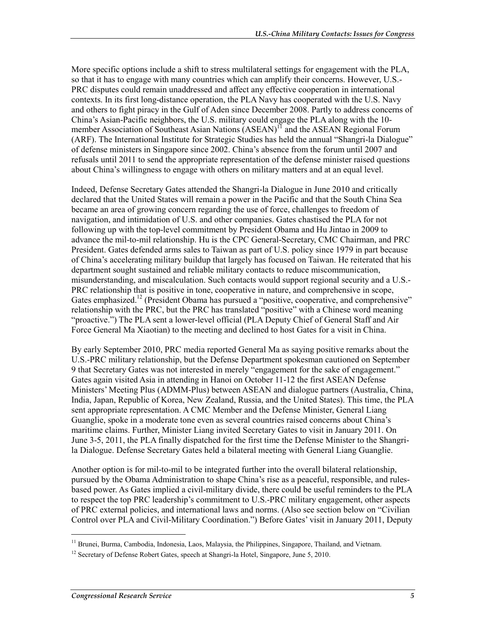More specific options include a shift to stress multilateral settings for engagement with the PLA, so that it has to engage with many countries which can amplify their concerns. However, U.S.- PRC disputes could remain unaddressed and affect any effective cooperation in international contexts. In its first long-distance operation, the PLA Navy has cooperated with the U.S. Navy and others to fight piracy in the Gulf of Aden since December 2008. Partly to address concerns of China's Asian-Pacific neighbors, the U.S. military could engage the PLA along with the 10 member Association of Southeast Asian Nations (ASEAN)<sup>11</sup> and the ASEAN Regional Forum (ARF). The International Institute for Strategic Studies has held the annual "Shangri-la Dialogue" of defense ministers in Singapore since 2002. China's absence from the forum until 2007 and refusals until 2011 to send the appropriate representation of the defense minister raised questions about China's willingness to engage with others on military matters and at an equal level.

Indeed, Defense Secretary Gates attended the Shangri-la Dialogue in June 2010 and critically declared that the United States will remain a power in the Pacific and that the South China Sea became an area of growing concern regarding the use of force, challenges to freedom of navigation, and intimidation of U.S. and other companies. Gates chastised the PLA for not following up with the top-level commitment by President Obama and Hu Jintao in 2009 to advance the mil-to-mil relationship. Hu is the CPC General-Secretary, CMC Chairman, and PRC President. Gates defended arms sales to Taiwan as part of U.S. policy since 1979 in part because of China's accelerating military buildup that largely has focused on Taiwan. He reiterated that his department sought sustained and reliable military contacts to reduce miscommunication, misunderstanding, and miscalculation. Such contacts would support regional security and a U.S.- PRC relationship that is positive in tone, cooperative in nature, and comprehensive in scope, Gates emphasized.<sup>12</sup> (President Obama has pursued a "positive, cooperative, and comprehensive" relationship with the PRC, but the PRC has translated "positive" with a Chinese word meaning "proactive.") The PLA sent a lower-level official (PLA Deputy Chief of General Staff and Air Force General Ma Xiaotian) to the meeting and declined to host Gates for a visit in China.

By early September 2010, PRC media reported General Ma as saying positive remarks about the U.S.-PRC military relationship, but the Defense Department spokesman cautioned on September 9 that Secretary Gates was not interested in merely "engagement for the sake of engagement." Gates again visited Asia in attending in Hanoi on October 11-12 the first ASEAN Defense Ministers' Meeting Plus (ADMM-Plus) between ASEAN and dialogue partners (Australia, China, India, Japan, Republic of Korea, New Zealand, Russia, and the United States). This time, the PLA sent appropriate representation. A CMC Member and the Defense Minister, General Liang Guanglie, spoke in a moderate tone even as several countries raised concerns about China's maritime claims. Further, Minister Liang invited Secretary Gates to visit in January 2011. On June 3-5, 2011, the PLA finally dispatched for the first time the Defense Minister to the Shangrila Dialogue. Defense Secretary Gates held a bilateral meeting with General Liang Guanglie.

Another option is for mil-to-mil to be integrated further into the overall bilateral relationship, pursued by the Obama Administration to shape China's rise as a peaceful, responsible, and rulesbased power. As Gates implied a civil-military divide, there could be useful reminders to the PLA to respect the top PRC leadership's commitment to U.S.-PRC military engagement, other aspects of PRC external policies, and international laws and norms. (Also see section below on "Civilian Control over PLA and Civil-Military Coordination.") Before Gates' visit in January 2011, Deputy

<sup>&</sup>lt;sup>11</sup> Brunei, Burma, Cambodia, Indonesia, Laos, Malaysia, the Philippines, Singapore, Thailand, and Vietnam.

<sup>&</sup>lt;sup>12</sup> Secretary of Defense Robert Gates, speech at Shangri-la Hotel, Singapore, June 5, 2010.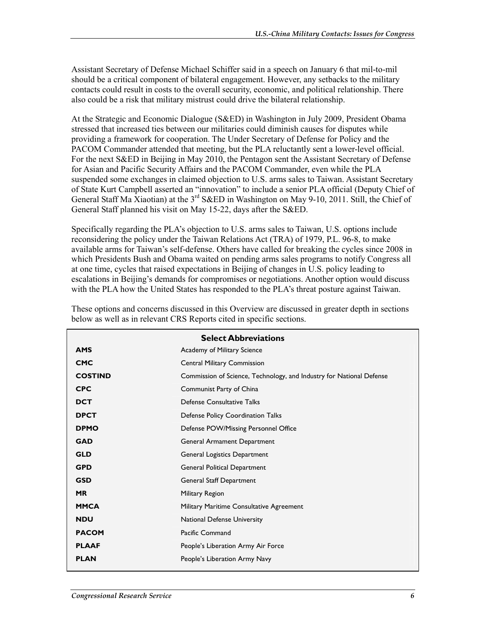Assistant Secretary of Defense Michael Schiffer said in a speech on January 6 that mil-to-mil should be a critical component of bilateral engagement. However, any setbacks to the military contacts could result in costs to the overall security, economic, and political relationship. There also could be a risk that military mistrust could drive the bilateral relationship.

At the Strategic and Economic Dialogue (S&ED) in Washington in July 2009, President Obama stressed that increased ties between our militaries could diminish causes for disputes while providing a framework for cooperation. The Under Secretary of Defense for Policy and the PACOM Commander attended that meeting, but the PLA reluctantly sent a lower-level official. For the next S&ED in Beijing in May 2010, the Pentagon sent the Assistant Secretary of Defense for Asian and Pacific Security Affairs and the PACOM Commander, even while the PLA suspended some exchanges in claimed objection to U.S. arms sales to Taiwan. Assistant Secretary of State Kurt Campbell asserted an "innovation" to include a senior PLA official (Deputy Chief of General Staff Ma Xiaotian) at the 3<sup>rd</sup> S&ED in Washington on May 9-10, 2011. Still, the Chief of General Staff planned his visit on May 15-22, days after the S&ED.

Specifically regarding the PLA's objection to U.S. arms sales to Taiwan, U.S. options include reconsidering the policy under the Taiwan Relations Act (TRA) of 1979, P.L. 96-8, to make available arms for Taiwan's self-defense. Others have called for breaking the cycles since 2008 in which Presidents Bush and Obama waited on pending arms sales programs to notify Congress all at one time, cycles that raised expectations in Beijing of changes in U.S. policy leading to escalations in Beijing's demands for compromises or negotiations. Another option would discuss with the PLA how the United States has responded to the PLA's threat posture against Taiwan.

|                | <b>Select Abbreviations</b>                                          |
|----------------|----------------------------------------------------------------------|
| <b>AMS</b>     | Academy of Military Science                                          |
| <b>CMC</b>     | <b>Central Military Commission</b>                                   |
| <b>COSTIND</b> | Commission of Science, Technology, and Industry for National Defense |
| <b>CPC</b>     | Communist Party of China                                             |
| <b>DCT</b>     | Defense Consultative Talks                                           |
| <b>DPCT</b>    | Defense Policy Coordination Talks                                    |
| <b>DPMO</b>    | Defense POW/Missing Personnel Office                                 |
| <b>GAD</b>     | General Armament Department                                          |
| <b>GLD</b>     | General Logistics Department                                         |
| <b>GPD</b>     | General Political Department                                         |
| <b>GSD</b>     | General Staff Department                                             |
| <b>MR</b>      | Military Region                                                      |
| <b>MMCA</b>    | Military Maritime Consultative Agreement                             |
| <b>NDU</b>     | National Defense University                                          |
| <b>PACOM</b>   | Pacific Command                                                      |
| <b>PLAAF</b>   | People's Liberation Army Air Force                                   |
| <b>PLAN</b>    | People's Liberation Army Navy                                        |
|                |                                                                      |

These options and concerns discussed in this Overview are discussed in greater depth in sections below as well as in relevant CRS Reports cited in specific sections.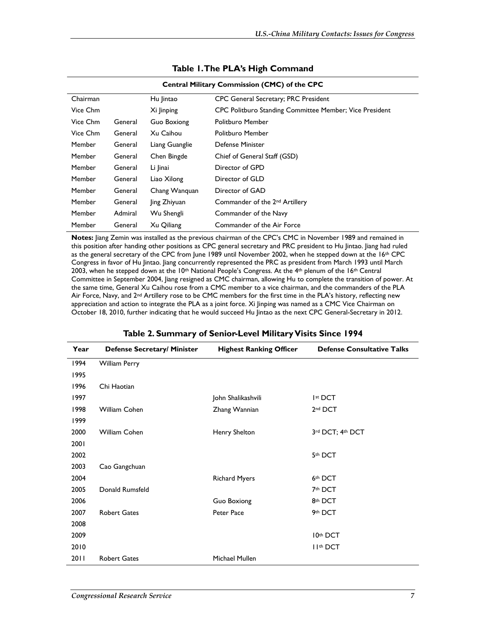| <b>Central Military Commission (CMC) of the CPC</b> |         |                    |                                                         |
|-----------------------------------------------------|---------|--------------------|---------------------------------------------------------|
| Chairman                                            |         | Hu lintao          | CPC General Secretary; PRC President                    |
| Vice Chm                                            |         | Xi Jinping         | CPC Politburo Standing Committee Member; Vice President |
| Vice Chm                                            | General | <b>Guo Boxiong</b> | <b>Politburo Member</b>                                 |
| Vice Chm                                            | General | Xu Caihou          | <b>Politburo Member</b>                                 |
| Member                                              | General | Liang Guanglie     | <b>Defense Minister</b>                                 |
| Member                                              | General | Chen Bingde        | Chief of General Staff (GSD)                            |
| Member                                              | General | Li linai           | Director of GPD                                         |
| Member                                              | General | Liao Xilong        | Director of GLD                                         |
| Member                                              | General | Chang Wanguan      | Director of GAD                                         |
| Member                                              | General | ling Zhiyuan       | Commander of the 2 <sup>nd</sup> Artillery              |
| Member                                              | Admiral | Wu Shengli         | Commander of the Navy                                   |
| Member                                              | General | Xu Qiliang         | Commander of the Air Force                              |

#### **Table 1. The PLA's High Command**

**Notes:** Jiang Zemin was installed as the previous chairman of the CPC's CMC in November 1989 and remained in this position after handing other positions as CPC general secretary and PRC president to Hu Jintao. Jiang had ruled as the general secretary of the CPC from June 1989 until November 2002, when he stepped down at the 16th CPC Congress in favor of Hu Jintao. Jiang concurrently represented the PRC as president from March 1993 until March 2003, when he stepped down at the 10th National People's Congress. At the 4th plenum of the 16th Central Committee in September 2004, Jiang resigned as CMC chairman, allowing Hu to complete the transition of power. At the same time, General Xu Caihou rose from a CMC member to a vice chairman, and the commanders of the PLA Air Force, Navy, and 2<sup>nd</sup> Artillery rose to be CMC members for the first time in the PLA's history, reflecting new appreciation and action to integrate the PLA as a joint force. Xi Jinping was named as a CMC Vice Chairman on October 18, 2010, further indicating that he would succeed Hu Jintao as the next CPC General-Secretary in 2012.

| Year | Defense Secretary/ Minister | <b>Highest Ranking Officer</b> | <b>Defense Consultative Talks</b> |
|------|-----------------------------|--------------------------------|-----------------------------------|
| 1994 | <b>William Perry</b>        |                                |                                   |
| 1995 |                             |                                |                                   |
| 1996 | Chi Haotian                 |                                |                                   |
| 1997 |                             | John Shalikashvili             | Ist DCT                           |
| 1998 | William Cohen               | Zhang Wannian                  | 2 <sup>nd</sup> DCT               |
| 1999 |                             |                                |                                   |
| 2000 | William Cohen               | Henry Shelton                  | 3rd DCT; 4th DCT                  |
| 2001 |                             |                                |                                   |
| 2002 |                             |                                | 5th DCT                           |
| 2003 | Cao Gangchuan               |                                |                                   |
| 2004 |                             | <b>Richard Myers</b>           | 6th DCT                           |
| 2005 | Donald Rumsfeld             |                                | 7th DCT                           |
| 2006 |                             | Guo Boxiong                    | 8th DCT                           |
| 2007 | <b>Robert Gates</b>         | Peter Pace                     | 9th DCT                           |
| 2008 |                             |                                |                                   |
| 2009 |                             |                                | 10th DCT                          |
| 2010 |                             |                                | II <sup>th</sup> DCT              |
| 2011 | <b>Robert Gates</b>         | Michael Mullen                 |                                   |

#### **Table 2. Summary of Senior-Level Military Visits Since 1994**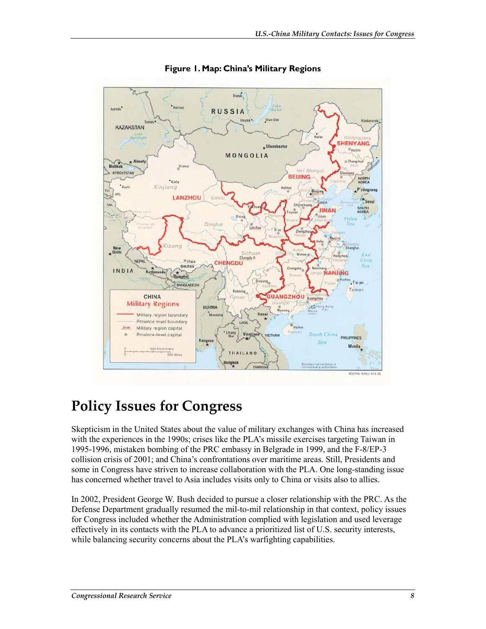

**Figure 1. Map: China's Military Regions** 

## **Policy Issues for Congress**

Skepticism in the United States about the value of military exchanges with China has increased with the experiences in the 1990s; crises like the PLA's missile exercises targeting Taiwan in 1995-1996, mistaken bombing of the PRC embassy in Belgrade in 1999, and the F-8/EP-3 collision crisis of 2001; and China's confrontations over maritime areas. Still, Presidents and some in Congress have striven to increase collaboration with the PLA. One long-standing issue has concerned whether travel to Asia includes visits only to China or visits also to allies.

In 2002, President George W. Bush decided to pursue a closer relationship with the PRC. As the Defense Department gradually resumed the mil-to-mil relationship in that context, policy issues for Congress included whether the Administration complied with legislation and used leverage effectively in its contacts with the PLA to advance a prioritized list of U.S. security interests, while balancing security concerns about the PLA's warfighting capabilities.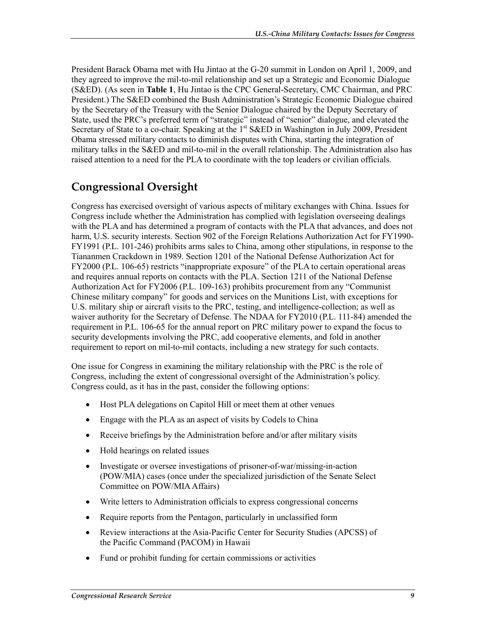President Barack Obama met with Hu Jintao at the G-20 summit in London on April 1, 2009, and they agreed to improve the mil-to-mil relationship and set up a Strategic and Economic Dialogue (S&ED). (As seen in **Table 1**, Hu Jintao is the CPC General-Secretary, CMC Chairman, and PRC President.) The S&ED combined the Bush Administration's Strategic Economic Dialogue chaired by the Secretary of the Treasury with the Senior Dialogue chaired by the Deputy Secretary of State, used the PRC's preferred term of "strategic" instead of "senior" dialogue, and elevated the Secretary of State to a co-chair. Speaking at the 1<sup>st</sup> S&ED in Washington in July 2009, President Obama stressed military contacts to diminish disputes with China, starting the integration of military talks in the S&ED and mil-to-mil in the overall relationship. The Administration also has raised attention to a need for the PLA to coordinate with the top leaders or civilian officials.

## **Congressional Oversight**

Congress has exercised oversight of various aspects of military exchanges with China. Issues for Congress include whether the Administration has complied with legislation overseeing dealings with the PLA and has determined a program of contacts with the PLA that advances, and does not harm, U.S. security interests. Section 902 of the Foreign Relations Authorization Act for FY1990- FY1991 (P.L. 101-246) prohibits arms sales to China, among other stipulations, in response to the Tiananmen Crackdown in 1989. Section 1201 of the National Defense Authorization Act for FY2000 (P.L. 106-65) restricts "inappropriate exposure" of the PLA to certain operational areas and requires annual reports on contacts with the PLA. Section 1211 of the National Defense Authorization Act for FY2006 (P.L. 109-163) prohibits procurement from any "Communist Chinese military company" for goods and services on the Munitions List, with exceptions for U.S. military ship or aircraft visits to the PRC, testing, and intelligence-collection; as well as waiver authority for the Secretary of Defense. The NDAA for FY2010 (P.L. 111-84) amended the requirement in P.L. 106-65 for the annual report on PRC military power to expand the focus to security developments involving the PRC, add cooperative elements, and fold in another requirement to report on mil-to-mil contacts, including a new strategy for such contacts.

One issue for Congress in examining the military relationship with the PRC is the role of Congress, including the extent of congressional oversight of the Administration's policy. Congress could, as it has in the past, consider the following options:

- Host PLA delegations on Capitol Hill or meet them at other venues
- Engage with the PLA as an aspect of visits by Codels to China
- Receive briefings by the Administration before and/or after military visits
- Hold hearings on related issues
- Investigate or oversee investigations of prisoner-of-war/missing-in-action (POW/MIA) cases (once under the specialized jurisdiction of the Senate Select Committee on POW/MIA Affairs)
- Write letters to Administration officials to express congressional concerns
- Require reports from the Pentagon, particularly in unclassified form
- Review interactions at the Asia-Pacific Center for Security Studies (APCSS) of the Pacific Command (PACOM) in Hawaii
- Fund or prohibit funding for certain commissions or activities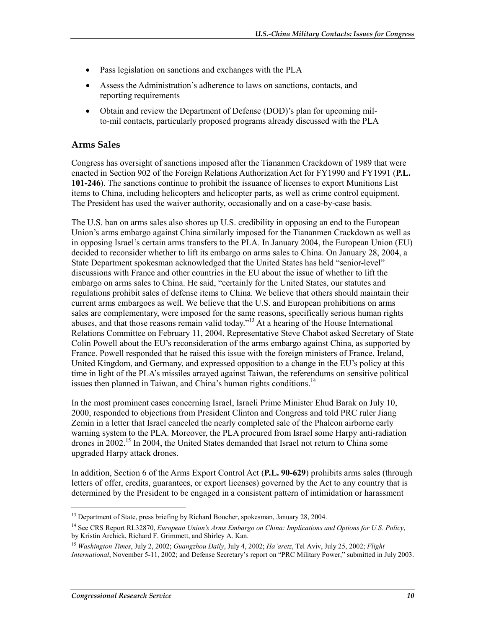- Pass legislation on sanctions and exchanges with the PLA
- Assess the Administration's adherence to laws on sanctions, contacts, and reporting requirements
- Obtain and review the Department of Defense (DOD)'s plan for upcoming milto-mil contacts, particularly proposed programs already discussed with the PLA

#### **Arms Sales**

Congress has oversight of sanctions imposed after the Tiananmen Crackdown of 1989 that were enacted in Section 902 of the Foreign Relations Authorization Act for FY1990 and FY1991 (**P.L. 101-246**). The sanctions continue to prohibit the issuance of licenses to export Munitions List items to China, including helicopters and helicopter parts, as well as crime control equipment. The President has used the waiver authority, occasionally and on a case-by-case basis.

The U.S. ban on arms sales also shores up U.S. credibility in opposing an end to the European Union's arms embargo against China similarly imposed for the Tiananmen Crackdown as well as in opposing Israel's certain arms transfers to the PLA. In January 2004, the European Union (EU) decided to reconsider whether to lift its embargo on arms sales to China. On January 28, 2004, a State Department spokesman acknowledged that the United States has held "senior-level" discussions with France and other countries in the EU about the issue of whether to lift the embargo on arms sales to China. He said, "certainly for the United States, our statutes and regulations prohibit sales of defense items to China. We believe that others should maintain their current arms embargoes as well. We believe that the U.S. and European prohibitions on arms sales are complementary, were imposed for the same reasons, specifically serious human rights abuses, and that those reasons remain valid today."13 At a hearing of the House International Relations Committee on February 11, 2004, Representative Steve Chabot asked Secretary of State Colin Powell about the EU's reconsideration of the arms embargo against China, as supported by France. Powell responded that he raised this issue with the foreign ministers of France, Ireland, United Kingdom, and Germany, and expressed opposition to a change in the EU's policy at this time in light of the PLA's missiles arrayed against Taiwan, the referendums on sensitive political issues then planned in Taiwan, and China's human rights conditions.<sup>14</sup>

In the most prominent cases concerning Israel, Israeli Prime Minister Ehud Barak on July 10, 2000, responded to objections from President Clinton and Congress and told PRC ruler Jiang Zemin in a letter that Israel canceled the nearly completed sale of the Phalcon airborne early warning system to the PLA. Moreover, the PLA procured from Israel some Harpy anti-radiation drones in 2002.<sup>15</sup> In 2004, the United States demanded that Israel not return to China some upgraded Harpy attack drones.

In addition, Section 6 of the Arms Export Control Act (**P.L. 90-629**) prohibits arms sales (through letters of offer, credits, guarantees, or export licenses) governed by the Act to any country that is determined by the President to be engaged in a consistent pattern of intimidation or harassment

<sup>&</sup>lt;sup>13</sup> Department of State, press briefing by Richard Boucher, spokesman, January 28, 2004.

<sup>14</sup> See CRS Report RL32870, *European Union's Arms Embargo on China: Implications and Options for U.S. Policy*, by Kristin Archick, Richard F. Grimmett, and Shirley A. Kan.

<sup>15</sup> *Washington Times*, July 2, 2002; *Guangzhou Daily*, July 4, 2002; *Ha'aretz*, Tel Aviv, July 25, 2002; *Flight International*, November 5-11, 2002; and Defense Secretary's report on "PRC Military Power," submitted in July 2003.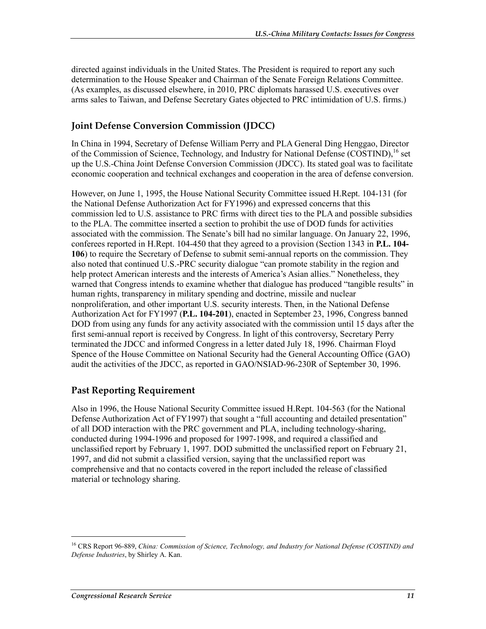directed against individuals in the United States. The President is required to report any such determination to the House Speaker and Chairman of the Senate Foreign Relations Committee. (As examples, as discussed elsewhere, in 2010, PRC diplomats harassed U.S. executives over arms sales to Taiwan, and Defense Secretary Gates objected to PRC intimidation of U.S. firms.)

#### **Joint Defense Conversion Commission (JDCC)**

In China in 1994, Secretary of Defense William Perry and PLA General Ding Henggao, Director of the Commission of Science, Technology, and Industry for National Defense  $(COSTIND)^{16}$  set up the U.S.-China Joint Defense Conversion Commission (JDCC). Its stated goal was to facilitate economic cooperation and technical exchanges and cooperation in the area of defense conversion.

However, on June 1, 1995, the House National Security Committee issued H.Rept. 104-131 (for the National Defense Authorization Act for FY1996) and expressed concerns that this commission led to U.S. assistance to PRC firms with direct ties to the PLA and possible subsidies to the PLA. The committee inserted a section to prohibit the use of DOD funds for activities associated with the commission. The Senate's bill had no similar language. On January 22, 1996, conferees reported in H.Rept. 104-450 that they agreed to a provision (Section 1343 in **P.L. 104- 106**) to require the Secretary of Defense to submit semi-annual reports on the commission. They also noted that continued U.S.-PRC security dialogue "can promote stability in the region and help protect American interests and the interests of America's Asian allies." Nonetheless, they warned that Congress intends to examine whether that dialogue has produced "tangible results" in human rights, transparency in military spending and doctrine, missile and nuclear nonproliferation, and other important U.S. security interests. Then, in the National Defense Authorization Act for FY1997 (**P.L. 104-201**), enacted in September 23, 1996, Congress banned DOD from using any funds for any activity associated with the commission until 15 days after the first semi-annual report is received by Congress. In light of this controversy, Secretary Perry terminated the JDCC and informed Congress in a letter dated July 18, 1996. Chairman Floyd Spence of the House Committee on National Security had the General Accounting Office (GAO) audit the activities of the JDCC, as reported in GAO/NSIAD-96-230R of September 30, 1996.

#### **Past Reporting Requirement**

Also in 1996, the House National Security Committee issued H.Rept. 104-563 (for the National Defense Authorization Act of FY1997) that sought a "full accounting and detailed presentation" of all DOD interaction with the PRC government and PLA, including technology-sharing, conducted during 1994-1996 and proposed for 1997-1998, and required a classified and unclassified report by February 1, 1997. DOD submitted the unclassified report on February 21, 1997, and did not submit a classified version, saying that the unclassified report was comprehensive and that no contacts covered in the report included the release of classified material or technology sharing.

<sup>16</sup> CRS Report 96-889, *China: Commission of Science, Technology, and Industry for National Defense (COSTIND) and Defense Industries*, by Shirley A. Kan.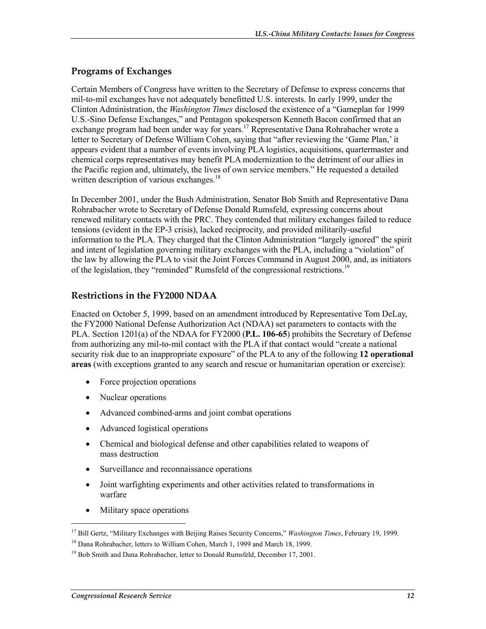#### **Programs of Exchanges**

Certain Members of Congress have written to the Secretary of Defense to express concerns that mil-to-mil exchanges have not adequately benefitted U.S. interests. In early 1999, under the Clinton Administration, the *Washington Times* disclosed the existence of a "Gameplan for 1999 U.S.-Sino Defense Exchanges," and Pentagon spokesperson Kenneth Bacon confirmed that an exchange program had been under way for years.<sup>17</sup> Representative Dana Rohrabacher wrote a letter to Secretary of Defense William Cohen, saying that "after reviewing the 'Game Plan,' it appears evident that a number of events involving PLA logistics, acquisitions, quartermaster and chemical corps representatives may benefit PLA modernization to the detriment of our allies in the Pacific region and, ultimately, the lives of own service members." He requested a detailed written description of various exchanges.<sup>18</sup>

In December 2001, under the Bush Administration, Senator Bob Smith and Representative Dana Rohrabacher wrote to Secretary of Defense Donald Rumsfeld, expressing concerns about renewed military contacts with the PRC. They contended that military exchanges failed to reduce tensions (evident in the EP-3 crisis), lacked reciprocity, and provided militarily-useful information to the PLA. They charged that the Clinton Administration "largely ignored" the spirit and intent of legislation governing military exchanges with the PLA, including a "violation" of the law by allowing the PLA to visit the Joint Forces Command in August 2000, and, as initiators of the legislation, they "reminded" Rumsfeld of the congressional restrictions.<sup>19</sup>

#### **Restrictions in the FY2000 NDAA**

Enacted on October 5, 1999, based on an amendment introduced by Representative Tom DeLay, the FY2000 National Defense Authorization Act (NDAA) set parameters to contacts with the PLA. Section 1201(a) of the NDAA for FY2000 (**P.L. 106-65**) prohibits the Secretary of Defense from authorizing any mil-to-mil contact with the PLA if that contact would "create a national security risk due to an inappropriate exposure" of the PLA to any of the following **12 operational areas** (with exceptions granted to any search and rescue or humanitarian operation or exercise):

- Force projection operations
- Nuclear operations
- Advanced combined-arms and joint combat operations
- Advanced logistical operations
- Chemical and biological defense and other capabilities related to weapons of mass destruction
- Surveillance and reconnaissance operations
- Joint warfighting experiments and other activities related to transformations in warfare
- Military space operations

<sup>17</sup> Bill Gertz, "Military Exchanges with Beijing Raises Security Concerns," *Washington Times*, February 19, 1999.

<sup>&</sup>lt;sup>18</sup> Dana Rohrabacher, letters to William Cohen, March 1, 1999 and March 18, 1999.

<sup>&</sup>lt;sup>19</sup> Bob Smith and Dana Rohrabacher, letter to Donald Rumsfeld, December 17, 2001.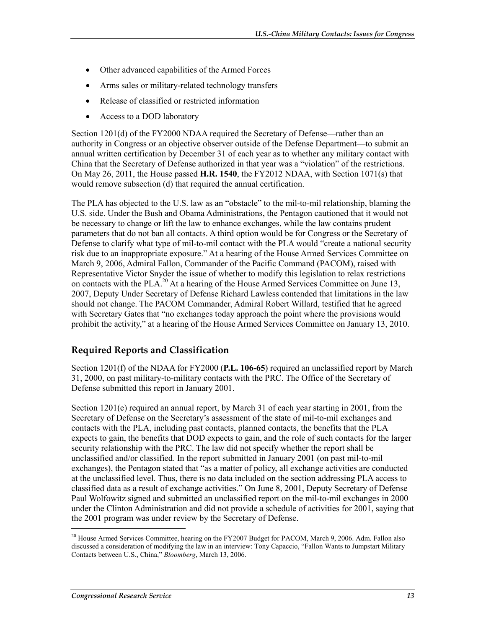- Other advanced capabilities of the Armed Forces
- Arms sales or military-related technology transfers
- Release of classified or restricted information
- Access to a DOD laboratory

Section 1201(d) of the FY2000 NDAA required the Secretary of Defense—rather than an authority in Congress or an objective observer outside of the Defense Department—to submit an annual written certification by December 31 of each year as to whether any military contact with China that the Secretary of Defense authorized in that year was a "violation" of the restrictions. On May 26, 2011, the House passed **H.R. 1540**, the FY2012 NDAA, with Section 1071(s) that would remove subsection (d) that required the annual certification.

The PLA has objected to the U.S. law as an "obstacle" to the mil-to-mil relationship, blaming the U.S. side. Under the Bush and Obama Administrations, the Pentagon cautioned that it would not be necessary to change or lift the law to enhance exchanges, while the law contains prudent parameters that do not ban all contacts. A third option would be for Congress or the Secretary of Defense to clarify what type of mil-to-mil contact with the PLA would "create a national security risk due to an inappropriate exposure." At a hearing of the House Armed Services Committee on March 9, 2006, Admiral Fallon, Commander of the Pacific Command (PACOM), raised with Representative Victor Snyder the issue of whether to modify this legislation to relax restrictions on contacts with the PLA.<sup>20</sup> At a hearing of the House Armed Services Committee on June 13, 2007, Deputy Under Secretary of Defense Richard Lawless contended that limitations in the law should not change. The PACOM Commander, Admiral Robert Willard, testified that he agreed with Secretary Gates that "no exchanges today approach the point where the provisions would prohibit the activity," at a hearing of the House Armed Services Committee on January 13, 2010.

#### **Required Reports and Classification**

Section 1201(f) of the NDAA for FY2000 (**P.L. 106-65**) required an unclassified report by March 31, 2000, on past military-to-military contacts with the PRC. The Office of the Secretary of Defense submitted this report in January 2001.

Section 1201(e) required an annual report, by March 31 of each year starting in 2001, from the Secretary of Defense on the Secretary's assessment of the state of mil-to-mil exchanges and contacts with the PLA, including past contacts, planned contacts, the benefits that the PLA expects to gain, the benefits that DOD expects to gain, and the role of such contacts for the larger security relationship with the PRC. The law did not specify whether the report shall be unclassified and/or classified. In the report submitted in January 2001 (on past mil-to-mil exchanges), the Pentagon stated that "as a matter of policy, all exchange activities are conducted at the unclassified level. Thus, there is no data included on the section addressing PLA access to classified data as a result of exchange activities." On June 8, 2001, Deputy Secretary of Defense Paul Wolfowitz signed and submitted an unclassified report on the mil-to-mil exchanges in 2000 under the Clinton Administration and did not provide a schedule of activities for 2001, saying that the 2001 program was under review by the Secretary of Defense.

<sup>&</sup>lt;sup>20</sup> House Armed Services Committee, hearing on the FY2007 Budget for PACOM, March 9, 2006. Adm. Fallon also discussed a consideration of modifying the law in an interview: Tony Capaccio, "Fallon Wants to Jumpstart Military Contacts between U.S., China," *Bloomberg*, March 13, 2006.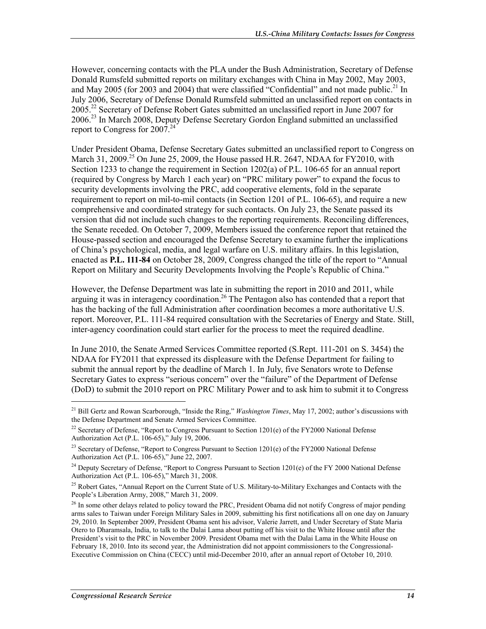However, concerning contacts with the PLA under the Bush Administration, Secretary of Defense Donald Rumsfeld submitted reports on military exchanges with China in May 2002, May 2003, and May 2005 (for 2003 and 2004) that were classified "Confidential" and not made public.<sup>21</sup> In July 2006, Secretary of Defense Donald Rumsfeld submitted an unclassified report on contacts in 2005.22 Secretary of Defense Robert Gates submitted an unclassified report in June 2007 for 2006<sup>23</sup> In March 2008, Deputy Defense Secretary Gordon England submitted an unclassified report to Congress for  $2007.<sup>24</sup>$ 

Under President Obama, Defense Secretary Gates submitted an unclassified report to Congress on March 31, 2009.<sup>25</sup> On June 25, 2009, the House passed H.R. 2647, NDAA for FY2010, with Section 1233 to change the requirement in Section 1202(a) of P.L. 106-65 for an annual report (required by Congress by March 1 each year) on "PRC military power" to expand the focus to security developments involving the PRC, add cooperative elements, fold in the separate requirement to report on mil-to-mil contacts (in Section 1201 of P.L. 106-65), and require a new comprehensive and coordinated strategy for such contacts. On July 23, the Senate passed its version that did not include such changes to the reporting requirements. Reconciling differences, the Senate receded. On October 7, 2009, Members issued the conference report that retained the House-passed section and encouraged the Defense Secretary to examine further the implications of China's psychological, media, and legal warfare on U.S. military affairs. In this legislation, enacted as **P.L. 111-84** on October 28, 2009, Congress changed the title of the report to "Annual Report on Military and Security Developments Involving the People's Republic of China."

However, the Defense Department was late in submitting the report in 2010 and 2011, while arguing it was in interagency coordination.<sup>26</sup> The Pentagon also has contended that a report that has the backing of the full Administration after coordination becomes a more authoritative U.S. report. Moreover, P.L. 111-84 required consultation with the Secretaries of Energy and State. Still, inter-agency coordination could start earlier for the process to meet the required deadline.

In June 2010, the Senate Armed Services Committee reported (S.Rept. 111-201 on S. 3454) the NDAA for FY2011 that expressed its displeasure with the Defense Department for failing to submit the annual report by the deadline of March 1. In July, five Senators wrote to Defense Secretary Gates to express "serious concern" over the "failure" of the Department of Defense (DoD) to submit the 2010 report on PRC Military Power and to ask him to submit it to Congress

 $\overline{a}$ 

<sup>21</sup> Bill Gertz and Rowan Scarborough, "Inside the Ring," *Washington Times*, May 17, 2002; author's discussions with the Defense Department and Senate Armed Services Committee.

<sup>&</sup>lt;sup>22</sup> Secretary of Defense, "Report to Congress Pursuant to Section 1201(e) of the FY2000 National Defense Authorization Act (P.L. 106-65)," July 19, 2006.

<sup>&</sup>lt;sup>23</sup> Secretary of Defense, "Report to Congress Pursuant to Section 1201(e) of the FY2000 National Defense Authorization Act (P.L. 106-65)," June 22, 2007.

<sup>&</sup>lt;sup>24</sup> Deputy Secretary of Defense, "Report to Congress Pursuant to Section 1201(e) of the FY 2000 National Defense Authorization Act (P.L. 106-65)," March 31, 2008.

<sup>&</sup>lt;sup>25</sup> Robert Gates, "Annual Report on the Current State of U.S. Military-to-Military Exchanges and Contacts with the People's Liberation Army, 2008," March 31, 2009.

 $^{26}$  In some other delays related to policy toward the PRC, President Obama did not notify Congress of major pending arms sales to Taiwan under Foreign Military Sales in 2009, submitting his first notifications all on one day on January 29, 2010. In September 2009, President Obama sent his advisor, Valerie Jarrett, and Under Secretary of State Maria Otero to Dharamsala, India, to talk to the Dalai Lama about putting off his visit to the White House until after the President's visit to the PRC in November 2009. President Obama met with the Dalai Lama in the White House on February 18, 2010. Into its second year, the Administration did not appoint commissioners to the Congressional-Executive Commission on China (CECC) until mid-December 2010, after an annual report of October 10, 2010.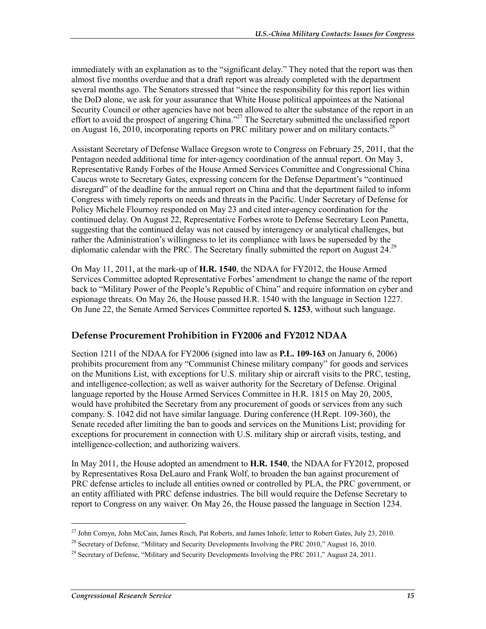immediately with an explanation as to the "significant delay." They noted that the report was then almost five months overdue and that a draft report was already completed with the department several months ago. The Senators stressed that "since the responsibility for this report lies within the DoD alone, we ask for your assurance that White House political appointees at the National Security Council or other agencies have not been allowed to alter the substance of the report in an effort to avoid the prospect of angering China."<sup>27</sup> The Secretary submitted the unclassified report on August 16, 2010, incorporating reports on PRC military power and on military contacts.<sup>28</sup>

Assistant Secretary of Defense Wallace Gregson wrote to Congress on February 25, 2011, that the Pentagon needed additional time for inter-agency coordination of the annual report. On May 3, Representative Randy Forbes of the House Armed Services Committee and Congressional China Caucus wrote to Secretary Gates, expressing concern for the Defense Department's "continued disregard" of the deadline for the annual report on China and that the department failed to inform Congress with timely reports on needs and threats in the Pacific. Under Secretary of Defense for Policy Michele Flournoy responded on May 23 and cited inter-agency coordination for the continued delay. On August 22, Representative Forbes wrote to Defense Secretary Leon Panetta, suggesting that the continued delay was not caused by interagency or analytical challenges, but rather the Administration's willingness to let its compliance with laws be superseded by the diplomatic calendar with the PRC. The Secretary finally submitted the report on August 24.<sup>29</sup>

On May 11, 2011, at the mark-up of **H.R. 1540**, the NDAA for FY2012, the House Armed Services Committee adopted Representative Forbes' amendment to change the name of the report back to "Military Power of the People's Republic of China" and require information on cyber and espionage threats. On May 26, the House passed H.R. 1540 with the language in Section 1227. On June 22, the Senate Armed Services Committee reported **S. 1253**, without such language.

#### **Defense Procurement Prohibition in FY2006 and FY2012 NDAA**

Section 1211 of the NDAA for FY2006 (signed into law as **P.L. 109-163** on January 6, 2006) prohibits procurement from any "Communist Chinese military company" for goods and services on the Munitions List, with exceptions for U.S. military ship or aircraft visits to the PRC, testing, and intelligence-collection; as well as waiver authority for the Secretary of Defense. Original language reported by the House Armed Services Committee in H.R. 1815 on May 20, 2005, would have prohibited the Secretary from any procurement of goods or services from any such company. S. 1042 did not have similar language. During conference (H.Rept. 109-360), the Senate receded after limiting the ban to goods and services on the Munitions List; providing for exceptions for procurement in connection with U.S. military ship or aircraft visits, testing, and intelligence-collection; and authorizing waivers.

In May 2011, the House adopted an amendment to **H.R. 1540**, the NDAA for FY2012, proposed by Representatives Rosa DeLauro and Frank Wolf, to broaden the ban against procurement of PRC defense articles to include all entities owned or controlled by PLA, the PRC government, or an entity affiliated with PRC defense industries. The bill would require the Defense Secretary to report to Congress on any waiver. On May 26, the House passed the language in Section 1234.

<sup>&</sup>lt;sup>27</sup> John Cornyn, John McCain, James Risch, Pat Roberts, and James Inhofe, letter to Robert Gates, July 23, 2010.

<sup>&</sup>lt;sup>28</sup> Secretary of Defense, "Military and Security Developments Involving the PRC 2010," August 16, 2010.

<sup>&</sup>lt;sup>29</sup> Secretary of Defense, "Military and Security Developments Involving the PRC 2011," August 24, 2011.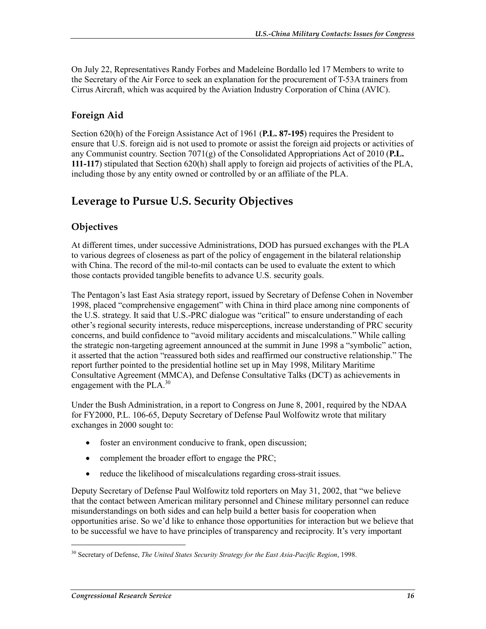On July 22, Representatives Randy Forbes and Madeleine Bordallo led 17 Members to write to the Secretary of the Air Force to seek an explanation for the procurement of T-53A trainers from Cirrus Aircraft, which was acquired by the Aviation Industry Corporation of China (AVIC).

#### **Foreign Aid**

Section 620(h) of the Foreign Assistance Act of 1961 (**P.L. 87-195**) requires the President to ensure that U.S. foreign aid is not used to promote or assist the foreign aid projects or activities of any Communist country. Section 7071(g) of the Consolidated Appropriations Act of 2010 (**P.L. 111-117**) stipulated that Section 620(h) shall apply to foreign aid projects of activities of the PLA, including those by any entity owned or controlled by or an affiliate of the PLA.

### **Leverage to Pursue U.S. Security Objectives**

#### **Objectives**

At different times, under successive Administrations, DOD has pursued exchanges with the PLA to various degrees of closeness as part of the policy of engagement in the bilateral relationship with China. The record of the mil-to-mil contacts can be used to evaluate the extent to which those contacts provided tangible benefits to advance U.S. security goals.

The Pentagon's last East Asia strategy report, issued by Secretary of Defense Cohen in November 1998, placed "comprehensive engagement" with China in third place among nine components of the U.S. strategy. It said that U.S.-PRC dialogue was "critical" to ensure understanding of each other's regional security interests, reduce misperceptions, increase understanding of PRC security concerns, and build confidence to "avoid military accidents and miscalculations." While calling the strategic non-targeting agreement announced at the summit in June 1998 a "symbolic" action, it asserted that the action "reassured both sides and reaffirmed our constructive relationship." The report further pointed to the presidential hotline set up in May 1998, Military Maritime Consultative Agreement (MMCA), and Defense Consultative Talks (DCT) as achievements in engagement with the PLA.<sup>30</sup>

Under the Bush Administration, in a report to Congress on June 8, 2001, required by the NDAA for FY2000, P.L. 106-65, Deputy Secretary of Defense Paul Wolfowitz wrote that military exchanges in 2000 sought to:

- foster an environment conducive to frank, open discussion;
- complement the broader effort to engage the PRC;
- reduce the likelihood of miscalculations regarding cross-strait issues.

Deputy Secretary of Defense Paul Wolfowitz told reporters on May 31, 2002, that "we believe that the contact between American military personnel and Chinese military personnel can reduce misunderstandings on both sides and can help build a better basis for cooperation when opportunities arise. So we'd like to enhance those opportunities for interaction but we believe that to be successful we have to have principles of transparency and reciprocity. It's very important

<sup>30</sup> Secretary of Defense, *The United States Security Strategy for the East Asia-Pacific Region*, 1998.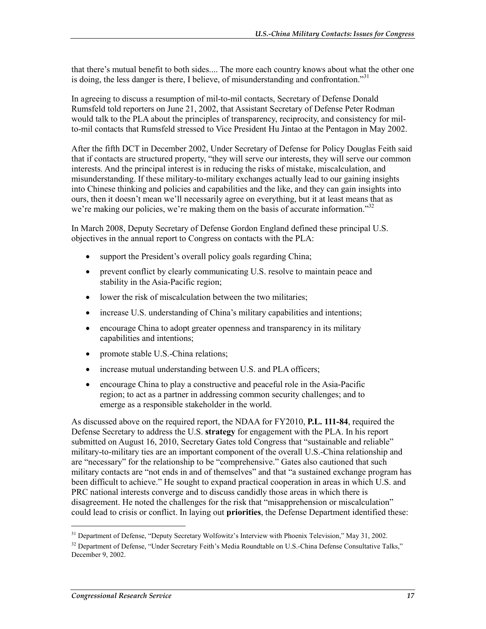that there's mutual benefit to both sides.... The more each country knows about what the other one is doing, the less danger is there, I believe, of misunderstanding and confrontation."<sup>31</sup>

In agreeing to discuss a resumption of mil-to-mil contacts, Secretary of Defense Donald Rumsfeld told reporters on June 21, 2002, that Assistant Secretary of Defense Peter Rodman would talk to the PLA about the principles of transparency, reciprocity, and consistency for milto-mil contacts that Rumsfeld stressed to Vice President Hu Jintao at the Pentagon in May 2002.

After the fifth DCT in December 2002, Under Secretary of Defense for Policy Douglas Feith said that if contacts are structured property, "they will serve our interests, they will serve our common interests. And the principal interest is in reducing the risks of mistake, miscalculation, and misunderstanding. If these military-to-military exchanges actually lead to our gaining insights into Chinese thinking and policies and capabilities and the like, and they can gain insights into ours, then it doesn't mean we'll necessarily agree on everything, but it at least means that as we're making our policies, we're making them on the basis of accurate information.<sup>332</sup>

In March 2008, Deputy Secretary of Defense Gordon England defined these principal U.S. objectives in the annual report to Congress on contacts with the PLA:

- support the President's overall policy goals regarding China;
- prevent conflict by clearly communicating U.S. resolve to maintain peace and stability in the Asia-Pacific region;
- lower the risk of miscalculation between the two militaries;
- increase U.S. understanding of China's military capabilities and intentions;
- encourage China to adopt greater openness and transparency in its military capabilities and intentions;
- promote stable U.S.-China relations;
- increase mutual understanding between U.S. and PLA officers;
- encourage China to play a constructive and peaceful role in the Asia-Pacific region; to act as a partner in addressing common security challenges; and to emerge as a responsible stakeholder in the world.

As discussed above on the required report, the NDAA for FY2010, **P.L. 111-84**, required the Defense Secretary to address the U.S. **strategy** for engagement with the PLA. In his report submitted on August 16, 2010, Secretary Gates told Congress that "sustainable and reliable" military-to-military ties are an important component of the overall U.S.-China relationship and are "necessary" for the relationship to be "comprehensive." Gates also cautioned that such military contacts are "not ends in and of themselves" and that "a sustained exchange program has been difficult to achieve." He sought to expand practical cooperation in areas in which U.S. and PRC national interests converge and to discuss candidly those areas in which there is disagreement. He noted the challenges for the risk that "misapprehension or miscalculation" could lead to crisis or conflict. In laying out **priorities**, the Defense Department identified these:

<sup>&</sup>lt;sup>31</sup> Department of Defense, "Deputy Secretary Wolfowitz's Interview with Phoenix Television," May 31, 2002.

<sup>&</sup>lt;sup>32</sup> Department of Defense, "Under Secretary Feith's Media Roundtable on U.S.-China Defense Consultative Talks," December 9, 2002.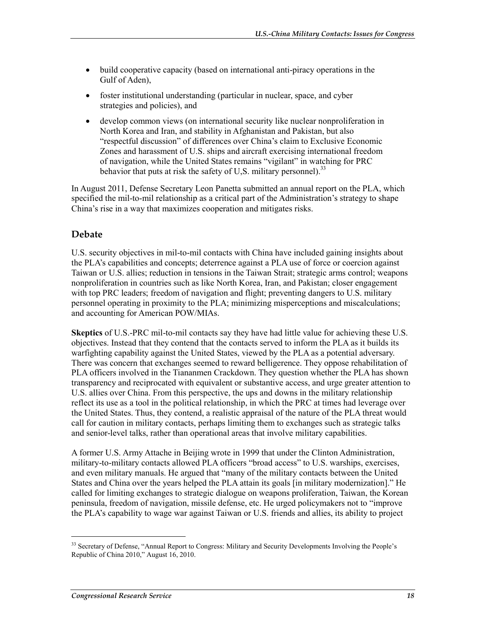- build cooperative capacity (based on international anti-piracy operations in the Gulf of Aden),
- foster institutional understanding (particular in nuclear, space, and cyber strategies and policies), and
- develop common views (on international security like nuclear nonproliferation in North Korea and Iran, and stability in Afghanistan and Pakistan, but also "respectful discussion" of differences over China's claim to Exclusive Economic Zones and harassment of U.S. ships and aircraft exercising international freedom of navigation, while the United States remains "vigilant" in watching for PRC behavior that puts at risk the safety of U,S. military personnel).<sup>33</sup>

In August 2011, Defense Secretary Leon Panetta submitted an annual report on the PLA, which specified the mil-to-mil relationship as a critical part of the Administration's strategy to shape China's rise in a way that maximizes cooperation and mitigates risks.

#### **Debate**

U.S. security objectives in mil-to-mil contacts with China have included gaining insights about the PLA's capabilities and concepts; deterrence against a PLA use of force or coercion against Taiwan or U.S. allies; reduction in tensions in the Taiwan Strait; strategic arms control; weapons nonproliferation in countries such as like North Korea, Iran, and Pakistan; closer engagement with top PRC leaders; freedom of navigation and flight; preventing dangers to U.S. military personnel operating in proximity to the PLA; minimizing misperceptions and miscalculations; and accounting for American POW/MIAs.

**Skeptics** of U.S.-PRC mil-to-mil contacts say they have had little value for achieving these U.S. objectives. Instead that they contend that the contacts served to inform the PLA as it builds its warfighting capability against the United States, viewed by the PLA as a potential adversary. There was concern that exchanges seemed to reward belligerence. They oppose rehabilitation of PLA officers involved in the Tiananmen Crackdown. They question whether the PLA has shown transparency and reciprocated with equivalent or substantive access, and urge greater attention to U.S. allies over China. From this perspective, the ups and downs in the military relationship reflect its use as a tool in the political relationship, in which the PRC at times had leverage over the United States. Thus, they contend, a realistic appraisal of the nature of the PLA threat would call for caution in military contacts, perhaps limiting them to exchanges such as strategic talks and senior-level talks, rather than operational areas that involve military capabilities.

A former U.S. Army Attache in Beijing wrote in 1999 that under the Clinton Administration, military-to-military contacts allowed PLA officers "broad access" to U.S. warships, exercises, and even military manuals. He argued that "many of the military contacts between the United States and China over the years helped the PLA attain its goals [in military modernization]." He called for limiting exchanges to strategic dialogue on weapons proliferation, Taiwan, the Korean peninsula, freedom of navigation, missile defense, etc. He urged policymakers not to "improve the PLA's capability to wage war against Taiwan or U.S. friends and allies, its ability to project

<sup>&</sup>lt;sup>33</sup> Secretary of Defense, "Annual Report to Congress: Military and Security Developments Involving the People's Republic of China 2010," August 16, 2010.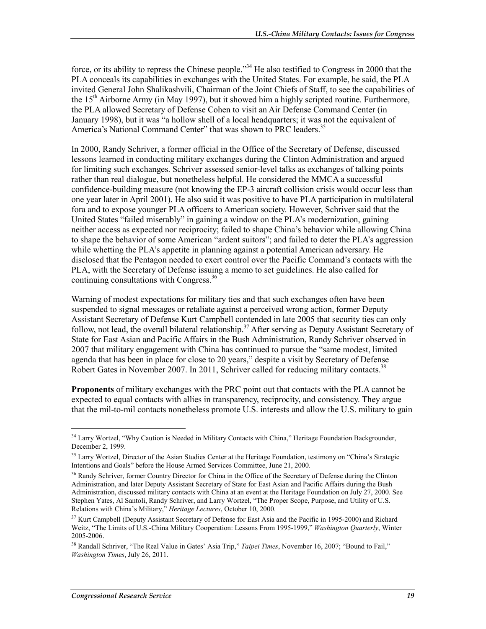force, or its ability to repress the Chinese people."<sup>34</sup> He also testified to Congress in 2000 that the PLA conceals its capabilities in exchanges with the United States. For example, he said, the PLA invited General John Shalikashvili, Chairman of the Joint Chiefs of Staff, to see the capabilities of the  $15<sup>th</sup>$  Airborne Army (in May 1997), but it showed him a highly scripted routine. Furthermore, the PLA allowed Secretary of Defense Cohen to visit an Air Defense Command Center (in January 1998), but it was "a hollow shell of a local headquarters; it was not the equivalent of America's National Command Center" that was shown to PRC leaders.<sup>35</sup>

In 2000, Randy Schriver, a former official in the Office of the Secretary of Defense, discussed lessons learned in conducting military exchanges during the Clinton Administration and argued for limiting such exchanges. Schriver assessed senior-level talks as exchanges of talking points rather than real dialogue, but nonetheless helpful. He considered the MMCA a successful confidence-building measure (not knowing the EP-3 aircraft collision crisis would occur less than one year later in April 2001). He also said it was positive to have PLA participation in multilateral fora and to expose younger PLA officers to American society. However, Schriver said that the United States "failed miserably" in gaining a window on the PLA's modernization, gaining neither access as expected nor reciprocity; failed to shape China's behavior while allowing China to shape the behavior of some American "ardent suitors"; and failed to deter the PLA's aggression while whetting the PLA's appetite in planning against a potential American adversary. He disclosed that the Pentagon needed to exert control over the Pacific Command's contacts with the PLA, with the Secretary of Defense issuing a memo to set guidelines. He also called for continuing consultations with Congress.<sup>36</sup>

Warning of modest expectations for military ties and that such exchanges often have been suspended to signal messages or retaliate against a perceived wrong action, former Deputy Assistant Secretary of Defense Kurt Campbell contended in late 2005 that security ties can only follow, not lead, the overall bilateral relationship.<sup>37</sup> After serving as Deputy Assistant Secretary of State for East Asian and Pacific Affairs in the Bush Administration, Randy Schriver observed in 2007 that military engagement with China has continued to pursue the "same modest, limited agenda that has been in place for close to 20 years," despite a visit by Secretary of Defense Robert Gates in November 2007. In 2011, Schriver called for reducing military contacts.<sup>38</sup>

**Proponents** of military exchanges with the PRC point out that contacts with the PLA cannot be expected to equal contacts with allies in transparency, reciprocity, and consistency. They argue that the mil-to-mil contacts nonetheless promote U.S. interests and allow the U.S. military to gain

 $\overline{a}$ 

<sup>&</sup>lt;sup>34</sup> Larry Wortzel, "Why Caution is Needed in Military Contacts with China," Heritage Foundation Backgrounder, December 2, 1999.

<sup>&</sup>lt;sup>35</sup> Larry Wortzel, Director of the Asian Studies Center at the Heritage Foundation, testimony on "China's Strategic Intentions and Goals" before the House Armed Services Committee, June 21, 2000.

<sup>&</sup>lt;sup>36</sup> Randy Schriver, former Country Director for China in the Office of the Secretary of Defense during the Clinton Administration, and later Deputy Assistant Secretary of State for East Asian and Pacific Affairs during the Bush Administration, discussed military contacts with China at an event at the Heritage Foundation on July 27, 2000. See Stephen Yates, Al Santoli, Randy Schriver, and Larry Wortzel, "The Proper Scope, Purpose, and Utility of U.S. Relations with China's Military," *Heritage Lectures*, October 10, 2000.

<sup>&</sup>lt;sup>37</sup> Kurt Campbell (Deputy Assistant Secretary of Defense for East Asia and the Pacific in 1995-2000) and Richard Weitz, "The Limits of U.S.-China Military Cooperation: Lessons From 1995-1999," *Washington Quarterly*, Winter 2005-2006.

<sup>&</sup>lt;sup>38</sup> Randall Schriver, "The Real Value in Gates' Asia Trip," *Taipei Times*, November 16, 2007; "Bound to Fail," *Washington Times*, July 26, 2011.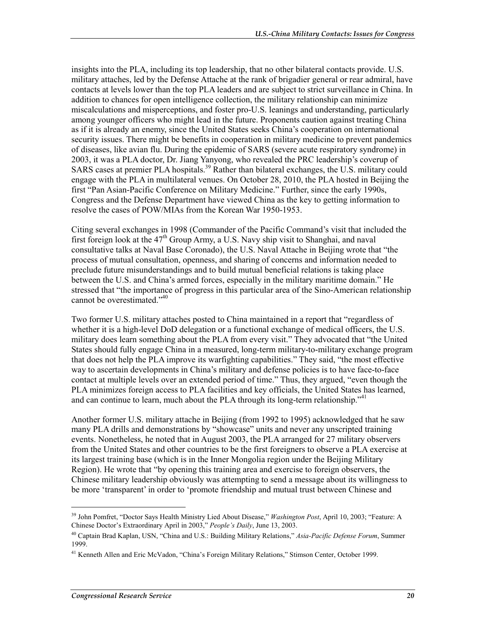insights into the PLA, including its top leadership, that no other bilateral contacts provide. U.S. military attaches, led by the Defense Attache at the rank of brigadier general or rear admiral, have contacts at levels lower than the top PLA leaders and are subject to strict surveillance in China. In addition to chances for open intelligence collection, the military relationship can minimize miscalculations and misperceptions, and foster pro-U.S. leanings and understanding, particularly among younger officers who might lead in the future. Proponents caution against treating China as if it is already an enemy, since the United States seeks China's cooperation on international security issues. There might be benefits in cooperation in military medicine to prevent pandemics of diseases, like avian flu. During the epidemic of SARS (severe acute respiratory syndrome) in 2003, it was a PLA doctor, Dr. Jiang Yanyong, who revealed the PRC leadership's coverup of SARS cases at premier PLA hospitals.<sup>39</sup> Rather than bilateral exchanges, the U.S. military could engage with the PLA in multilateral venues. On October 28, 2010, the PLA hosted in Beijing the first "Pan Asian-Pacific Conference on Military Medicine." Further, since the early 1990s, Congress and the Defense Department have viewed China as the key to getting information to resolve the cases of POW/MIAs from the Korean War 1950-1953.

Citing several exchanges in 1998 (Commander of the Pacific Command's visit that included the first foreign look at the  $47<sup>th</sup>$  Group Army, a U.S. Navy ship visit to Shanghai, and naval consultative talks at Naval Base Coronado), the U.S. Naval Attache in Beijing wrote that "the process of mutual consultation, openness, and sharing of concerns and information needed to preclude future misunderstandings and to build mutual beneficial relations is taking place between the U.S. and China's armed forces, especially in the military maritime domain." He stressed that "the importance of progress in this particular area of the Sino-American relationship cannot be overestimated."<sup>40</sup>

Two former U.S. military attaches posted to China maintained in a report that "regardless of whether it is a high-level DoD delegation or a functional exchange of medical officers, the U.S. military does learn something about the PLA from every visit." They advocated that "the United States should fully engage China in a measured, long-term military-to-military exchange program that does not help the PLA improve its warfighting capabilities." They said, "the most effective way to ascertain developments in China's military and defense policies is to have face-to-face contact at multiple levels over an extended period of time." Thus, they argued, "even though the PLA minimizes foreign access to PLA facilities and key officials, the United States has learned, and can continue to learn, much about the PLA through its long-term relationship.<sup> $14$ </sup>

Another former U.S. military attache in Beijing (from 1992 to 1995) acknowledged that he saw many PLA drills and demonstrations by "showcase" units and never any unscripted training events. Nonetheless, he noted that in August 2003, the PLA arranged for 27 military observers from the United States and other countries to be the first foreigners to observe a PLA exercise at its largest training base (which is in the Inner Mongolia region under the Beijing Military Region). He wrote that "by opening this training area and exercise to foreign observers, the Chinese military leadership obviously was attempting to send a message about its willingness to be more 'transparent' in order to 'promote friendship and mutual trust between Chinese and

<sup>39</sup> John Pomfret, "Doctor Says Health Ministry Lied About Disease," *Washington Post*, April 10, 2003; "Feature: A Chinese Doctor's Extraordinary April in 2003," *People's Daily*, June 13, 2003.

<sup>40</sup> Captain Brad Kaplan, USN, "China and U.S.: Building Military Relations," *Asia-Pacific Defense Forum*, Summer 1999.

<sup>&</sup>lt;sup>41</sup> Kenneth Allen and Eric McVadon, "China's Foreign Military Relations," Stimson Center, October 1999.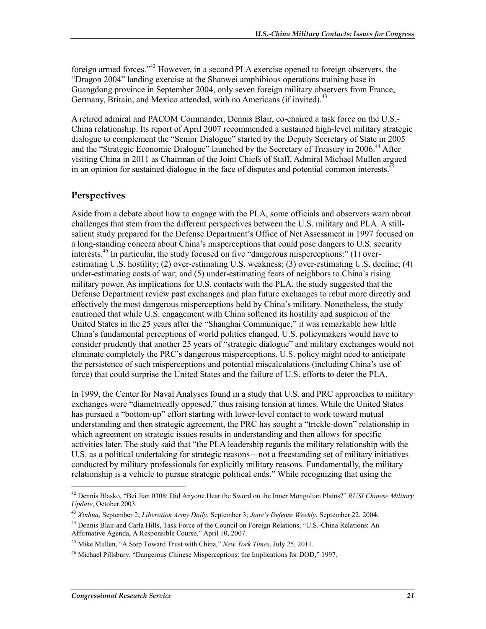foreign armed forces."42 However, in a second PLA exercise opened to foreign observers, the "Dragon 2004" landing exercise at the Shanwei amphibious operations training base in Guangdong province in September 2004, only seven foreign military observers from France, Germany, Britain, and Mexico attended, with no Americans (if invited).<sup>43</sup>

A retired admiral and PACOM Commander, Dennis Blair, co-chaired a task force on the U.S.- China relationship. Its report of April 2007 recommended a sustained high-level military strategic dialogue to complement the "Senior Dialogue" started by the Deputy Secretary of State in 2005 and the "Strategic Economic Dialogue" launched by the Secretary of Treasury in 2006.<sup>44</sup> After visiting China in 2011 as Chairman of the Joint Chiefs of Staff, Admiral Michael Mullen argued in an opinion for sustained dialogue in the face of disputes and potential common interests.<sup>45</sup>

#### **Perspectives**

Aside from a debate about how to engage with the PLA, some officials and observers warn about challenges that stem from the different perspectives between the U.S. military and PLA. A stillsalient study prepared for the Defense Department's Office of Net Assessment in 1997 focused on a long-standing concern about China's misperceptions that could pose dangers to U.S. security interests.<sup>46</sup> In particular, the study focused on five "dangerous misperceptions:" (1) overestimating U.S. hostility; (2) over-estimating U.S. weakness; (3) over-estimating U.S. decline; (4) under-estimating costs of war; and (5) under-estimating fears of neighbors to China's rising military power. As implications for U.S. contacts with the PLA, the study suggested that the Defense Department review past exchanges and plan future exchanges to rebut more directly and effectively the most dangerous misperceptions held by China's military. Nonetheless, the study cautioned that while U.S. engagement with China softened its hostility and suspicion of the United States in the 25 years after the "Shanghai Communique," it was remarkable how little China's fundamental perceptions of world politics changed. U.S. policymakers would have to consider prudently that another 25 years of "strategic dialogue" and military exchanges would not eliminate completely the PRC's dangerous misperceptions. U.S. policy might need to anticipate the persistence of such misperceptions and potential miscalculations (including China's use of force) that could surprise the United States and the failure of U.S. efforts to deter the PLA.

In 1999, the Center for Naval Analyses found in a study that U.S. and PRC approaches to military exchanges were "diametrically opposed," thus raising tension at times. While the United States has pursued a "bottom-up" effort starting with lower-level contact to work toward mutual understanding and then strategic agreement, the PRC has sought a "trickle-down" relationship in which agreement on strategic issues results in understanding and then allows for specific activities later. The study said that "the PLA leadership regards the military relationship with the U.S. as a political undertaking for strategic reasons—not a freestanding set of military initiatives conducted by military professionals for explicitly military reasons. Fundamentally, the military relationship is a vehicle to pursue strategic political ends." While recognizing that using the

<sup>42</sup> Dennis Blasko, "Bei Jian 0308: Did Anyone Hear the Sword on the Inner Mongolian Plains?" *RUSI Chinese Military Update*, October 2003.

<sup>43</sup> *Xinhua*, September 2; *Liberation Army Daily*, September 3; *Jane's Defense Weekly*, September 22, 2004.

<sup>44</sup> Dennis Blair and Carla Hills, Task Force of the Council on Foreign Relations, "U.S.-China Relations: An Affirmative Agenda, A Responsible Course," April 10, 2007.

<sup>45</sup> Mike Mullen, "A Step Toward Trust with China," *New York Times*, July 25, 2011.

<sup>46</sup> Michael Pillsbury, "Dangerous Chinese Misperceptions: the Implications for DOD," 1997.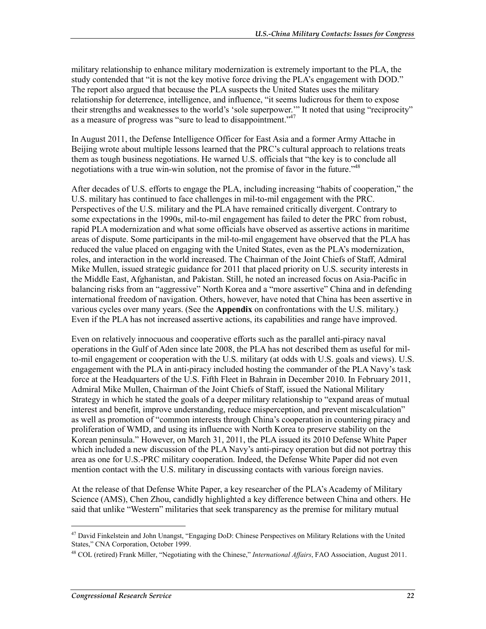military relationship to enhance military modernization is extremely important to the PLA, the study contended that "it is not the key motive force driving the PLA's engagement with DOD." The report also argued that because the PLA suspects the United States uses the military relationship for deterrence, intelligence, and influence, "it seems ludicrous for them to expose their strengths and weaknesses to the world's 'sole superpower.'" It noted that using "reciprocity" as a measure of progress was "sure to lead to disappointment."47

In August 2011, the Defense Intelligence Officer for East Asia and a former Army Attache in Beijing wrote about multiple lessons learned that the PRC's cultural approach to relations treats them as tough business negotiations. He warned U.S. officials that "the key is to conclude all negotiations with a true win-win solution, not the promise of favor in the future.<sup>748</sup>

After decades of U.S. efforts to engage the PLA, including increasing "habits of cooperation," the U.S. military has continued to face challenges in mil-to-mil engagement with the PRC. Perspectives of the U.S. military and the PLA have remained critically divergent. Contrary to some expectations in the 1990s, mil-to-mil engagement has failed to deter the PRC from robust, rapid PLA modernization and what some officials have observed as assertive actions in maritime areas of dispute. Some participants in the mil-to-mil engagement have observed that the PLA has reduced the value placed on engaging with the United States, even as the PLA's modernization, roles, and interaction in the world increased. The Chairman of the Joint Chiefs of Staff, Admiral Mike Mullen, issued strategic guidance for 2011 that placed priority on U.S. security interests in the Middle East, Afghanistan, and Pakistan. Still, he noted an increased focus on Asia-Pacific in balancing risks from an "aggressive" North Korea and a "more assertive" China and in defending international freedom of navigation. Others, however, have noted that China has been assertive in various cycles over many years. (See the **Appendix** on confrontations with the U.S. military.) Even if the PLA has not increased assertive actions, its capabilities and range have improved.

Even on relatively innocuous and cooperative efforts such as the parallel anti-piracy naval operations in the Gulf of Aden since late 2008, the PLA has not described them as useful for milto-mil engagement or cooperation with the U.S. military (at odds with U.S. goals and views). U.S. engagement with the PLA in anti-piracy included hosting the commander of the PLA Navy's task force at the Headquarters of the U.S. Fifth Fleet in Bahrain in December 2010. In February 2011, Admiral Mike Mullen, Chairman of the Joint Chiefs of Staff, issued the National Military Strategy in which he stated the goals of a deeper military relationship to "expand areas of mutual interest and benefit, improve understanding, reduce misperception, and prevent miscalculation" as well as promotion of "common interests through China's cooperation in countering piracy and proliferation of WMD, and using its influence with North Korea to preserve stability on the Korean peninsula." However, on March 31, 2011, the PLA issued its 2010 Defense White Paper which included a new discussion of the PLA Navy's anti-piracy operation but did not portray this area as one for U.S.-PRC military cooperation. Indeed, the Defense White Paper did not even mention contact with the U.S. military in discussing contacts with various foreign navies.

At the release of that Defense White Paper, a key researcher of the PLA's Academy of Military Science (AMS), Chen Zhou, candidly highlighted a key difference between China and others. He said that unlike "Western" militaries that seek transparency as the premise for military mutual

<sup>&</sup>lt;sup>47</sup> David Finkelstein and John Unangst, "Engaging DoD: Chinese Perspectives on Military Relations with the United States," CNA Corporation, October 1999.

<sup>48</sup> COL (retired) Frank Miller, "Negotiating with the Chinese," *International Affairs*, FAO Association, August 2011.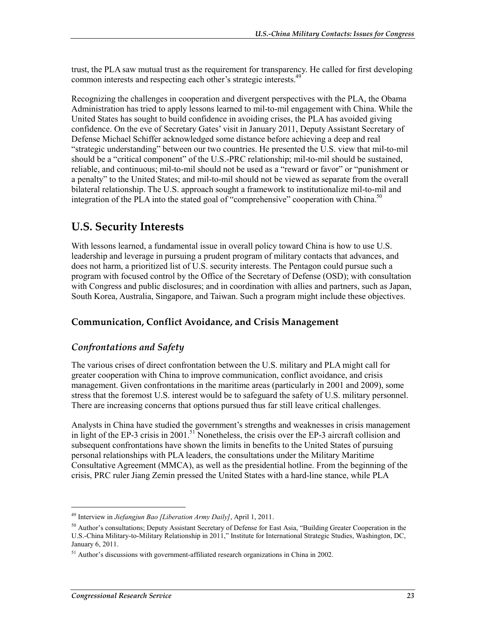trust, the PLA saw mutual trust as the requirement for transparency. He called for first developing common interests and respecting each other's strategic interests.<sup>49</sup>

Recognizing the challenges in cooperation and divergent perspectives with the PLA, the Obama Administration has tried to apply lessons learned to mil-to-mil engagement with China. While the United States has sought to build confidence in avoiding crises, the PLA has avoided giving confidence. On the eve of Secretary Gates' visit in January 2011, Deputy Assistant Secretary of Defense Michael Schiffer acknowledged some distance before achieving a deep and real "strategic understanding" between our two countries. He presented the U.S. view that mil-to-mil should be a "critical component" of the U.S.-PRC relationship; mil-to-mil should be sustained, reliable, and continuous; mil-to-mil should not be used as a "reward or favor" or "punishment or a penalty" to the United States; and mil-to-mil should not be viewed as separate from the overall bilateral relationship. The U.S. approach sought a framework to institutionalize mil-to-mil and integration of the PLA into the stated goal of "comprehensive" cooperation with China.<sup>50</sup>

## **U.S. Security Interests**

With lessons learned, a fundamental issue in overall policy toward China is how to use U.S. leadership and leverage in pursuing a prudent program of military contacts that advances, and does not harm, a prioritized list of U.S. security interests. The Pentagon could pursue such a program with focused control by the Office of the Secretary of Defense (OSD); with consultation with Congress and public disclosures; and in coordination with allies and partners, such as Japan, South Korea, Australia, Singapore, and Taiwan. Such a program might include these objectives.

#### **Communication, Conflict Avoidance, and Crisis Management**

#### *Confrontations and Safety*

The various crises of direct confrontation between the U.S. military and PLA might call for greater cooperation with China to improve communication, conflict avoidance, and crisis management. Given confrontations in the maritime areas (particularly in 2001 and 2009), some stress that the foremost U.S. interest would be to safeguard the safety of U.S. military personnel. There are increasing concerns that options pursued thus far still leave critical challenges.

Analysts in China have studied the government's strengths and weaknesses in crisis management in light of the EP-3 crisis in 2001.<sup>51</sup> Nonetheless, the crisis over the EP-3 aircraft collision and subsequent confrontations have shown the limits in benefits to the United States of pursuing personal relationships with PLA leaders, the consultations under the Military Maritime Consultative Agreement (MMCA), as well as the presidential hotline. From the beginning of the crisis, PRC ruler Jiang Zemin pressed the United States with a hard-line stance, while PLA

<sup>49</sup> Interview in *Jiefangjun Bao [Liberation Army Daily]*, April 1, 2011.

 $50$  Author's consultations; Deputy Assistant Secretary of Defense for East Asia, "Building Greater Cooperation in the U.S.-China Military-to-Military Relationship in 2011," Institute for International Strategic Studies, Washington, DC, January 6, 2011.

 $51$  Author's discussions with government-affiliated research organizations in China in 2002.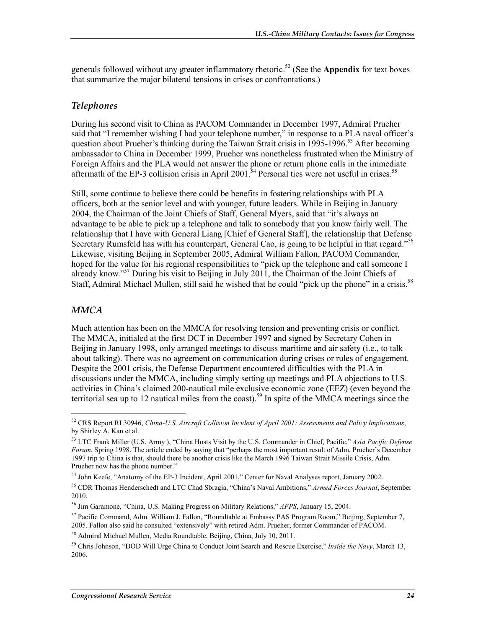generals followed without any greater inflammatory rhetoric.<sup>52</sup> (See the **Appendix** for text boxes that summarize the major bilateral tensions in crises or confrontations.)

#### *Telephones*

During his second visit to China as PACOM Commander in December 1997, Admiral Prueher said that "I remember wishing I had your telephone number," in response to a PLA naval officer's question about Prueher's thinking during the Taiwan Strait crisis in 1995-1996.<sup>53</sup> After becoming ambassador to China in December 1999, Prueher was nonetheless frustrated when the Ministry of Foreign Affairs and the PLA would not answer the phone or return phone calls in the immediate aftermath of the EP-3 collision crisis in April 2001.<sup>34</sup> Personal ties were not useful in crises.<sup>55</sup>

Still, some continue to believe there could be benefits in fostering relationships with PLA officers, both at the senior level and with younger, future leaders. While in Beijing in January 2004, the Chairman of the Joint Chiefs of Staff, General Myers, said that "it's always an advantage to be able to pick up a telephone and talk to somebody that you know fairly well. The relationship that I have with General Liang [Chief of General Staff], the relationship that Defense Secretary Rumsfeld has with his counterpart, General Cao, is going to be helpful in that regard."<sup>56</sup> Likewise, visiting Beijing in September 2005, Admiral William Fallon, PACOM Commander, hoped for the value for his regional responsibilities to "pick up the telephone and call someone I already know."57 During his visit to Beijing in July 2011, the Chairman of the Joint Chiefs of Staff, Admiral Michael Mullen, still said he wished that he could "pick up the phone" in a crisis.<sup>58</sup>

#### *MMCA*

1

Much attention has been on the MMCA for resolving tension and preventing crisis or conflict. The MMCA, initialed at the first DCT in December 1997 and signed by Secretary Cohen in Beijing in January 1998, only arranged meetings to discuss maritime and air safety (i.e., to talk about talking). There was no agreement on communication during crises or rules of engagement. Despite the 2001 crisis, the Defense Department encountered difficulties with the PLA in discussions under the MMCA, including simply setting up meetings and PLA objections to U.S. activities in China's claimed 200-nautical mile exclusive economic zone (EEZ) (even beyond the territorial sea up to 12 nautical miles from the coast).<sup>59</sup> In spite of the MMCA meetings since the

<sup>52</sup> CRS Report RL30946, *China-U.S. Aircraft Collision Incident of April 2001: Assessments and Policy Implications*, by Shirley A. Kan et al.

<sup>53</sup> LTC Frank Miller (U.S. Army ), "China Hosts Visit by the U.S. Commander in Chief, Pacific," *Asia Pacific Defense Forum*, Spring 1998. The article ended by saying that "perhaps the most important result of Adm. Prueher's December 1997 trip to China is that, should there be another crisis like the March 1996 Taiwan Strait Missile Crisis, Adm. Prueher now has the phone number."

<sup>54</sup> John Keefe, "Anatomy of the EP-3 Incident, April 2001," Center for Naval Analyses report, January 2002.

<sup>55</sup> CDR Thomas Henderschedt and LTC Chad Sbragia, "China's Naval Ambitions," *Armed Forces Journal*, September 2010.

<sup>56</sup> Jim Garamone, "China, U.S. Making Progress on Military Relations," *AFPS*, January 15, 2004.

<sup>57</sup> Pacific Command, Adm. William J. Fallon, "Roundtable at Embassy PAS Program Room," Beijing, September 7, 2005. Fallon also said he consulted "extensively" with retired Adm. Prueher, former Commander of PACOM.

<sup>58</sup> Admiral Michael Mullen, Media Roundtable, Beijing, China, July 10, 2011.

<sup>59</sup> Chris Johnson, "DOD Will Urge China to Conduct Joint Search and Rescue Exercise," *Inside the Navy*, March 13, 2006.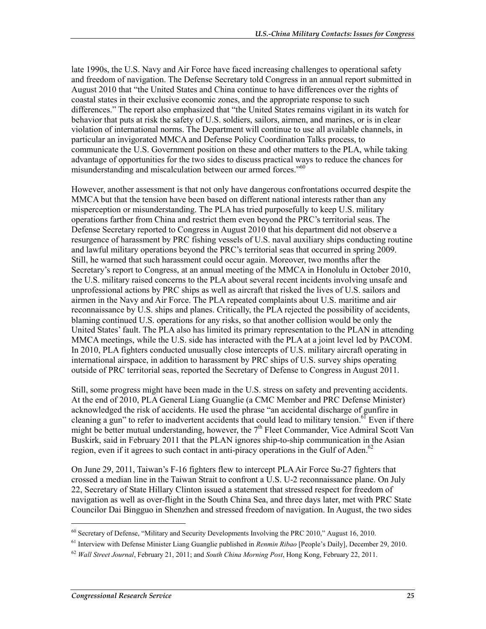late 1990s, the U.S. Navy and Air Force have faced increasing challenges to operational safety and freedom of navigation. The Defense Secretary told Congress in an annual report submitted in August 2010 that "the United States and China continue to have differences over the rights of coastal states in their exclusive economic zones, and the appropriate response to such differences." The report also emphasized that "the United States remains vigilant in its watch for behavior that puts at risk the safety of U.S. soldiers, sailors, airmen, and marines, or is in clear violation of international norms. The Department will continue to use all available channels, in particular an invigorated MMCA and Defense Policy Coordination Talks process, to communicate the U.S. Government position on these and other matters to the PLA, while taking advantage of opportunities for the two sides to discuss practical ways to reduce the chances for misunderstanding and miscalculation between our armed forces."<sup>60</sup>

However, another assessment is that not only have dangerous confrontations occurred despite the MMCA but that the tension have been based on different national interests rather than any misperception or misunderstanding. The PLA has tried purposefully to keep U.S. military operations farther from China and restrict them even beyond the PRC's territorial seas. The Defense Secretary reported to Congress in August 2010 that his department did not observe a resurgence of harassment by PRC fishing vessels of U.S. naval auxiliary ships conducting routine and lawful military operations beyond the PRC's territorial seas that occurred in spring 2009. Still, he warned that such harassment could occur again. Moreover, two months after the Secretary's report to Congress, at an annual meeting of the MMCA in Honolulu in October 2010, the U.S. military raised concerns to the PLA about several recent incidents involving unsafe and unprofessional actions by PRC ships as well as aircraft that risked the lives of U.S. sailors and airmen in the Navy and Air Force. The PLA repeated complaints about U.S. maritime and air reconnaissance by U.S. ships and planes. Critically, the PLA rejected the possibility of accidents, blaming continued U.S. operations for any risks, so that another collision would be only the United States' fault. The PLA also has limited its primary representation to the PLAN in attending MMCA meetings, while the U.S. side has interacted with the PLA at a joint level led by PACOM. In 2010, PLA fighters conducted unusually close intercepts of U.S. military aircraft operating in international airspace, in addition to harassment by PRC ships of U.S. survey ships operating outside of PRC territorial seas, reported the Secretary of Defense to Congress in August 2011.

Still, some progress might have been made in the U.S. stress on safety and preventing accidents. At the end of 2010, PLA General Liang Guanglie (a CMC Member and PRC Defense Minister) acknowledged the risk of accidents. He used the phrase "an accidental discharge of gunfire in cleaning a gun" to refer to inadvertent accidents that could lead to military tension.<sup>61</sup> Even if there might be better mutual understanding, however, the  $7<sup>th</sup>$  Fleet Commander, Vice Admiral Scott Van Buskirk, said in February 2011 that the PLAN ignores ship-to-ship communication in the Asian region, even if it agrees to such contact in anti-piracy operations in the Gulf of Aden.<sup>62</sup>

On June 29, 2011, Taiwan's F-16 fighters flew to intercept PLA Air Force Su-27 fighters that crossed a median line in the Taiwan Strait to confront a U.S. U-2 reconnaissance plane. On July 22, Secretary of State Hillary Clinton issued a statement that stressed respect for freedom of navigation as well as over-flight in the South China Sea, and three days later, met with PRC State Councilor Dai Bingguo in Shenzhen and stressed freedom of navigation. In August, the two sides

<sup>60</sup> Secretary of Defense, "Military and Security Developments Involving the PRC 2010," August 16, 2010.

<sup>61</sup> Interview with Defense Minister Liang Guanglie published in *Renmin Ribao* [People's Daily], December 29, 2010.

<sup>62</sup> *Wall Street Journal*, February 21, 2011; and *South China Morning Post*, Hong Kong, February 22, 2011.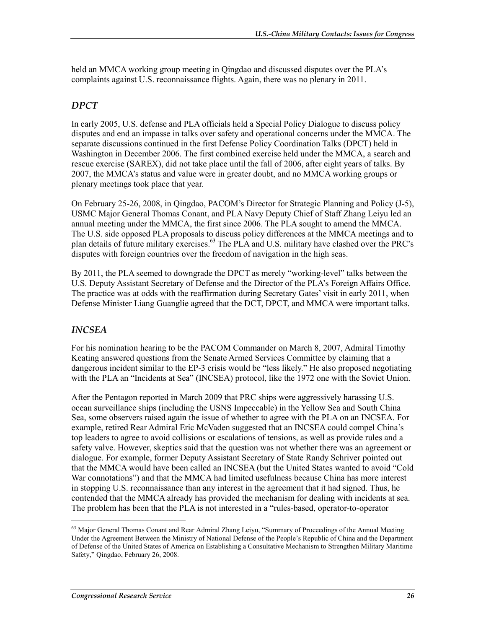held an MMCA working group meeting in Qingdao and discussed disputes over the PLA's complaints against U.S. reconnaissance flights. Again, there was no plenary in 2011.

#### *DPCT*

In early 2005, U.S. defense and PLA officials held a Special Policy Dialogue to discuss policy disputes and end an impasse in talks over safety and operational concerns under the MMCA. The separate discussions continued in the first Defense Policy Coordination Talks (DPCT) held in Washington in December 2006. The first combined exercise held under the MMCA, a search and rescue exercise (SAREX), did not take place until the fall of 2006, after eight years of talks. By 2007, the MMCA's status and value were in greater doubt, and no MMCA working groups or plenary meetings took place that year.

On February 25-26, 2008, in Qingdao, PACOM's Director for Strategic Planning and Policy (J-5), USMC Major General Thomas Conant, and PLA Navy Deputy Chief of Staff Zhang Leiyu led an annual meeting under the MMCA, the first since 2006. The PLA sought to amend the MMCA. The U.S. side opposed PLA proposals to discuss policy differences at the MMCA meetings and to plan details of future military exercises.63 The PLA and U.S. military have clashed over the PRC's disputes with foreign countries over the freedom of navigation in the high seas.

By 2011, the PLA seemed to downgrade the DPCT as merely "working-level" talks between the U.S. Deputy Assistant Secretary of Defense and the Director of the PLA's Foreign Affairs Office. The practice was at odds with the reaffirmation during Secretary Gates' visit in early 2011, when Defense Minister Liang Guanglie agreed that the DCT, DPCT, and MMCA were important talks.

#### *INCSEA*

1

For his nomination hearing to be the PACOM Commander on March 8, 2007, Admiral Timothy Keating answered questions from the Senate Armed Services Committee by claiming that a dangerous incident similar to the EP-3 crisis would be "less likely." He also proposed negotiating with the PLA an "Incidents at Sea" (INCSEA) protocol, like the 1972 one with the Soviet Union.

After the Pentagon reported in March 2009 that PRC ships were aggressively harassing U.S. ocean surveillance ships (including the USNS Impeccable) in the Yellow Sea and South China Sea, some observers raised again the issue of whether to agree with the PLA on an INCSEA. For example, retired Rear Admiral Eric McVaden suggested that an INCSEA could compel China's top leaders to agree to avoid collisions or escalations of tensions, as well as provide rules and a safety valve. However, skeptics said that the question was not whether there was an agreement or dialogue. For example, former Deputy Assistant Secretary of State Randy Schriver pointed out that the MMCA would have been called an INCSEA (but the United States wanted to avoid "Cold War connotations") and that the MMCA had limited usefulness because China has more interest in stopping U.S. reconnaissance than any interest in the agreement that it had signed. Thus, he contended that the MMCA already has provided the mechanism for dealing with incidents at sea. The problem has been that the PLA is not interested in a "rules-based, operator-to-operator

<sup>&</sup>lt;sup>63</sup> Major General Thomas Conant and Rear Admiral Zhang Leiyu, "Summary of Proceedings of the Annual Meeting Under the Agreement Between the Ministry of National Defense of the People's Republic of China and the Department of Defense of the United States of America on Establishing a Consultative Mechanism to Strengthen Military Maritime Safety," Qingdao, February 26, 2008.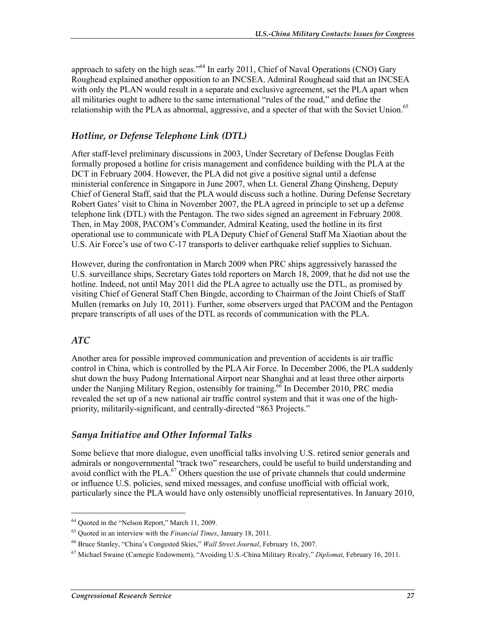approach to safety on the high seas."<sup>64</sup> In early 2011, Chief of Naval Operations (CNO) Gary Roughead explained another opposition to an INCSEA. Admiral Roughead said that an INCSEA with only the PLAN would result in a separate and exclusive agreement, set the PLA apart when all militaries ought to adhere to the same international "rules of the road," and define the relationship with the PLA as abnormal, aggressive, and a specter of that with the Soviet Union.<sup>65</sup>

#### *Hotline, or Defense Telephone Link (DTL)*

After staff-level preliminary discussions in 2003, Under Secretary of Defense Douglas Feith formally proposed a hotline for crisis management and confidence building with the PLA at the DCT in February 2004. However, the PLA did not give a positive signal until a defense ministerial conference in Singapore in June 2007, when Lt. General Zhang Qinsheng, Deputy Chief of General Staff, said that the PLA would discuss such a hotline. During Defense Secretary Robert Gates' visit to China in November 2007, the PLA agreed in principle to set up a defense telephone link (DTL) with the Pentagon. The two sides signed an agreement in February 2008. Then, in May 2008, PACOM's Commander, Admiral Keating, used the hotline in its first operational use to communicate with PLA Deputy Chief of General Staff Ma Xiaotian about the U.S. Air Force's use of two C-17 transports to deliver earthquake relief supplies to Sichuan.

However, during the confrontation in March 2009 when PRC ships aggressively harassed the U.S. surveillance ships, Secretary Gates told reporters on March 18, 2009, that he did not use the hotline. Indeed, not until May 2011 did the PLA agree to actually use the DTL, as promised by visiting Chief of General Staff Chen Bingde, according to Chairman of the Joint Chiefs of Staff Mullen (remarks on July 10, 2011). Further, some observers urged that PACOM and the Pentagon prepare transcripts of all uses of the DTL as records of communication with the PLA.

#### *ATC*

1

Another area for possible improved communication and prevention of accidents is air traffic control in China, which is controlled by the PLA Air Force. In December 2006, the PLA suddenly shut down the busy Pudong International Airport near Shanghai and at least three other airports under the Nanjing Military Region, ostensibly for training.<sup>66</sup> In December 2010, PRC media revealed the set up of a new national air traffic control system and that it was one of the highpriority, militarily-significant, and centrally-directed "863 Projects."

#### *Sanya Initiative and Other Informal Talks*

Some believe that more dialogue, even unofficial talks involving U.S. retired senior generals and admirals or nongovernmental "track two" researchers, could be useful to build understanding and avoid conflict with the PLA. $^{67}$  Others question the use of private channels that could undermine or influence U.S. policies, send mixed messages, and confuse unofficial with official work, particularly since the PLA would have only ostensibly unofficial representatives. In January 2010,

<sup>64</sup> Quoted in the "Nelson Report," March 11, 2009.

<sup>65</sup> Quoted in an interview with the *Financial Times*, January 18, 2011.

<sup>66</sup> Bruce Stanley, "China's Congested Skies," *Wall Street Journal*, February 16, 2007.

<sup>67</sup> Michael Swaine (Carnegie Endowment), "Avoiding U.S.-China Military Rivalry," *Diplomat*, February 16, 2011.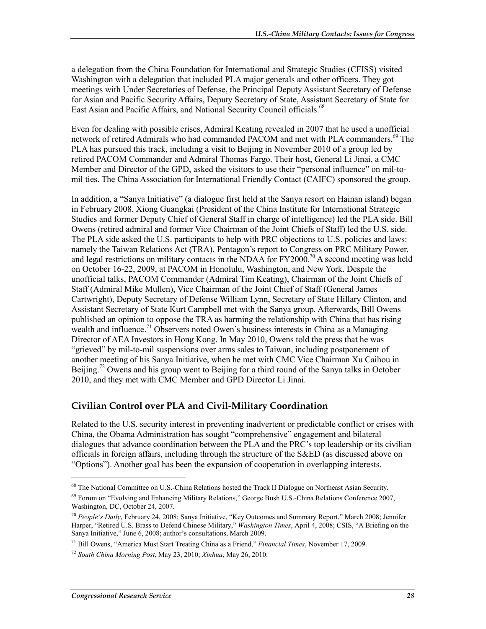a delegation from the China Foundation for International and Strategic Studies (CFISS) visited Washington with a delegation that included PLA major generals and other officers. They got meetings with Under Secretaries of Defense, the Principal Deputy Assistant Secretary of Defense for Asian and Pacific Security Affairs, Deputy Secretary of State, Assistant Secretary of State for East Asian and Pacific Affairs, and National Security Council officials.<sup>68</sup>

Even for dealing with possible crises, Admiral Keating revealed in 2007 that he used a unofficial network of retired Admirals who had commanded PACOM and met with PLA commanders.<sup>69</sup> The PLA has pursued this track, including a visit to Beijing in November 2010 of a group led by retired PACOM Commander and Admiral Thomas Fargo. Their host, General Li Jinai, a CMC Member and Director of the GPD, asked the visitors to use their "personal influence" on mil-tomil ties. The China Association for International Friendly Contact (CAIFC) sponsored the group.

In addition, a "Sanya Initiative" (a dialogue first held at the Sanya resort on Hainan island) began in February 2008. Xiong Guangkai (President of the China Institute for International Strategic Studies and former Deputy Chief of General Staff in charge of intelligence) led the PLA side. Bill Owens (retired admiral and former Vice Chairman of the Joint Chiefs of Staff) led the U.S. side. The PLA side asked the U.S. participants to help with PRC objections to U.S. policies and laws: namely the Taiwan Relations Act (TRA), Pentagon's report to Congress on PRC Military Power, and legal restrictions on military contacts in the NDAA for FY2000.<sup>70</sup> A second meeting was held on October 16-22, 2009, at PACOM in Honolulu, Washington, and New York. Despite the unofficial talks, PACOM Commander (Admiral Tim Keating), Chairman of the Joint Chiefs of Staff (Admiral Mike Mullen), Vice Chairman of the Joint Chief of Staff (General James Cartwright), Deputy Secretary of Defense William Lynn, Secretary of State Hillary Clinton, and Assistant Secretary of State Kurt Campbell met with the Sanya group. Afterwards, Bill Owens published an opinion to oppose the TRA as harming the relationship with China that has rising wealth and influence.<sup>71</sup> Observers noted Owen's business interests in China as a Managing Director of AEA Investors in Hong Kong. In May 2010, Owens told the press that he was "grieved" by mil-to-mil suspensions over arms sales to Taiwan, including postponement of another meeting of his Sanya Initiative, when he met with CMC Vice Chairman Xu Caihou in Beijing.<sup>72</sup> Owens and his group went to Beijing for a third round of the Sanya talks in October 2010, and they met with CMC Member and GPD Director Li Jinai.

#### **Civilian Control over PLA and Civil-Military Coordination**

Related to the U.S. security interest in preventing inadvertent or predictable conflict or crises with China, the Obama Administration has sought "comprehensive" engagement and bilateral dialogues that advance coordination between the PLA and the PRC's top leadership or its civilian officials in foreign affairs, including through the structure of the S&ED (as discussed above on "Options"). Another goal has been the expansion of cooperation in overlapping interests.

<sup>68</sup> The National Committee on U.S.-China Relations hosted the Track II Dialogue on Northeast Asian Security.

<sup>69</sup> Forum on "Evolving and Enhancing Military Relations," George Bush U.S.-China Relations Conference 2007, Washington, DC, October 24, 2007.

<sup>70</sup> *People's Daily*, February 24, 2008; Sanya Initiative, "Key Outcomes and Summary Report," March 2008; Jennifer Harper, "Retired U.S. Brass to Defend Chinese Military," *Washington Times*, April 4, 2008; CSIS, "A Briefing on the Sanya Initiative," June 6, 2008; author's consultations, March 2009.

<sup>71</sup> Bill Owens, "America Must Start Treating China as a Friend," *Financial Times*, November 17, 2009.

<sup>72</sup> *South China Morning Post*, May 23, 2010; *Xinhua*, May 26, 2010.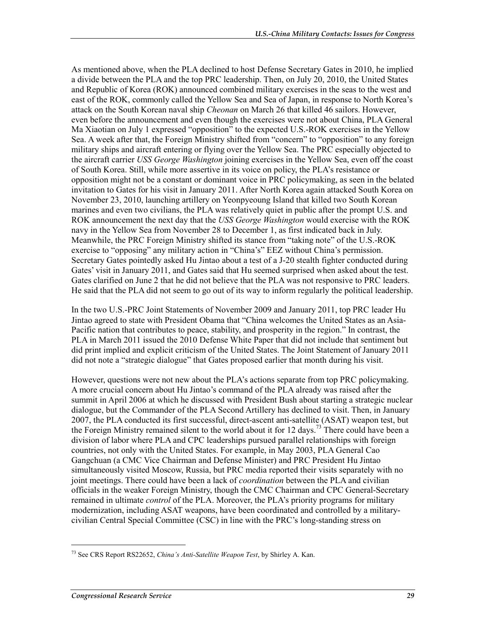As mentioned above, when the PLA declined to host Defense Secretary Gates in 2010, he implied a divide between the PLA and the top PRC leadership. Then, on July 20, 2010, the United States and Republic of Korea (ROK) announced combined military exercises in the seas to the west and east of the ROK, commonly called the Yellow Sea and Sea of Japan, in response to North Korea's attack on the South Korean naval ship *Cheonan* on March 26 that killed 46 sailors. However, even before the announcement and even though the exercises were not about China, PLA General Ma Xiaotian on July 1 expressed "opposition" to the expected U.S.-ROK exercises in the Yellow Sea. A week after that, the Foreign Ministry shifted from "concern" to "opposition" to any foreign military ships and aircraft entering or flying over the Yellow Sea. The PRC especially objected to the aircraft carrier *USS George Washington* joining exercises in the Yellow Sea, even off the coast of South Korea. Still, while more assertive in its voice on policy, the PLA's resistance or opposition might not be a constant or dominant voice in PRC policymaking, as seen in the belated invitation to Gates for his visit in January 2011. After North Korea again attacked South Korea on November 23, 2010, launching artillery on Yeonpyeoung Island that killed two South Korean marines and even two civilians, the PLA was relatively quiet in public after the prompt U.S. and ROK announcement the next day that the *USS George Washington* would exercise with the ROK navy in the Yellow Sea from November 28 to December 1, as first indicated back in July. Meanwhile, the PRC Foreign Ministry shifted its stance from "taking note" of the U.S.-ROK exercise to "opposing" any military action in "China's" EEZ without China's permission. Secretary Gates pointedly asked Hu Jintao about a test of a J-20 stealth fighter conducted during Gates' visit in January 2011, and Gates said that Hu seemed surprised when asked about the test. Gates clarified on June 2 that he did not believe that the PLA was not responsive to PRC leaders. He said that the PLA did not seem to go out of its way to inform regularly the political leadership.

In the two U.S.-PRC Joint Statements of November 2009 and January 2011, top PRC leader Hu Jintao agreed to state with President Obama that "China welcomes the United States as an Asia-Pacific nation that contributes to peace, stability, and prosperity in the region." In contrast, the PLA in March 2011 issued the 2010 Defense White Paper that did not include that sentiment but did print implied and explicit criticism of the United States. The Joint Statement of January 2011 did not note a "strategic dialogue" that Gates proposed earlier that month during his visit.

However, questions were not new about the PLA's actions separate from top PRC policymaking. A more crucial concern about Hu Jintao's command of the PLA already was raised after the summit in April 2006 at which he discussed with President Bush about starting a strategic nuclear dialogue, but the Commander of the PLA Second Artillery has declined to visit. Then, in January 2007, the PLA conducted its first successful, direct-ascent anti-satellite (ASAT) weapon test, but the Foreign Ministry remained silent to the world about it for 12 days.<sup>73</sup> There could have been a division of labor where PLA and CPC leaderships pursued parallel relationships with foreign countries, not only with the United States. For example, in May 2003, PLA General Cao Gangchuan (a CMC Vice Chairman and Defense Minister) and PRC President Hu Jintao simultaneously visited Moscow, Russia, but PRC media reported their visits separately with no joint meetings. There could have been a lack of *coordination* between the PLA and civilian officials in the weaker Foreign Ministry, though the CMC Chairman and CPC General-Secretary remained in ultimate *control* of the PLA. Moreover, the PLA's priority programs for military modernization, including ASAT weapons, have been coordinated and controlled by a militarycivilian Central Special Committee (CSC) in line with the PRC's long-standing stress on

<sup>73</sup> See CRS Report RS22652, *China's Anti-Satellite Weapon Test*, by Shirley A. Kan.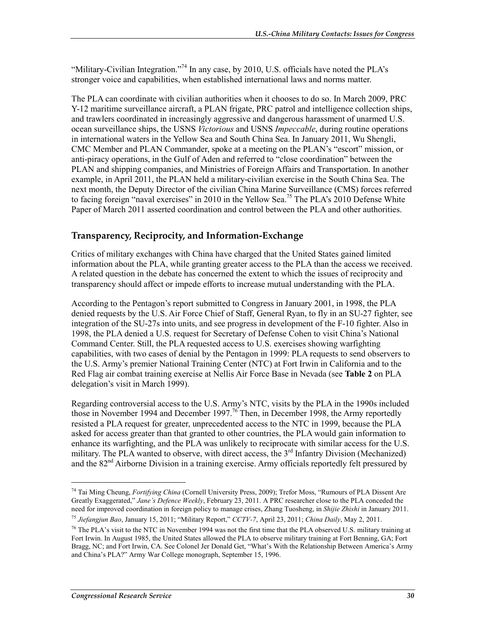"Military-Civilian Integration."<sup>74</sup> In any case, by 2010, U.S. officials have noted the PLA's stronger voice and capabilities, when established international laws and norms matter.

The PLA can coordinate with civilian authorities when it chooses to do so. In March 2009, PRC Y-12 maritime surveillance aircraft, a PLAN frigate, PRC patrol and intelligence collection ships, and trawlers coordinated in increasingly aggressive and dangerous harassment of unarmed U.S. ocean surveillance ships, the USNS *Victorious* and USNS *Impeccable*, during routine operations in international waters in the Yellow Sea and South China Sea. In January 2011, Wu Shengli, CMC Member and PLAN Commander, spoke at a meeting on the PLAN's "escort" mission, or anti-piracy operations, in the Gulf of Aden and referred to "close coordination" between the PLAN and shipping companies, and Ministries of Foreign Affairs and Transportation. In another example, in April 2011, the PLAN held a military-civilian exercise in the South China Sea. The next month, the Deputy Director of the civilian China Marine Surveillance (CMS) forces referred to facing foreign "naval exercises" in 2010 in the Yellow Sea.<sup>75</sup> The PLA's 2010 Defense White Paper of March 2011 asserted coordination and control between the PLA and other authorities.

#### **Transparency, Reciprocity, and Information-Exchange**

Critics of military exchanges with China have charged that the United States gained limited information about the PLA, while granting greater access to the PLA than the access we received. A related question in the debate has concerned the extent to which the issues of reciprocity and transparency should affect or impede efforts to increase mutual understanding with the PLA.

According to the Pentagon's report submitted to Congress in January 2001, in 1998, the PLA denied requests by the U.S. Air Force Chief of Staff, General Ryan, to fly in an SU-27 fighter, see integration of the SU-27s into units, and see progress in development of the F-10 fighter. Also in 1998, the PLA denied a U.S. request for Secretary of Defense Cohen to visit China's National Command Center. Still, the PLA requested access to U.S. exercises showing warfighting capabilities, with two cases of denial by the Pentagon in 1999: PLA requests to send observers to the U.S. Army's premier National Training Center (NTC) at Fort Irwin in California and to the Red Flag air combat training exercise at Nellis Air Force Base in Nevada (see **Table 2** on PLA delegation's visit in March 1999).

Regarding controversial access to the U.S. Army's NTC, visits by the PLA in the 1990s included those in November 1994 and December 1997.<sup>76</sup> Then, in December 1998, the Army reportedly resisted a PLA request for greater, unprecedented access to the NTC in 1999, because the PLA asked for access greater than that granted to other countries, the PLA would gain information to enhance its warfighting, and the PLA was unlikely to reciprocate with similar access for the U.S. military. The PLA wanted to observe, with direct access, the  $3<sup>rd</sup>$  Infantry Division (Mechanized) and the  $82<sup>nd</sup>$  Airborne Division in a training exercise. Army officials reportedly felt pressured by

<sup>74</sup> Tai Ming Cheung, *Fortifying China* (Cornell University Press, 2009); Trefor Moss, "Rumours of PLA Dissent Are Greatly Exaggerated," *Jane's Defence Weekly*, February 23, 2011. A PRC researcher close to the PLA conceded the need for improved coordination in foreign policy to manage crises, Zhang Tuosheng, in *Shijie Zhishi* in January 2011.

<sup>75</sup> *Jiefangjun Bao*, January 15, 2011; "Military Report," *CCTV-7*, April 23, 2011; *China Daily*, May 2, 2011.

<sup>&</sup>lt;sup>76</sup> The PLA's visit to the NTC in November 1994 was not the first time that the PLA observed U.S. military training at Fort Irwin. In August 1985, the United States allowed the PLA to observe military training at Fort Benning, GA; Fort Bragg, NC; and Fort Irwin, CA. See Colonel Jer Donald Get, "What's With the Relationship Between America's Army and China's PLA?" Army War College monograph, September 15, 1996.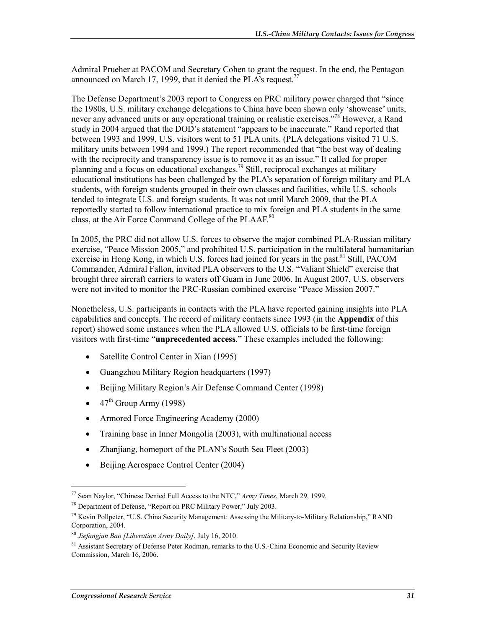Admiral Prueher at PACOM and Secretary Cohen to grant the request. In the end, the Pentagon announced on March 17, 1999, that it denied the PLA's request.<sup>7</sup>

The Defense Department's 2003 report to Congress on PRC military power charged that "since the 1980s, U.S. military exchange delegations to China have been shown only 'showcase' units, never any advanced units or any operational training or realistic exercises."<sup>78</sup> However, a Rand study in 2004 argued that the DOD's statement "appears to be inaccurate." Rand reported that between 1993 and 1999, U.S. visitors went to 51 PLA units. (PLA delegations visited 71 U.S. military units between 1994 and 1999.) The report recommended that "the best way of dealing with the reciprocity and transparency issue is to remove it as an issue." It called for proper planning and a focus on educational exchanges.<sup>79</sup> Still, reciprocal exchanges at military educational institutions has been challenged by the PLA's separation of foreign military and PLA students, with foreign students grouped in their own classes and facilities, while U.S. schools tended to integrate U.S. and foreign students. It was not until March 2009, that the PLA reportedly started to follow international practice to mix foreign and PLA students in the same class, at the Air Force Command College of the PLAAF.<sup>80</sup>

In 2005, the PRC did not allow U.S. forces to observe the major combined PLA-Russian military exercise, "Peace Mission 2005," and prohibited U.S. participation in the multilateral humanitarian exercise in Hong Kong, in which U.S. forces had joined for years in the past.<sup>81</sup> Still, PACOM Commander, Admiral Fallon, invited PLA observers to the U.S. "Valiant Shield" exercise that brought three aircraft carriers to waters off Guam in June 2006. In August 2007, U.S. observers were not invited to monitor the PRC-Russian combined exercise "Peace Mission 2007."

Nonetheless, U.S. participants in contacts with the PLA have reported gaining insights into PLA capabilities and concepts. The record of military contacts since 1993 (in the **Appendix** of this report) showed some instances when the PLA allowed U.S. officials to be first-time foreign visitors with first-time "**unprecedented access**." These examples included the following:

- Satellite Control Center in Xian (1995)
- Guangzhou Military Region headquarters (1997)
- Beijing Military Region's Air Defense Command Center (1998)
- $\bullet$  47<sup>th</sup> Group Army (1998)
- Armored Force Engineering Academy (2000)
- Training base in Inner Mongolia (2003), with multinational access
- Zhanjiang, homeport of the PLAN's South Sea Fleet (2003)
- Beijing Aerospace Control Center (2004)

<sup>77</sup> Sean Naylor, "Chinese Denied Full Access to the NTC," *Army Times*, March 29, 1999.

<sup>78</sup> Department of Defense, "Report on PRC Military Power," July 2003.

<sup>&</sup>lt;sup>79</sup> Kevin Pollpeter, "U.S. China Security Management: Assessing the Military-to-Military Relationship," RAND Corporation, 2004.

<sup>80</sup> *Jiefangjun Bao [Liberation Army Daily]*, July 16, 2010.

<sup>&</sup>lt;sup>81</sup> Assistant Secretary of Defense Peter Rodman, remarks to the U.S.-China Economic and Security Review Commission, March 16, 2006.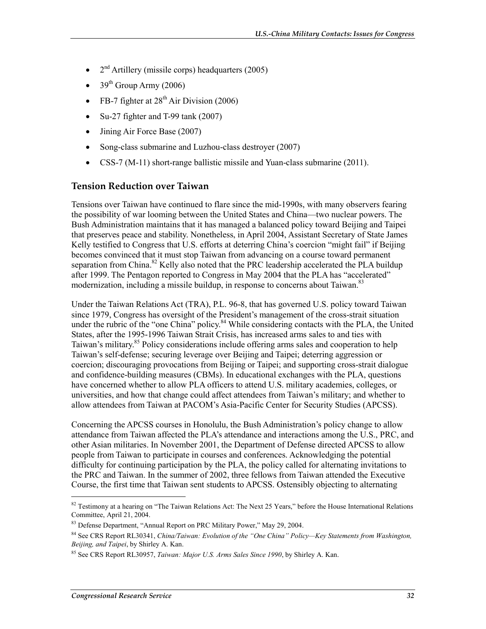- $2<sup>nd</sup>$  Artillery (missile corps) headquarters (2005)
- $39<sup>th</sup>$  Group Army (2006)
- FB-7 fighter at  $28<sup>th</sup>$  Air Division (2006)
- Su-27 fighter and T-99 tank (2007)
- Jining Air Force Base (2007)
- Song-class submarine and Luzhou-class destroyer (2007)
- CSS-7 (M-11) short-range ballistic missile and Yuan-class submarine (2011).

#### **Tension Reduction over Taiwan**

Tensions over Taiwan have continued to flare since the mid-1990s, with many observers fearing the possibility of war looming between the United States and China—two nuclear powers. The Bush Administration maintains that it has managed a balanced policy toward Beijing and Taipei that preserves peace and stability. Nonetheless, in April 2004, Assistant Secretary of State James Kelly testified to Congress that U.S. efforts at deterring China's coercion "might fail" if Beijing becomes convinced that it must stop Taiwan from advancing on a course toward permanent separation from China.<sup>82</sup> Kelly also noted that the PRC leadership accelerated the PLA buildup after 1999. The Pentagon reported to Congress in May 2004 that the PLA has "accelerated" modernization, including a missile buildup, in response to concerns about Taiwan.<sup>83</sup>

Under the Taiwan Relations Act (TRA), P.L. 96-8, that has governed U.S. policy toward Taiwan since 1979, Congress has oversight of the President's management of the cross-strait situation under the rubric of the "one China" policy.<sup>84</sup> While considering contacts with the PLA, the United States, after the 1995-1996 Taiwan Strait Crisis, has increased arms sales to and ties with Taiwan's military.<sup>85</sup> Policy considerations include offering arms sales and cooperation to help Taiwan's self-defense; securing leverage over Beijing and Taipei; deterring aggression or coercion; discouraging provocations from Beijing or Taipei; and supporting cross-strait dialogue and confidence-building measures (CBMs). In educational exchanges with the PLA, questions have concerned whether to allow PLA officers to attend U.S. military academies, colleges, or universities, and how that change could affect attendees from Taiwan's military; and whether to allow attendees from Taiwan at PACOM's Asia-Pacific Center for Security Studies (APCSS).

Concerning the APCSS courses in Honolulu, the Bush Administration's policy change to allow attendance from Taiwan affected the PLA's attendance and interactions among the U.S., PRC, and other Asian militaries. In November 2001, the Department of Defense directed APCSS to allow people from Taiwan to participate in courses and conferences. Acknowledging the potential difficulty for continuing participation by the PLA, the policy called for alternating invitations to the PRC and Taiwan. In the summer of 2002, three fellows from Taiwan attended the Executive Course, the first time that Taiwan sent students to APCSS. Ostensibly objecting to alternating

 $\overline{\phantom{a}}$ 

 $82$  Testimony at a hearing on "The Taiwan Relations Act: The Next 25 Years," before the House International Relations Committee, April 21, 2004.

<sup>&</sup>lt;sup>83</sup> Defense Department, "Annual Report on PRC Military Power," May 29, 2004.

<sup>84</sup> See CRS Report RL30341, *China/Taiwan: Evolution of the "One China" Policy—Key Statements from Washington, Beijing, and Taipei*, by Shirley A. Kan.

<sup>85</sup> See CRS Report RL30957, *Taiwan: Major U.S. Arms Sales Since 1990*, by Shirley A. Kan.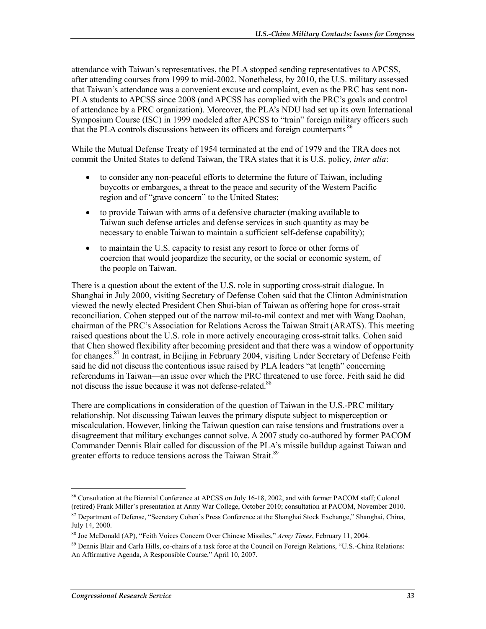attendance with Taiwan's representatives, the PLA stopped sending representatives to APCSS, after attending courses from 1999 to mid-2002. Nonetheless, by 2010, the U.S. military assessed that Taiwan's attendance was a convenient excuse and complaint, even as the PRC has sent non-PLA students to APCSS since 2008 (and APCSS has complied with the PRC's goals and control of attendance by a PRC organization). Moreover, the PLA's NDU had set up its own International Symposium Course (ISC) in 1999 modeled after APCSS to "train" foreign military officers such that the PLA controls discussions between its officers and foreign counterparts  $^{86}$ 

While the Mutual Defense Treaty of 1954 terminated at the end of 1979 and the TRA does not commit the United States to defend Taiwan, the TRA states that it is U.S. policy, *inter alia*:

- to consider any non-peaceful efforts to determine the future of Taiwan, including boycotts or embargoes, a threat to the peace and security of the Western Pacific region and of "grave concern" to the United States;
- to provide Taiwan with arms of a defensive character (making available to Taiwan such defense articles and defense services in such quantity as may be necessary to enable Taiwan to maintain a sufficient self-defense capability);
- to maintain the U.S. capacity to resist any resort to force or other forms of coercion that would jeopardize the security, or the social or economic system, of the people on Taiwan.

There is a question about the extent of the U.S. role in supporting cross-strait dialogue. In Shanghai in July 2000, visiting Secretary of Defense Cohen said that the Clinton Administration viewed the newly elected President Chen Shui-bian of Taiwan as offering hope for cross-strait reconciliation. Cohen stepped out of the narrow mil-to-mil context and met with Wang Daohan, chairman of the PRC's Association for Relations Across the Taiwan Strait (ARATS). This meeting raised questions about the U.S. role in more actively encouraging cross-strait talks. Cohen said that Chen showed flexibility after becoming president and that there was a window of opportunity for changes.87 In contrast, in Beijing in February 2004, visiting Under Secretary of Defense Feith said he did not discuss the contentious issue raised by PLA leaders "at length" concerning referendums in Taiwan—an issue over which the PRC threatened to use force. Feith said he did not discuss the issue because it was not defense-related.<sup>88</sup>

There are complications in consideration of the question of Taiwan in the U.S.-PRC military relationship. Not discussing Taiwan leaves the primary dispute subject to misperception or miscalculation. However, linking the Taiwan question can raise tensions and frustrations over a disagreement that military exchanges cannot solve. A 2007 study co-authored by former PACOM Commander Dennis Blair called for discussion of the PLA's missile buildup against Taiwan and greater efforts to reduce tensions across the Taiwan Strait.<sup>89</sup>

<sup>86</sup> Consultation at the Biennial Conference at APCSS on July 16-18, 2002, and with former PACOM staff; Colonel (retired) Frank Miller's presentation at Army War College, October 2010; consultation at PACOM, November 2010.

<sup>&</sup>lt;sup>87</sup> Department of Defense, "Secretary Cohen's Press Conference at the Shanghai Stock Exchange," Shanghai, China, July 14, 2000.

<sup>88</sup> Joe McDonald (AP), "Feith Voices Concern Over Chinese Missiles," *Army Times*, February 11, 2004.

<sup>89</sup> Dennis Blair and Carla Hills, co-chairs of a task force at the Council on Foreign Relations, "U.S.-China Relations: An Affirmative Agenda, A Responsible Course," April 10, 2007.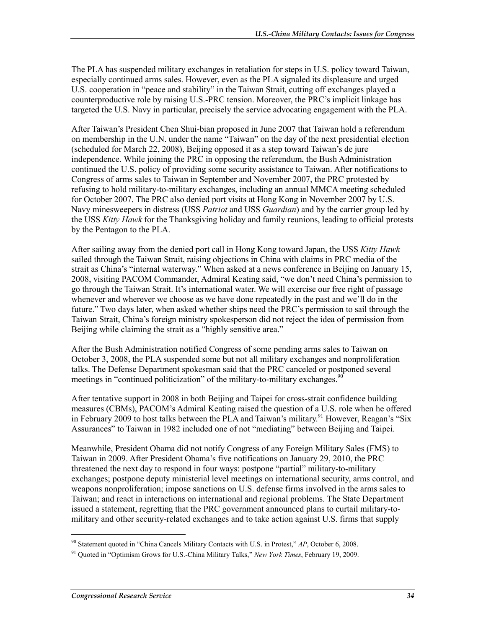The PLA has suspended military exchanges in retaliation for steps in U.S. policy toward Taiwan, especially continued arms sales. However, even as the PLA signaled its displeasure and urged U.S. cooperation in "peace and stability" in the Taiwan Strait, cutting off exchanges played a counterproductive role by raising U.S.-PRC tension. Moreover, the PRC's implicit linkage has targeted the U.S. Navy in particular, precisely the service advocating engagement with the PLA.

After Taiwan's President Chen Shui-bian proposed in June 2007 that Taiwan hold a referendum on membership in the U.N. under the name "Taiwan" on the day of the next presidential election (scheduled for March 22, 2008), Beijing opposed it as a step toward Taiwan's de jure independence. While joining the PRC in opposing the referendum, the Bush Administration continued the U.S. policy of providing some security assistance to Taiwan. After notifications to Congress of arms sales to Taiwan in September and November 2007, the PRC protested by refusing to hold military-to-military exchanges, including an annual MMCA meeting scheduled for October 2007. The PRC also denied port visits at Hong Kong in November 2007 by U.S. Navy minesweepers in distress (USS *Patriot* and USS *Guardian*) and by the carrier group led by the USS *Kitty Hawk* for the Thanksgiving holiday and family reunions, leading to official protests by the Pentagon to the PLA.

After sailing away from the denied port call in Hong Kong toward Japan, the USS *Kitty Hawk* sailed through the Taiwan Strait, raising objections in China with claims in PRC media of the strait as China's "internal waterway." When asked at a news conference in Beijing on January 15, 2008, visiting PACOM Commander, Admiral Keating said, "we don't need China's permission to go through the Taiwan Strait. It's international water. We will exercise our free right of passage whenever and wherever we choose as we have done repeatedly in the past and we'll do in the future." Two days later, when asked whether ships need the PRC's permission to sail through the Taiwan Strait, China's foreign ministry spokesperson did not reject the idea of permission from Beijing while claiming the strait as a "highly sensitive area."

After the Bush Administration notified Congress of some pending arms sales to Taiwan on October 3, 2008, the PLA suspended some but not all military exchanges and nonproliferation talks. The Defense Department spokesman said that the PRC canceled or postponed several meetings in "continued politicization" of the military-to-military exchanges.<sup>91</sup>

After tentative support in 2008 in both Beijing and Taipei for cross-strait confidence building measures (CBMs), PACOM's Admiral Keating raised the question of a U.S. role when he offered in February 2009 to host talks between the PLA and Taiwan's military.<sup>91</sup> However, Reagan's "Six" Assurances" to Taiwan in 1982 included one of not "mediating" between Beijing and Taipei.

Meanwhile, President Obama did not notify Congress of any Foreign Military Sales (FMS) to Taiwan in 2009. After President Obama's five notifications on January 29, 2010, the PRC threatened the next day to respond in four ways: postpone "partial" military-to-military exchanges; postpone deputy ministerial level meetings on international security, arms control, and weapons nonproliferation; impose sanctions on U.S. defense firms involved in the arms sales to Taiwan; and react in interactions on international and regional problems. The State Department issued a statement, regretting that the PRC government announced plans to curtail military-tomilitary and other security-related exchanges and to take action against U.S. firms that supply

<sup>90</sup> Statement quoted in "China Cancels Military Contacts with U.S. in Protest," *AP*, October 6, 2008.

<sup>91</sup> Quoted in "Optimism Grows for U.S.-China Military Talks," *New York Times*, February 19, 2009.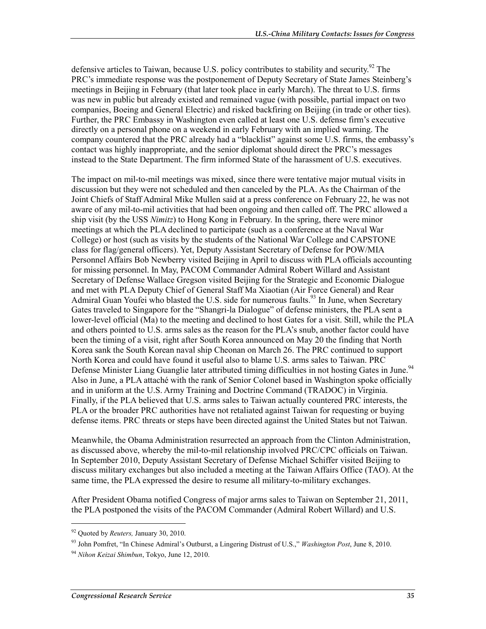defensive articles to Taiwan, because U.S. policy contributes to stability and security.<sup>92</sup> The PRC's immediate response was the postponement of Deputy Secretary of State James Steinberg's meetings in Beijing in February (that later took place in early March). The threat to U.S. firms was new in public but already existed and remained vague (with possible, partial impact on two companies, Boeing and General Electric) and risked backfiring on Beijing (in trade or other ties). Further, the PRC Embassy in Washington even called at least one U.S. defense firm's executive directly on a personal phone on a weekend in early February with an implied warning. The company countered that the PRC already had a "blacklist" against some U.S. firms, the embassy's contact was highly inappropriate, and the senior diplomat should direct the PRC's messages instead to the State Department. The firm informed State of the harassment of U.S. executives.

The impact on mil-to-mil meetings was mixed, since there were tentative major mutual visits in discussion but they were not scheduled and then canceled by the PLA. As the Chairman of the Joint Chiefs of Staff Admiral Mike Mullen said at a press conference on February 22, he was not aware of any mil-to-mil activities that had been ongoing and then called off. The PRC allowed a ship visit (by the USS *Nimitz*) to Hong Kong in February. In the spring, there were minor meetings at which the PLA declined to participate (such as a conference at the Naval War College) or host (such as visits by the students of the National War College and CAPSTONE class for flag/general officers). Yet, Deputy Assistant Secretary of Defense for POW/MIA Personnel Affairs Bob Newberry visited Beijing in April to discuss with PLA officials accounting for missing personnel. In May, PACOM Commander Admiral Robert Willard and Assistant Secretary of Defense Wallace Gregson visited Beijing for the Strategic and Economic Dialogue and met with PLA Deputy Chief of General Staff Ma Xiaotian (Air Force General) and Rear Admiral Guan Youfei who blasted the U.S. side for numerous faults.<sup>93</sup> In June, when Secretary Gates traveled to Singapore for the "Shangri-la Dialogue" of defense ministers, the PLA sent a lower-level official (Ma) to the meeting and declined to host Gates for a visit. Still, while the PLA and others pointed to U.S. arms sales as the reason for the PLA's snub, another factor could have been the timing of a visit, right after South Korea announced on May 20 the finding that North Korea sank the South Korean naval ship Cheonan on March 26. The PRC continued to support North Korea and could have found it useful also to blame U.S. arms sales to Taiwan. PRC Defense Minister Liang Guanglie later attributed timing difficulties in not hosting Gates in June.<sup>94</sup> Also in June, a PLA attaché with the rank of Senior Colonel based in Washington spoke officially and in uniform at the U.S. Army Training and Doctrine Command (TRADOC) in Virginia. Finally, if the PLA believed that U.S. arms sales to Taiwan actually countered PRC interests, the PLA or the broader PRC authorities have not retaliated against Taiwan for requesting or buying defense items. PRC threats or steps have been directed against the United States but not Taiwan.

Meanwhile, the Obama Administration resurrected an approach from the Clinton Administration, as discussed above, whereby the mil-to-mil relationship involved PRC/CPC officials on Taiwan. In September 2010, Deputy Assistant Secretary of Defense Michael Schiffer visited Beijing to discuss military exchanges but also included a meeting at the Taiwan Affairs Office (TAO). At the same time, the PLA expressed the desire to resume all military-to-military exchanges.

After President Obama notified Congress of major arms sales to Taiwan on September 21, 2011, the PLA postponed the visits of the PACOM Commander (Admiral Robert Willard) and U.S.

<sup>92</sup> Quoted by *Reuters,* January 30, 2010.

<sup>93</sup> John Pomfret, "In Chinese Admiral's Outburst, a Lingering Distrust of U.S.," *Washington Post*, June 8, 2010.

<sup>94</sup> *Nihon Keizai Shimbun*, Tokyo, June 12, 2010.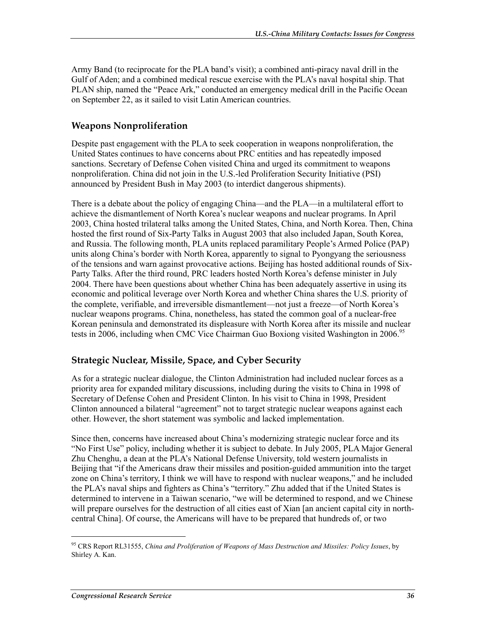Army Band (to reciprocate for the PLA band's visit); a combined anti-piracy naval drill in the Gulf of Aden; and a combined medical rescue exercise with the PLA's naval hospital ship. That PLAN ship, named the "Peace Ark," conducted an emergency medical drill in the Pacific Ocean on September 22, as it sailed to visit Latin American countries.

# **Weapons Nonproliferation**

Despite past engagement with the PLA to seek cooperation in weapons nonproliferation, the United States continues to have concerns about PRC entities and has repeatedly imposed sanctions. Secretary of Defense Cohen visited China and urged its commitment to weapons nonproliferation. China did not join in the U.S.-led Proliferation Security Initiative (PSI) announced by President Bush in May 2003 (to interdict dangerous shipments).

There is a debate about the policy of engaging China—and the PLA—in a multilateral effort to achieve the dismantlement of North Korea's nuclear weapons and nuclear programs. In April 2003, China hosted trilateral talks among the United States, China, and North Korea. Then, China hosted the first round of Six-Party Talks in August 2003 that also included Japan, South Korea, and Russia. The following month, PLA units replaced paramilitary People's Armed Police (PAP) units along China's border with North Korea, apparently to signal to Pyongyang the seriousness of the tensions and warn against provocative actions. Beijing has hosted additional rounds of Six-Party Talks. After the third round, PRC leaders hosted North Korea's defense minister in July 2004. There have been questions about whether China has been adequately assertive in using its economic and political leverage over North Korea and whether China shares the U.S. priority of the complete, verifiable, and irreversible dismantlement—not just a freeze—of North Korea's nuclear weapons programs. China, nonetheless, has stated the common goal of a nuclear-free Korean peninsula and demonstrated its displeasure with North Korea after its missile and nuclear tests in 2006, including when CMC Vice Chairman Guo Boxiong visited Washington in 2006.<sup>95</sup>

# **Strategic Nuclear, Missile, Space, and Cyber Security**

As for a strategic nuclear dialogue, the Clinton Administration had included nuclear forces as a priority area for expanded military discussions, including during the visits to China in 1998 of Secretary of Defense Cohen and President Clinton. In his visit to China in 1998, President Clinton announced a bilateral "agreement" not to target strategic nuclear weapons against each other. However, the short statement was symbolic and lacked implementation.

Since then, concerns have increased about China's modernizing strategic nuclear force and its "No First Use" policy, including whether it is subject to debate. In July 2005, PLA Major General Zhu Chenghu, a dean at the PLA's National Defense University, told western journalists in Beijing that "if the Americans draw their missiles and position-guided ammunition into the target zone on China's territory, I think we will have to respond with nuclear weapons," and he included the PLA's naval ships and fighters as China's "territory." Zhu added that if the United States is determined to intervene in a Taiwan scenario, "we will be determined to respond, and we Chinese will prepare ourselves for the destruction of all cities east of Xian [an ancient capital city in northcentral China]. Of course, the Americans will have to be prepared that hundreds of, or two

<sup>95</sup> CRS Report RL31555, *China and Proliferation of Weapons of Mass Destruction and Missiles: Policy Issues*, by Shirley A. Kan.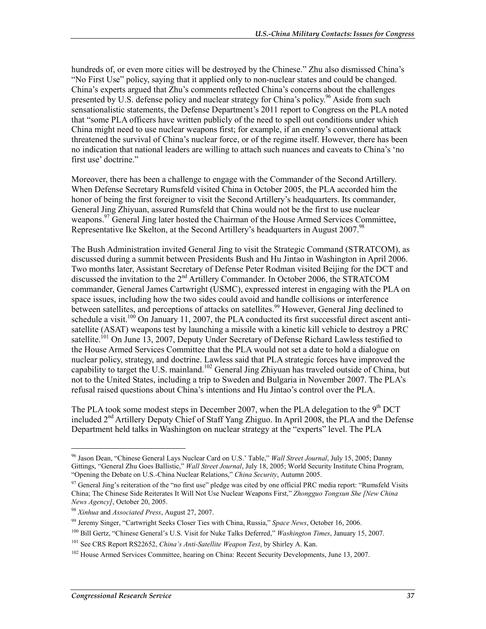hundreds of, or even more cities will be destroyed by the Chinese." Zhu also dismissed China's "No First Use" policy, saying that it applied only to non-nuclear states and could be changed. China's experts argued that Zhu's comments reflected China's concerns about the challenges presented by U.S. defense policy and nuclear strategy for China's policy.<sup>96</sup> Aside from such sensationalistic statements, the Defense Department's 2011 report to Congress on the PLA noted that "some PLA officers have written publicly of the need to spell out conditions under which China might need to use nuclear weapons first; for example, if an enemy's conventional attack threatened the survival of China's nuclear force, or of the regime itself. However, there has been no indication that national leaders are willing to attach such nuances and caveats to China's 'no first use' doctrine."

Moreover, there has been a challenge to engage with the Commander of the Second Artillery. When Defense Secretary Rumsfeld visited China in October 2005, the PLA accorded him the honor of being the first foreigner to visit the Second Artillery's headquarters. Its commander, General Jing Zhiyuan, assured Rumsfeld that China would not be the first to use nuclear weapons.<sup>97</sup> General Jing later hosted the Chairman of the House Armed Services Committee, Representative Ike Skelton, at the Second Artillery's headquarters in August 2007.<sup>98</sup>

The Bush Administration invited General Jing to visit the Strategic Command (STRATCOM), as discussed during a summit between Presidents Bush and Hu Jintao in Washington in April 2006. Two months later, Assistant Secretary of Defense Peter Rodman visited Beijing for the DCT and discussed the invitation to the 2<sup>nd</sup> Artillery Commander. In October 2006, the STRATCOM commander, General James Cartwright (USMC), expressed interest in engaging with the PLA on space issues, including how the two sides could avoid and handle collisions or interference between satellites, and perceptions of attacks on satellites.<sup>99</sup> However, General Jing declined to schedule a visit.<sup>100</sup> On January 11, 2007, the PLA conducted its first successful direct ascent antisatellite (ASAT) weapons test by launching a missile with a kinetic kill vehicle to destroy a PRC satellite.<sup>101</sup> On June 13, 2007, Deputy Under Secretary of Defense Richard Lawless testified to the House Armed Services Committee that the PLA would not set a date to hold a dialogue on nuclear policy, strategy, and doctrine. Lawless said that PLA strategic forces have improved the capability to target the U.S. mainland.102 General Jing Zhiyuan has traveled outside of China, but not to the United States, including a trip to Sweden and Bulgaria in November 2007. The PLA's refusal raised questions about China's intentions and Hu Jintao's control over the PLA.

The PLA took some modest steps in December 2007, when the PLA delegation to the 9<sup>th</sup> DCT included 2nd Artillery Deputy Chief of Staff Yang Zhiguo. In April 2008, the PLA and the Defense Department held talks in Washington on nuclear strategy at the "experts" level. The PLA

 $\overline{a}$ 

<sup>96</sup> Jason Dean, "Chinese General Lays Nuclear Card on U.S.' Table," *Wall Street Journal*, July 15, 2005; Danny Gittings, "General Zhu Goes Ballistic," *Wall Street Journal*, July 18, 2005; World Security Institute China Program, "Opening the Debate on U.S.-China Nuclear Relations," *China Security*, Autumn 2005.

<sup>&</sup>lt;sup>97</sup> General Jing's reiteration of the "no first use" pledge was cited by one official PRC media report: "Rumsfeld Visits China; The Chinese Side Reiterates It Will Not Use Nuclear Weapons First," *Zhongguo Tongxun She [New China News Agency]*, October 20, 2005.

<sup>98</sup> *Xinhua* and *Associated Press*, August 27, 2007.

<sup>99</sup> Jeremy Singer, "Cartwright Seeks Closer Ties with China, Russia," *Space News*, October 16, 2006.

<sup>100</sup> Bill Gertz, "Chinese General's U.S. Visit for Nuke Talks Deferred," *Washington Times*, January 15, 2007.

<sup>101</sup> See CRS Report RS22652, *China's Anti-Satellite Weapon Test*, by Shirley A. Kan.

<sup>&</sup>lt;sup>102</sup> House Armed Services Committee, hearing on China: Recent Security Developments, June 13, 2007.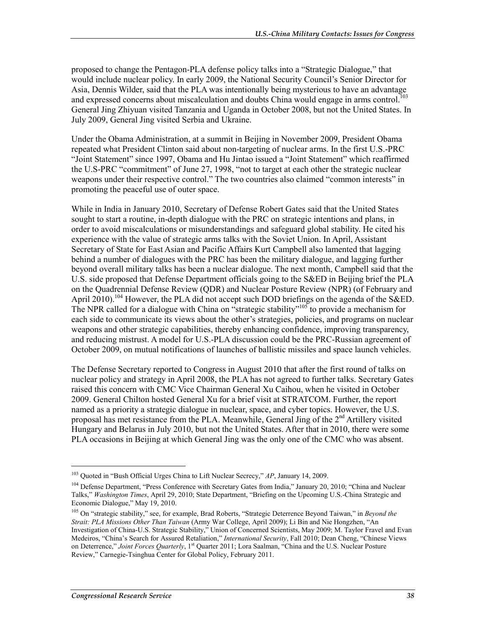proposed to change the Pentagon-PLA defense policy talks into a "Strategic Dialogue," that would include nuclear policy. In early 2009, the National Security Council's Senior Director for Asia, Dennis Wilder, said that the PLA was intentionally being mysterious to have an advantage and expressed concerns about miscalculation and doubts China would engage in arms control.<sup>103</sup> General Jing Zhiyuan visited Tanzania and Uganda in October 2008, but not the United States. In July 2009, General Jing visited Serbia and Ukraine.

Under the Obama Administration, at a summit in Beijing in November 2009, President Obama repeated what President Clinton said about non-targeting of nuclear arms. In the first U.S.-PRC "Joint Statement" since 1997, Obama and Hu Jintao issued a "Joint Statement" which reaffirmed the U.S-PRC "commitment" of June 27, 1998, "not to target at each other the strategic nuclear weapons under their respective control." The two countries also claimed "common interests" in promoting the peaceful use of outer space.

While in India in January 2010, Secretary of Defense Robert Gates said that the United States sought to start a routine, in-depth dialogue with the PRC on strategic intentions and plans, in order to avoid miscalculations or misunderstandings and safeguard global stability. He cited his experience with the value of strategic arms talks with the Soviet Union. In April, Assistant Secretary of State for East Asian and Pacific Affairs Kurt Campbell also lamented that lagging behind a number of dialogues with the PRC has been the military dialogue, and lagging further beyond overall military talks has been a nuclear dialogue. The next month, Campbell said that the U.S. side proposed that Defense Department officials going to the S&ED in Beijing brief the PLA on the Quadrennial Defense Review (QDR) and Nuclear Posture Review (NPR) (of February and April 2010).<sup>104</sup> However, the PLA did not accept such DOD briefings on the agenda of the S&ED. The NPR called for a dialogue with China on "strategic stability"<sup>105</sup> to provide a mechanism for each side to communicate its views about the other's strategies, policies, and programs on nuclear weapons and other strategic capabilities, thereby enhancing confidence, improving transparency, and reducing mistrust. A model for U.S.-PLA discussion could be the PRC-Russian agreement of October 2009, on mutual notifications of launches of ballistic missiles and space launch vehicles.

The Defense Secretary reported to Congress in August 2010 that after the first round of talks on nuclear policy and strategy in April 2008, the PLA has not agreed to further talks. Secretary Gates raised this concern with CMC Vice Chairman General Xu Caihou, when he visited in October 2009. General Chilton hosted General Xu for a brief visit at STRATCOM. Further, the report named as a priority a strategic dialogue in nuclear, space, and cyber topics. However, the U.S. proposal has met resistance from the PLA. Meanwhile, General Jing of the  $2<sup>nd</sup>$  Artillery visited Hungary and Belarus in July 2010, but not the United States. After that in 2010, there were some PLA occasions in Beijing at which General Jing was the only one of the CMC who was absent.

<sup>103</sup> Quoted in "Bush Official Urges China to Lift Nuclear Secrecy," *AP*, January 14, 2009.

<sup>&</sup>lt;sup>104</sup> Defense Department, "Press Conference with Secretary Gates from India," January 20, 2010; "China and Nuclear Talks," *Washington Times*, April 29, 2010; State Department, "Briefing on the Upcoming U.S.-China Strategic and Economic Dialogue," May 19, 2010.

<sup>105</sup> On "strategic stability," see, for example, Brad Roberts, "Strategic Deterrence Beyond Taiwan," in *Beyond the Strait: PLA Missions Other Than Taiwan* (Army War College, April 2009); Li Bin and Nie Hongzhen, "An Investigation of China-U.S. Strategic Stability," Union of Concerned Scientists, May 2009; M. Taylor Fravel and Evan Medeiros, "China's Search for Assured Retaliation," *International Security*, Fall 2010; Dean Cheng, "Chinese Views on Deterrence," *Joint Forces Quarterly*, 1<sup>st</sup> Quarter 2011; Lora Saalman, "China and the U.S. Nuclear Posture Review," Carnegie-Tsinghua Center for Global Policy, February 2011.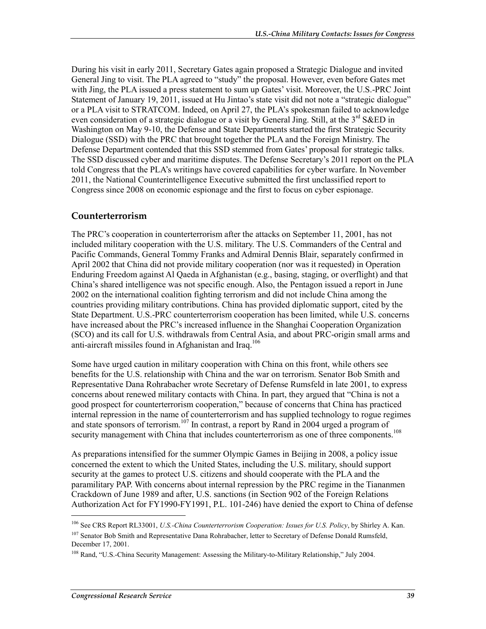During his visit in early 2011, Secretary Gates again proposed a Strategic Dialogue and invited General Jing to visit. The PLA agreed to "study" the proposal. However, even before Gates met with Jing, the PLA issued a press statement to sum up Gates' visit. Moreover, the U.S.-PRC Joint Statement of January 19, 2011, issued at Hu Jintao's state visit did not note a "strategic dialogue" or a PLA visit to STRATCOM. Indeed, on April 27, the PLA's spokesman failed to acknowledge even consideration of a strategic dialogue or a visit by General Jing. Still, at the  $3<sup>rd</sup> S&ED$  in Washington on May 9-10, the Defense and State Departments started the first Strategic Security Dialogue (SSD) with the PRC that brought together the PLA and the Foreign Ministry. The Defense Department contended that this SSD stemmed from Gates' proposal for strategic talks. The SSD discussed cyber and maritime disputes. The Defense Secretary's 2011 report on the PLA told Congress that the PLA's writings have covered capabilities for cyber warfare. In November 2011, the National Counterintelligence Executive submitted the first unclassified report to Congress since 2008 on economic espionage and the first to focus on cyber espionage.

# **Counterterrorism**

The PRC's cooperation in counterterrorism after the attacks on September 11, 2001, has not included military cooperation with the U.S. military. The U.S. Commanders of the Central and Pacific Commands, General Tommy Franks and Admiral Dennis Blair, separately confirmed in April 2002 that China did not provide military cooperation (nor was it requested) in Operation Enduring Freedom against Al Qaeda in Afghanistan (e.g., basing, staging, or overflight) and that China's shared intelligence was not specific enough. Also, the Pentagon issued a report in June 2002 on the international coalition fighting terrorism and did not include China among the countries providing military contributions. China has provided diplomatic support, cited by the State Department. U.S.-PRC counterterrorism cooperation has been limited, while U.S. concerns have increased about the PRC's increased influence in the Shanghai Cooperation Organization (SCO) and its call for U.S. withdrawals from Central Asia, and about PRC-origin small arms and anti-aircraft missiles found in Afghanistan and Iraq.<sup>106</sup>

Some have urged caution in military cooperation with China on this front, while others see benefits for the U.S. relationship with China and the war on terrorism. Senator Bob Smith and Representative Dana Rohrabacher wrote Secretary of Defense Rumsfeld in late 2001, to express concerns about renewed military contacts with China. In part, they argued that "China is not a good prospect for counterterrorism cooperation," because of concerns that China has practiced internal repression in the name of counterterrorism and has supplied technology to rogue regimes and state sponsors of terrorism.<sup>107</sup> In contrast, a report by Rand in 2004 urged a program of security management with China that includes counterterrorism as one of three components.<sup>108</sup>

As preparations intensified for the summer Olympic Games in Beijing in 2008, a policy issue concerned the extent to which the United States, including the U.S. military, should support security at the games to protect U.S. citizens and should cooperate with the PLA and the paramilitary PAP. With concerns about internal repression by the PRC regime in the Tiananmen Crackdown of June 1989 and after, U.S. sanctions (in Section 902 of the Foreign Relations Authorization Act for FY1990-FY1991, P.L. 101-246) have denied the export to China of defense

<sup>106</sup> See CRS Report RL33001, *U.S.-China Counterterrorism Cooperation: Issues for U.S. Policy*, by Shirley A. Kan.

<sup>&</sup>lt;sup>107</sup> Senator Bob Smith and Representative Dana Rohrabacher, letter to Secretary of Defense Donald Rumsfeld, December 17, 2001.

<sup>108</sup> Rand, "U.S.-China Security Management: Assessing the Military-to-Military Relationship," July 2004.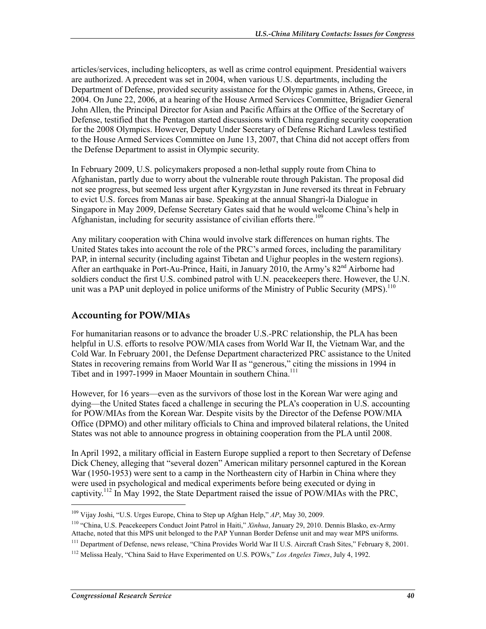articles/services, including helicopters, as well as crime control equipment. Presidential waivers are authorized. A precedent was set in 2004, when various U.S. departments, including the Department of Defense, provided security assistance for the Olympic games in Athens, Greece, in 2004. On June 22, 2006, at a hearing of the House Armed Services Committee, Brigadier General John Allen, the Principal Director for Asian and Pacific Affairs at the Office of the Secretary of Defense, testified that the Pentagon started discussions with China regarding security cooperation for the 2008 Olympics. However, Deputy Under Secretary of Defense Richard Lawless testified to the House Armed Services Committee on June 13, 2007, that China did not accept offers from the Defense Department to assist in Olympic security.

In February 2009, U.S. policymakers proposed a non-lethal supply route from China to Afghanistan, partly due to worry about the vulnerable route through Pakistan. The proposal did not see progress, but seemed less urgent after Kyrgyzstan in June reversed its threat in February to evict U.S. forces from Manas air base. Speaking at the annual Shangri-la Dialogue in Singapore in May 2009, Defense Secretary Gates said that he would welcome China's help in Afghanistan, including for security assistance of civilian efforts there.<sup>109</sup>

Any military cooperation with China would involve stark differences on human rights. The United States takes into account the role of the PRC's armed forces, including the paramilitary PAP, in internal security (including against Tibetan and Uighur peoples in the western regions). After an earthquake in Port-Au-Prince, Haiti, in January 2010, the Army's 82<sup>nd</sup> Airborne had soldiers conduct the first U.S. combined patrol with U.N. peacekeepers there. However, the U.N. unit was a PAP unit deployed in police uniforms of the Ministry of Public Security  $(MPS)^{10}$ 

# **Accounting for POW/MIAs**

For humanitarian reasons or to advance the broader U.S.-PRC relationship, the PLA has been helpful in U.S. efforts to resolve POW/MIA cases from World War II, the Vietnam War, and the Cold War. In February 2001, the Defense Department characterized PRC assistance to the United States in recovering remains from World War II as "generous," citing the missions in 1994 in Tibet and in 1997-1999 in Maoer Mountain in southern China.<sup>111</sup>

However, for 16 years—even as the survivors of those lost in the Korean War were aging and dying—the United States faced a challenge in securing the PLA's cooperation in U.S. accounting for POW/MIAs from the Korean War. Despite visits by the Director of the Defense POW/MIA Office (DPMO) and other military officials to China and improved bilateral relations, the United States was not able to announce progress in obtaining cooperation from the PLA until 2008.

In April 1992, a military official in Eastern Europe supplied a report to then Secretary of Defense Dick Cheney, alleging that "several dozen" American military personnel captured in the Korean War (1950-1953) were sent to a camp in the Northeastern city of Harbin in China where they were used in psychological and medical experiments before being executed or dying in captivity.112 In May 1992, the State Department raised the issue of POW/MIAs with the PRC,

<sup>109</sup> Vijay Joshi, "U.S. Urges Europe, China to Step up Afghan Help," *AP*, May 30, 2009.

<sup>110 &</sup>quot;China, U.S. Peacekeepers Conduct Joint Patrol in Haiti," *Xinhua*, January 29, 2010. Dennis Blasko, ex-Army Attache, noted that this MPS unit belonged to the PAP Yunnan Border Defense unit and may wear MPS uniforms.

<sup>&</sup>lt;sup>111</sup> Department of Defense, news release, "China Provides World War II U.S. Aircraft Crash Sites," February 8, 2001.

<sup>112</sup> Melissa Healy, "China Said to Have Experimented on U.S. POWs," *Los Angeles Times*, July 4, 1992.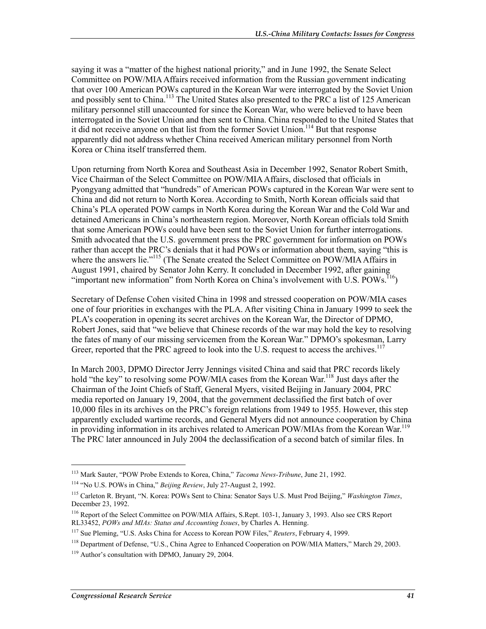saying it was a "matter of the highest national priority," and in June 1992, the Senate Select Committee on POW/MIA Affairs received information from the Russian government indicating that over 100 American POWs captured in the Korean War were interrogated by the Soviet Union and possibly sent to China.<sup>113</sup> The United States also presented to the PRC a list of 125 American military personnel still unaccounted for since the Korean War, who were believed to have been interrogated in the Soviet Union and then sent to China. China responded to the United States that it did not receive anyone on that list from the former Soviet Union.<sup>114</sup> But that response apparently did not address whether China received American military personnel from North Korea or China itself transferred them.

Upon returning from North Korea and Southeast Asia in December 1992, Senator Robert Smith, Vice Chairman of the Select Committee on POW/MIA Affairs, disclosed that officials in Pyongyang admitted that "hundreds" of American POWs captured in the Korean War were sent to China and did not return to North Korea. According to Smith, North Korean officials said that China's PLA operated POW camps in North Korea during the Korean War and the Cold War and detained Americans in China's northeastern region. Moreover, North Korean officials told Smith that some American POWs could have been sent to the Soviet Union for further interrogations. Smith advocated that the U.S. government press the PRC government for information on POWs rather than accept the PRC's denials that it had POWs or information about them, saying "this is where the answers lie."<sup>115</sup> (The Senate created the Select Committee on POW/MIA Affairs in August 1991, chaired by Senator John Kerry. It concluded in December 1992, after gaining "important new information" from North Korea on China's involvement with U.S. POWs.<sup>116</sup>)

Secretary of Defense Cohen visited China in 1998 and stressed cooperation on POW/MIA cases one of four priorities in exchanges with the PLA. After visiting China in January 1999 to seek the PLA's cooperation in opening its secret archives on the Korean War, the Director of DPMO, Robert Jones, said that "we believe that Chinese records of the war may hold the key to resolving the fates of many of our missing servicemen from the Korean War." DPMO's spokesman, Larry Greer, reported that the PRC agreed to look into the U.S. request to access the archives.<sup>11</sup>

In March 2003, DPMO Director Jerry Jennings visited China and said that PRC records likely hold "the key" to resolving some POW/MIA cases from the Korean War.<sup>118</sup> Just days after the Chairman of the Joint Chiefs of Staff, General Myers, visited Beijing in January 2004, PRC media reported on January 19, 2004, that the government declassified the first batch of over 10,000 files in its archives on the PRC's foreign relations from 1949 to 1955. However, this step apparently excluded wartime records, and General Myers did not announce cooperation by China in providing information in its archives related to American POW/MIAs from the Korean War.<sup>119</sup> The PRC later announced in July 2004 the declassification of a second batch of similar files. In

 $\overline{a}$ 

<sup>113</sup> Mark Sauter, "POW Probe Extends to Korea, China," *Tacoma News-Tribune*, June 21, 1992.

<sup>114 &</sup>quot;No U.S. POWs in China," *Beijing Review*, July 27-August 2, 1992.

<sup>115</sup> Carleton R. Bryant, "N. Korea: POWs Sent to China: Senator Says U.S. Must Prod Beijing," *Washington Times*, December 23, 1992.

<sup>116</sup> Report of the Select Committee on POW/MIA Affairs, S.Rept. 103-1, January 3, 1993. Also see CRS Report RL33452, *POWs and MIAs: Status and Accounting Issues*, by Charles A. Henning.

<sup>117</sup> Sue Pleming, "U.S. Asks China for Access to Korean POW Files," *Reuters*, February 4, 1999.

<sup>&</sup>lt;sup>118</sup> Department of Defense, "U.S., China Agree to Enhanced Cooperation on POW/MIA Matters," March 29, 2003.

<sup>119</sup> Author's consultation with DPMO, January 29, 2004.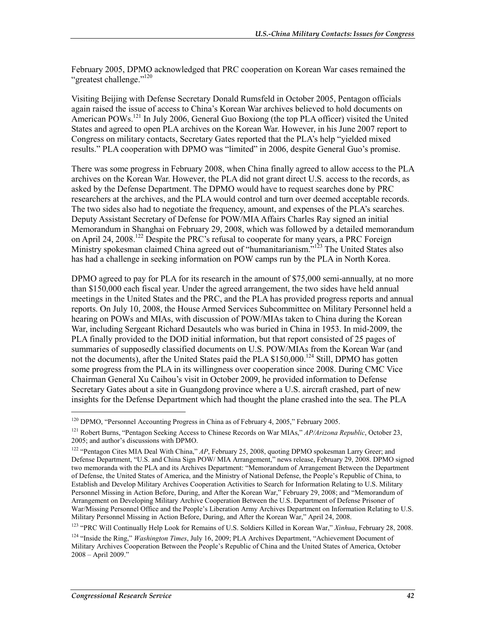February 2005, DPMO acknowledged that PRC cooperation on Korean War cases remained the "greatest challenge."<sup>120</sup>

Visiting Beijing with Defense Secretary Donald Rumsfeld in October 2005, Pentagon officials again raised the issue of access to China's Korean War archives believed to hold documents on American POWs.<sup>121</sup> In July 2006, General Guo Boxiong (the top PLA officer) visited the United States and agreed to open PLA archives on the Korean War. However, in his June 2007 report to Congress on military contacts, Secretary Gates reported that the PLA's help "yielded mixed results." PLA cooperation with DPMO was "limited" in 2006, despite General Guo's promise.

There was some progress in February 2008, when China finally agreed to allow access to the PLA archives on the Korean War. However, the PLA did not grant direct U.S. access to the records, as asked by the Defense Department. The DPMO would have to request searches done by PRC researchers at the archives, and the PLA would control and turn over deemed acceptable records. The two sides also had to negotiate the frequency, amount, and expenses of the PLA's searches. Deputy Assistant Secretary of Defense for POW/MIA Affairs Charles Ray signed an initial Memorandum in Shanghai on February 29, 2008, which was followed by a detailed memorandum on April 24, 2008.122 Despite the PRC's refusal to cooperate for many years, a PRC Foreign Ministry spokesman claimed China agreed out of "humanitarianism.<sup>7123</sup> The United States also has had a challenge in seeking information on POW camps run by the PLA in North Korea.

DPMO agreed to pay for PLA for its research in the amount of \$75,000 semi-annually, at no more than \$150,000 each fiscal year. Under the agreed arrangement, the two sides have held annual meetings in the United States and the PRC, and the PLA has provided progress reports and annual reports. On July 10, 2008, the House Armed Services Subcommittee on Military Personnel held a hearing on POWs and MIAs, with discussion of POW/MIAs taken to China during the Korean War, including Sergeant Richard Desautels who was buried in China in 1953. In mid-2009, the PLA finally provided to the DOD initial information, but that report consisted of 25 pages of summaries of supposedly classified documents on U.S. POW/MIAs from the Korean War (and not the documents), after the United States paid the PLA \$150,000.<sup>124</sup> Still, DPMO has gotten some progress from the PLA in its willingness over cooperation since 2008. During CMC Vice Chairman General Xu Caihou's visit in October 2009, he provided information to Defense Secretary Gates about a site in Guangdong province where a U.S. aircraft crashed, part of new insights for the Defense Department which had thought the plane crashed into the sea. The PLA

 $\overline{a}$ 

<sup>&</sup>lt;sup>120</sup> DPMO, "Personnel Accounting Progress in China as of February 4, 2005," February 2005.

<sup>121</sup> Robert Burns, "Pentagon Seeking Access to Chinese Records on War MIAs," *AP/Arizona Republic*, October 23, 2005; and author's discussions with DPMO.

<sup>&</sup>lt;sup>122</sup> "Pentagon Cites MIA Deal With China," AP, February 25, 2008, quoting DPMO spokesman Larry Greer; and Defense Department, "U.S. and China Sign POW/ MIA Arrangement," news release, February 29, 2008. DPMO signed two memoranda with the PLA and its Archives Department: "Memorandum of Arrangement Between the Department of Defense, the United States of America, and the Ministry of National Defense, the People's Republic of China, to Establish and Develop Military Archives Cooperation Activities to Search for Information Relating to U.S. Military Personnel Missing in Action Before, During, and After the Korean War," February 29, 2008; and "Memorandum of Arrangement on Developing Military Archive Cooperation Between the U.S. Department of Defense Prisoner of War/Missing Personnel Office and the People's Liberation Army Archives Department on Information Relating to U.S. Military Personnel Missing in Action Before, During, and After the Korean War," April 24, 2008.

<sup>123 &</sup>quot;PRC Will Continually Help Look for Remains of U.S. Soldiers Killed in Korean War," *Xinhua*, February 28, 2008.

<sup>124 &</sup>quot;Inside the Ring," *Washington Times*, July 16, 2009; PLA Archives Department, "Achievement Document of Military Archives Cooperation Between the People's Republic of China and the United States of America, October 2008 – April 2009."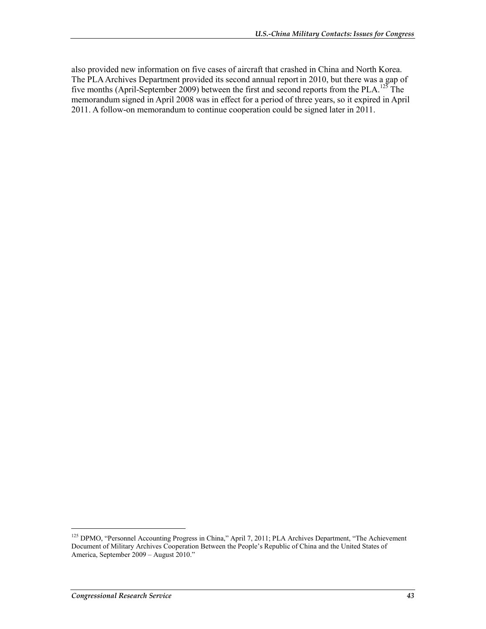also provided new information on five cases of aircraft that crashed in China and North Korea. The PLA Archives Department provided its second annual report in 2010, but there was a gap of five months (April-September 2009) between the first and second reports from the PLA.125 The memorandum signed in April 2008 was in effect for a period of three years, so it expired in April 2011. A follow-on memorandum to continue cooperation could be signed later in 2011.

<sup>125</sup> DPMO, "Personnel Accounting Progress in China," April 7, 2011; PLA Archives Department, "The Achievement Document of Military Archives Cooperation Between the People's Republic of China and the United States of America, September 2009 – August 2010."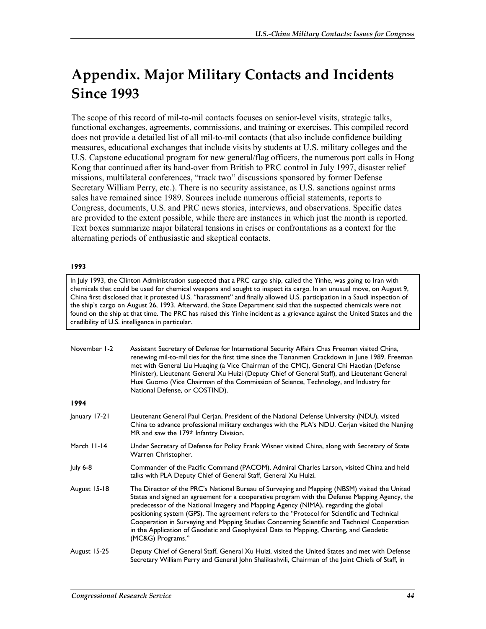# **Appendix. Major Military Contacts and Incidents Since 1993**

The scope of this record of mil-to-mil contacts focuses on senior-level visits, strategic talks, functional exchanges, agreements, commissions, and training or exercises. This compiled record does not provide a detailed list of all mil-to-mil contacts (that also include confidence building measures, educational exchanges that include visits by students at U.S. military colleges and the U.S. Capstone educational program for new general/flag officers, the numerous port calls in Hong Kong that continued after its hand-over from British to PRC control in July 1997, disaster relief missions, multilateral conferences, "track two" discussions sponsored by former Defense Secretary William Perry, etc.). There is no security assistance, as U.S. sanctions against arms sales have remained since 1989. Sources include numerous official statements, reports to Congress, documents, U.S. and PRC news stories, interviews, and observations. Specific dates are provided to the extent possible, while there are instances in which just the month is reported. Text boxes summarize major bilateral tensions in crises or confrontations as a context for the alternating periods of enthusiastic and skeptical contacts.

## **1993**

In July 1993, the Clinton Administration suspected that a PRC cargo ship, called the Yinhe, was going to Iran with chemicals that could be used for chemical weapons and sought to inspect its cargo. In an unusual move, on August 9, China first disclosed that it protested U.S. "harassment" and finally allowed U.S. participation in a Saudi inspection of the ship's cargo on August 26, 1993. Afterward, the State Department said that the suspected chemicals were not found on the ship at that time. The PRC has raised this Yinhe incident as a grievance against the United States and the credibility of U.S. intelligence in particular.

| November 1-2  | Assistant Secretary of Defense for International Security Affairs Chas Freeman visited China,<br>renewing mil-to-mil ties for the first time since the Tiananmen Crackdown in June 1989. Freeman<br>met with General Liu Huaqing (a Vice Chairman of the CMC), General Chi Haotian (Defense<br>Minister), Lieutenant General Xu Huizi (Deputy Chief of General Staff), and Lieutenant General<br>Huai Guomo (Vice Chairman of the Commission of Science, Technology, and Industry for<br>National Defense, or COSTIND).                                                                             |
|---------------|-----------------------------------------------------------------------------------------------------------------------------------------------------------------------------------------------------------------------------------------------------------------------------------------------------------------------------------------------------------------------------------------------------------------------------------------------------------------------------------------------------------------------------------------------------------------------------------------------------|
| 1994          |                                                                                                                                                                                                                                                                                                                                                                                                                                                                                                                                                                                                     |
| January 17-21 | Lieutenant General Paul Cerjan, President of the National Defense University (NDU), visited<br>China to advance professional military exchanges with the PLA's NDU. Cerjan visited the Nanjing<br>MR and saw the 179 <sup>th</sup> Infantry Division.                                                                                                                                                                                                                                                                                                                                               |
| March 11-14   | Under Secretary of Defense for Policy Frank Wisner visited China, along with Secretary of State<br>Warren Christopher.                                                                                                                                                                                                                                                                                                                                                                                                                                                                              |
| July 6-8      | Commander of the Pacific Command (PACOM), Admiral Charles Larson, visited China and held<br>talks with PLA Deputy Chief of General Staff, General Xu Huizi.                                                                                                                                                                                                                                                                                                                                                                                                                                         |
| August 15-18  | The Director of the PRC's National Bureau of Surveying and Mapping (NBSM) visited the United<br>States and signed an agreement for a cooperative program with the Defense Mapping Agency, the<br>predecessor of the National Imagery and Mapping Agency (NIMA), regarding the global<br>positioning system (GPS). The agreement refers to the "Protocol for Scientific and Technical<br>Cooperation in Surveying and Mapping Studies Concerning Scientific and Technical Cooperation<br>in the Application of Geodetic and Geophysical Data to Mapping, Charting, and Geodetic<br>(MC&G) Programs." |
| August 15-25  | Deputy Chief of General Staff, General Xu Huizi, visited the United States and met with Defense<br>Secretary William Perry and General John Shalikashvili, Chairman of the Joint Chiefs of Staff, in                                                                                                                                                                                                                                                                                                                                                                                                |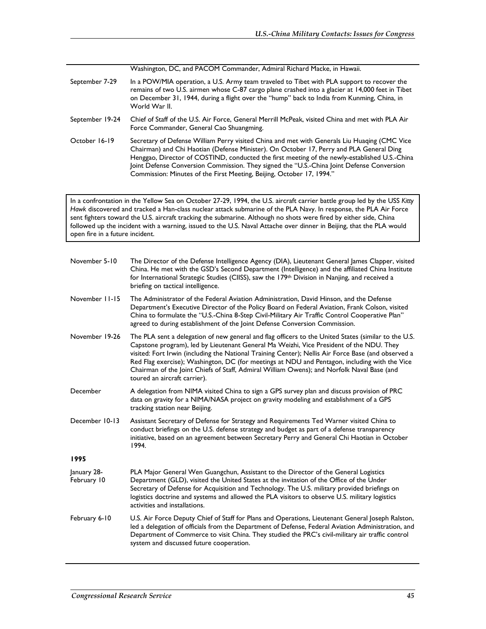Washington, DC, and PACOM Commander, Admiral Richard Macke, in Hawaii.

- September 7-29 In a POW/MIA operation, a U.S. Army team traveled to Tibet with PLA support to recover the remains of two U.S. airmen whose C-87 cargo plane crashed into a glacier at 14,000 feet in Tibet on December 31, 1944, during a flight over the "hump" back to India from Kunming, China, in World War II.
- September 19-24 Chief of Staff of the U.S. Air Force, General Merrill McPeak, visited China and met with PLA Air Force Commander, General Cao Shuangming.
- October 16-19 Secretary of Defense William Perry visited China and met with Generals Liu Huaqing (CMC Vice Chairman) and Chi Haotian (Defense Minister). On October 17, Perry and PLA General Ding Henggao, Director of COSTIND, conducted the first meeting of the newly-established U.S.-China Joint Defense Conversion Commission. They signed the "U.S.-China Joint Defense Conversion Commission: Minutes of the First Meeting, Beijing, October 17, 1994."

In a confrontation in the Yellow Sea on October 27-29, 1994, the U.S. aircraft carrier battle group led by the USS *Kitty Hawk* discovered and tracked a Han-class nuclear attack submarine of the PLA Navy. In response, the PLA Air Force sent fighters toward the U.S. aircraft tracking the submarine. Although no shots were fired by either side, China followed up the incident with a warning, issued to the U.S. Naval Attache over dinner in Beijing, that the PLA would open fire in a future incident.

| November 5-10              | The Director of the Defense Intelligence Agency (DIA), Lieutenant General James Clapper, visited<br>China. He met with the GSD's Second Department (Intelligence) and the affiliated China Institute<br>for International Strategic Studies (CIISS), saw the 179 <sup>th</sup> Division in Nanjing, and received a<br>briefing on tactical intelligence.                                                                                                                                                                              |
|----------------------------|---------------------------------------------------------------------------------------------------------------------------------------------------------------------------------------------------------------------------------------------------------------------------------------------------------------------------------------------------------------------------------------------------------------------------------------------------------------------------------------------------------------------------------------|
| November 11-15             | The Administrator of the Federal Aviation Administration, David Hinson, and the Defense<br>Department's Executive Director of the Policy Board on Federal Aviation, Frank Colson, visited<br>China to formulate the "U.S.-China 8-Step Civil-Military Air Traffic Control Cooperative Plan"<br>agreed to during establishment of the Joint Defense Conversion Commission.                                                                                                                                                             |
| November 19-26             | The PLA sent a delegation of new general and flag officers to the United States (similar to the U.S.<br>Capstone program), led by Lieutenant General Ma Weizhi, Vice President of the NDU. They<br>visited: Fort Irwin (including the National Training Center); Nellis Air Force Base (and observed a<br>Red Flag exercise); Washington, DC (for meetings at NDU and Pentagon, including with the Vice<br>Chairman of the Joint Chiefs of Staff, Admiral William Owens); and Norfolk Naval Base (and<br>toured an aircraft carrier). |
| December                   | A delegation from NIMA visited China to sign a GPS survey plan and discuss provision of PRC<br>data on gravity for a NIMA/NASA project on gravity modeling and establishment of a GPS<br>tracking station near Beijing.                                                                                                                                                                                                                                                                                                               |
| December 10-13             | Assistant Secretary of Defense for Strategy and Requirements Ted Warner visited China to<br>conduct briefings on the U.S. defense strategy and budget as part of a defense transparency<br>initiative, based on an agreement between Secretary Perry and General Chi Haotian in October<br>1994.                                                                                                                                                                                                                                      |
| 1995                       |                                                                                                                                                                                                                                                                                                                                                                                                                                                                                                                                       |
| January 28-<br>February 10 | PLA Major General Wen Guangchun, Assistant to the Director of the General Logistics<br>Department (GLD), visited the United States at the invitation of the Office of the Under<br>Secretary of Defense for Acquisition and Technology. The U.S. military provided briefings on<br>logistics doctrine and systems and allowed the PLA visitors to observe U.S. military logistics<br>activities and installations.                                                                                                                    |
| February 6-10              | U.S. Air Force Deputy Chief of Staff for Plans and Operations, Lieutenant General Joseph Ralston,<br>led a delegation of officials from the Department of Defense, Federal Aviation Administration, and<br>Department of Commerce to visit China. They studied the PRC's civil-military air traffic control<br>system and discussed future cooperation.                                                                                                                                                                               |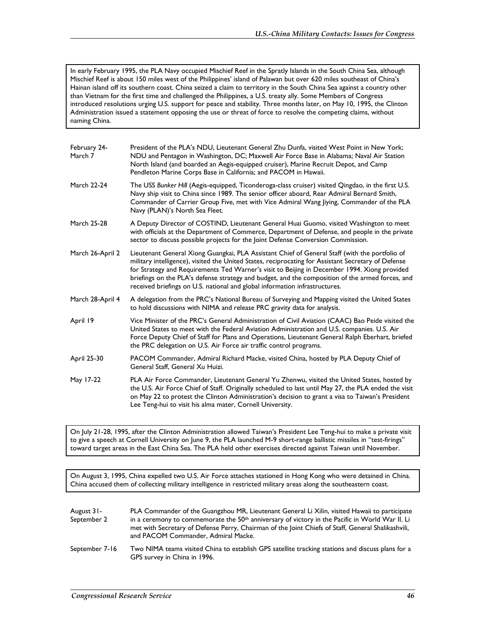In early February 1995, the PLA Navy occupied Mischief Reef in the Spratly Islands in the South China Sea, although Mischief Reef is about 150 miles west of the Philippines' island of Palawan but over 620 miles southeast of China's Hainan island off its southern coast. China seized a claim to territory in the South China Sea against a country other than Vietnam for the first time and challenged the Philippines, a U.S. treaty ally. Some Members of Congress introduced resolutions urging U.S. support for peace and stability. Three months later, on May 10, 1995, the Clinton Administration issued a statement opposing the use or threat of force to resolve the competing claims, without naming China.

| February 24-<br>March 7 | President of the PLA's NDU, Lieutenant General Zhu Dunfa, visited West Point in New York;<br>NDU and Pentagon in Washington, DC; Maxwell Air Force Base in Alabama; Naval Air Station<br>North Island (and boarded an Aegis-equipped cruiser), Marine Recruit Depot, and Camp<br>Pendleton Marine Corps Base in California; and PACOM in Hawaii.                                                                                                                                         |
|-------------------------|------------------------------------------------------------------------------------------------------------------------------------------------------------------------------------------------------------------------------------------------------------------------------------------------------------------------------------------------------------------------------------------------------------------------------------------------------------------------------------------|
| March 22-24             | The USS Bunker Hill (Aegis-equipped, Ticonderoga-class cruiser) visited Qingdao, in the first U.S.<br>Navy ship visit to China since 1989. The senior officer aboard, Rear Admiral Bernard Smith,<br>Commander of Carrier Group Five, met with Vice Admiral Wang Jiying, Commander of the PLA<br>Navy (PLAN)'s North Sea Fleet.                                                                                                                                                          |
| March 25-28             | A Deputy Director of COSTIND, Lieutenant General Huai Guomo, visited Washington to meet<br>with officials at the Department of Commerce, Department of Defense, and people in the private<br>sector to discuss possible projects for the Joint Defense Conversion Commission.                                                                                                                                                                                                            |
| March 26-April 2        | Lieutenant General Xiong Guangkai, PLA Assistant Chief of General Staff (with the portfolio of<br>military intelligence), visited the United States, reciprocating for Assistant Secretary of Defense<br>for Strategy and Requirements Ted Warner's visit to Beijing in December 1994. Xiong provided<br>briefings on the PLA's defense strategy and budget, and the composition of the armed forces, and<br>received briefings on U.S. national and global information infrastructures. |
| March 28-April 4        | A delegation from the PRC's National Bureau of Surveying and Mapping visited the United States<br>to hold discussions with NIMA and release PRC gravity data for analysis.                                                                                                                                                                                                                                                                                                               |
| April 19                | Vice Minister of the PRC's General Administration of Civil Aviation (CAAC) Bao Peide visited the<br>United States to meet with the Federal Aviation Administration and U.S. companies. U.S. Air<br>Force Deputy Chief of Staff for Plans and Operations, Lieutenant General Ralph Eberhart, briefed<br>the PRC delegation on U.S. Air Force air traffic control programs.                                                                                                                |
| April 25-30             | PACOM Commander, Admiral Richard Macke, visited China, hosted by PLA Deputy Chief of<br>General Staff, General Xu Huizi.                                                                                                                                                                                                                                                                                                                                                                 |
| May 17-22               | PLA Air Force Commander, Lieutenant General Yu Zhenwu, visited the United States, hosted by<br>the U.S. Air Force Chief of Staff. Originally scheduled to last until May 27, the PLA ended the visit<br>on May 22 to protest the Clinton Administration's decision to grant a visa to Taiwan's President<br>Lee Teng-hui to visit his alma mater, Cornell University.                                                                                                                    |

On July 21-28, 1995, after the Clinton Administration allowed Taiwan's President Lee Teng-hui to make a private visit to give a speech at Cornell University on June 9, the PLA launched M-9 short-range ballistic missiles in "test-firings" toward target areas in the East China Sea. The PLA held other exercises directed against Taiwan until November.

On August 3, 1995, China expelled two U.S. Air Force attaches stationed in Hong Kong who were detained in China. China accused them of collecting military intelligence in restricted military areas along the southeastern coast.

| August 31-<br>September 2 | PLA Commander of the Guangzhou MR, Lieutenant General Li Xilin, visited Hawaii to participate<br>in a ceremony to commemorate the $50th$ anniversary of victory in the Pacific in World War II. Li |
|---------------------------|----------------------------------------------------------------------------------------------------------------------------------------------------------------------------------------------------|
|                           | met with Secretary of Defense Perry, Chairman of the Joint Chiefs of Staff, General Shalikashvili,<br>and PACOM Commander, Admiral Macke.                                                          |
| September 7-16            | Two NIMA teams visited China to establish GPS satellite tracking stations and discuss plans for a<br>GPS survey in China in 1996.                                                                  |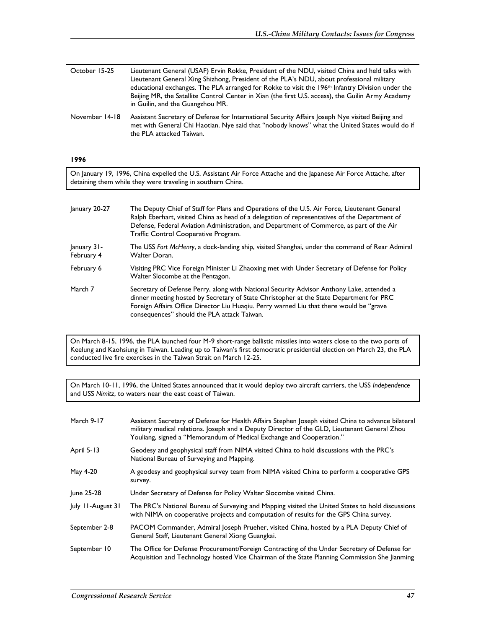| October 15-25  | Lieutenant General (USAF) Ervin Rokke, President of the NDU, visited China and held talks with<br>Lieutenant General Xing Shizhong, President of the PLA's NDU, about professional military<br>educational exchanges. The PLA arranged for Rokke to visit the 196 <sup>th</sup> Infantry Division under the<br>Beijing MR, the Satellite Control Center in Xian (the first U.S. access), the Guilin Army Academy<br>in Guilin, and the Guangzhou MR. |
|----------------|------------------------------------------------------------------------------------------------------------------------------------------------------------------------------------------------------------------------------------------------------------------------------------------------------------------------------------------------------------------------------------------------------------------------------------------------------|
| November 14-18 | Assistant Secretary of Defense for International Security Affairs Joseph Nye visited Beijing and<br>met with General Chi Haotian. Nye said that "nobody knows" what the United States would do if<br>the PLA attacked Taiwan.                                                                                                                                                                                                                        |

## **1996**

On January 19, 1996, China expelled the U.S. Assistant Air Force Attache and the Japanese Air Force Attache, after detaining them while they were traveling in southern China.

| January 20-27             | The Deputy Chief of Staff for Plans and Operations of the U.S. Air Force, Lieutenant General<br>Ralph Eberhart, visited China as head of a delegation of representatives of the Department of<br>Defense, Federal Aviation Administration, and Department of Commerce, as part of the Air<br>Traffic Control Cooperative Program. |
|---------------------------|-----------------------------------------------------------------------------------------------------------------------------------------------------------------------------------------------------------------------------------------------------------------------------------------------------------------------------------|
| January 31-<br>February 4 | The USS Fort McHenry, a dock-landing ship, visited Shanghai, under the command of Rear Admiral<br>Walter Doran.                                                                                                                                                                                                                   |
| February 6                | Visiting PRC Vice Foreign Minister Li Zhaoxing met with Under Secretary of Defense for Policy<br>Walter Slocombe at the Pentagon.                                                                                                                                                                                                 |
| March 7                   | Secretary of Defense Perry, along with National Security Advisor Anthony Lake, attended a<br>dinner meeting hosted by Secretary of State Christopher at the State Department for PRC<br>Foreign Affairs Office Director Liu Huaqiu. Perry warned Liu that there would be "grave<br>consequences" should the PLA attack Taiwan.    |

On March 8-15, 1996, the PLA launched four M-9 short-range ballistic missiles into waters close to the two ports of Keelung and Kaohsiung in Taiwan. Leading up to Taiwan's first democratic presidential election on March 23, the PLA conducted live fire exercises in the Taiwan Strait on March 12-25.

On March 10-11, 1996, the United States announced that it would deploy two aircraft carriers, the USS *Independence* and USS *Nimitz*, to waters near the east coast of Taiwan.

| March 9-17        | Assistant Secretary of Defense for Health Affairs Stephen Joseph visited China to advance bilateral<br>military medical relations. Joseph and a Deputy Director of the GLD, Lieutenant General Zhou<br>Youliang, signed a "Memorandum of Medical Exchange and Cooperation." |
|-------------------|-----------------------------------------------------------------------------------------------------------------------------------------------------------------------------------------------------------------------------------------------------------------------------|
| April 5-13        | Geodesy and geophysical staff from NIMA visited China to hold discussions with the PRC's<br>National Bureau of Surveying and Mapping.                                                                                                                                       |
| May 4-20          | A geodesy and geophysical survey team from NIMA visited China to perform a cooperative GPS<br>survey.                                                                                                                                                                       |
| June 25-28        | Under Secretary of Defense for Policy Walter Slocombe visited China.                                                                                                                                                                                                        |
| July 11-August 31 | The PRC's National Bureau of Surveying and Mapping visited the United States to hold discussions<br>with NIMA on cooperative projects and computation of results for the GPS China survey.                                                                                  |
| September 2-8     | PACOM Commander, Admiral Joseph Prueher, visited China, hosted by a PLA Deputy Chief of<br>General Staff, Lieutenant General Xiong Guangkai.                                                                                                                                |
| September 10      | The Office for Defense Procurement/Foreign Contracting of the Under Secretary of Defense for<br>Acquisition and Technology hosted Vice Chairman of the State Planning Commission She Jianming                                                                               |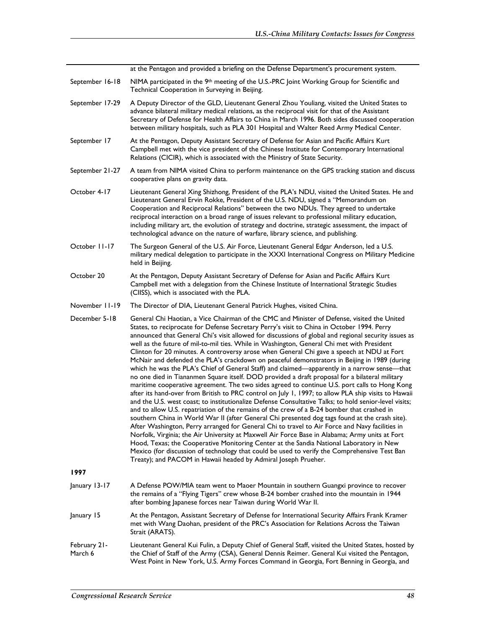at the Pentagon and provided a briefing on the Defense Department's procurement system. September 16-18 NIMA participated in the 9<sup>th</sup> meeting of the U.S.-PRC Joint Working Group for Scientific and Technical Cooperation in Surveying in Beijing. September 17-29 A Deputy Director of the GLD, Lieutenant General Zhou Youliang, visited the United States to advance bilateral military medical relations, as the reciprocal visit for that of the Assistant Secretary of Defense for Health Affairs to China in March 1996. Both sides discussed cooperation between military hospitals, such as PLA 301 Hospital and Walter Reed Army Medical Center. September 17 At the Pentagon, Deputy Assistant Secretary of Defense for Asian and Pacific Affairs Kurt Campbell met with the vice president of the Chinese Institute for Contemporary International Relations (CICIR), which is associated with the Ministry of State Security. September 21-27 A team from NIMA visited China to perform maintenance on the GPS tracking station and discuss cooperative plans on gravity data. October 4-17 Lieutenant General Xing Shizhong, President of the PLA's NDU, visited the United States. He and Lieutenant General Ervin Rokke, President of the U.S. NDU, signed a "Memorandum on Cooperation and Reciprocal Relations" between the two NDUs. They agreed to undertake reciprocal interaction on a broad range of issues relevant to professional military education, including military art, the evolution of strategy and doctrine, strategic assessment, the impact of technological advance on the nature of warfare, library science, and publishing. October 11-17 The Surgeon General of the U.S. Air Force, Lieutenant General Edgar Anderson, led a U.S. military medical delegation to participate in the XXXI International Congress on Military Medicine held in Beijing. October 20 At the Pentagon, Deputy Assistant Secretary of Defense for Asian and Pacific Affairs Kurt Campbell met with a delegation from the Chinese Institute of International Strategic Studies (CIISS), which is associated with the PLA. November 11-19 The Director of DIA, Lieutenant General Patrick Hughes, visited China. December 5-18 General Chi Haotian, a Vice Chairman of the CMC and Minister of Defense, visited the United States, to reciprocate for Defense Secretary Perry's visit to China in October 1994. Perry announced that General Chi's visit allowed for discussions of global and regional security issues as well as the future of mil-to-mil ties. While in Washington, General Chi met with President Clinton for 20 minutes. A controversy arose when General Chi gave a speech at NDU at Fort McNair and defended the PLA's crackdown on peaceful demonstrators in Beijing in 1989 (during which he was the PLA's Chief of General Staff) and claimed—apparently in a narrow sense—that no one died in Tiananmen Square itself. DOD provided a draft proposal for a bilateral military maritime cooperative agreement. The two sides agreed to continue U.S. port calls to Hong Kong after its hand-over from British to PRC control on July 1, 1997; to allow PLA ship visits to Hawaii and the U.S. west coast; to institutionalize Defense Consultative Talks; to hold senior-level visits; and to allow U.S. repatriation of the remains of the crew of a B-24 bomber that crashed in southern China in World War II (after General Chi presented dog tags found at the crash site). After Washington, Perry arranged for General Chi to travel to Air Force and Navy facilities in Norfolk, Virginia; the Air University at Maxwell Air Force Base in Alabama; Army units at Fort Hood, Texas; the Cooperative Monitoring Center at the Sandia National Laboratory in New Mexico (for discussion of technology that could be used to verify the Comprehensive Test Ban Treaty); and PACOM in Hawaii headed by Admiral Joseph Prueher. **1997**  January 13-17 A Defense POW/MIA team went to Maoer Mountain in southern Guangxi province to recover the remains of a "Flying Tigers" crew whose B-24 bomber crashed into the mountain in 1944 after bombing Japanese forces near Taiwan during World War II. January 15 At the Pentagon, Assistant Secretary of Defense for International Security Affairs Frank Kramer met with Wang Daohan, president of the PRC's Association for Relations Across the Taiwan Strait (ARATS). February 21- March 6 Lieutenant General Kui Fulin, a Deputy Chief of General Staff, visited the United States, hosted by the Chief of Staff of the Army (CSA), General Dennis Reimer. General Kui visited the Pentagon, West Point in New York, U.S. Army Forces Command in Georgia, Fort Benning in Georgia, and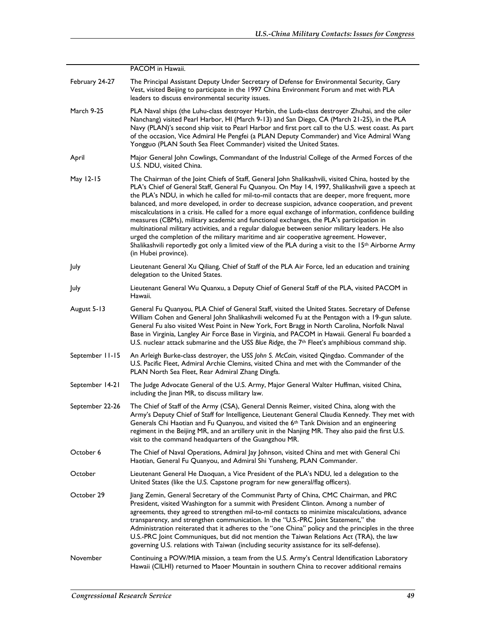|                 | PACOM in Hawaii.                                                                                                                                                                                                                                                                                                                                                                                                                                                                                                                                                                                                                                                                                                                                                                                                                                                                                                                               |
|-----------------|------------------------------------------------------------------------------------------------------------------------------------------------------------------------------------------------------------------------------------------------------------------------------------------------------------------------------------------------------------------------------------------------------------------------------------------------------------------------------------------------------------------------------------------------------------------------------------------------------------------------------------------------------------------------------------------------------------------------------------------------------------------------------------------------------------------------------------------------------------------------------------------------------------------------------------------------|
| February 24-27  | The Principal Assistant Deputy Under Secretary of Defense for Environmental Security, Gary<br>Vest, visited Beijing to participate in the 1997 China Environment Forum and met with PLA<br>leaders to discuss environmental security issues.                                                                                                                                                                                                                                                                                                                                                                                                                                                                                                                                                                                                                                                                                                   |
| March 9-25      | PLA Naval ships (the Luhu-class destroyer Harbin, the Luda-class destroyer Zhuhai, and the oiler<br>Nanchang) visited Pearl Harbor, HI (March 9-13) and San Diego, CA (March 21-25), in the PLA<br>Navy (PLAN)'s second ship visit to Pearl Harbor and first port call to the U.S. west coast. As part<br>of the occasion, Vice Admiral He Pengfei (a PLAN Deputy Commander) and Vice Admiral Wang<br>Yongguo (PLAN South Sea Fleet Commander) visited the United States.                                                                                                                                                                                                                                                                                                                                                                                                                                                                      |
| April           | Major General John Cowlings, Commandant of the Industrial College of the Armed Forces of the<br>U.S. NDU, visited China.                                                                                                                                                                                                                                                                                                                                                                                                                                                                                                                                                                                                                                                                                                                                                                                                                       |
| May 12-15       | The Chairman of the Joint Chiefs of Staff, General John Shalikashvili, visited China, hosted by the<br>PLA's Chief of General Staff, General Fu Quanyou. On May 14, 1997, Shalikashvili gave a speech at<br>the PLA's NDU, in which he called for mil-to-mil contacts that are deeper, more frequent, more<br>balanced, and more developed, in order to decrease suspicion, advance cooperation, and prevent<br>miscalculations in a crisis. He called for a more equal exchange of information, confidence building<br>measures (CBMs), military academic and functional exchanges, the PLA's participation in<br>multinational military activities, and a regular dialogue between senior military leaders. He also<br>urged the completion of the military maritime and air cooperative agreement. However,<br>Shalikashvili reportedly got only a limited view of the PLA during a visit to the 15th Airborne Army<br>(in Hubei province). |
| July            | Lieutenant General Xu Qiliang, Chief of Staff of the PLA Air Force, led an education and training<br>delegation to the United States.                                                                                                                                                                                                                                                                                                                                                                                                                                                                                                                                                                                                                                                                                                                                                                                                          |
| July            | Lieutenant General Wu Quanxu, a Deputy Chief of General Staff of the PLA, visited PACOM in<br>Hawaii.                                                                                                                                                                                                                                                                                                                                                                                                                                                                                                                                                                                                                                                                                                                                                                                                                                          |
| August 5-13     | General Fu Quanyou, PLA Chief of General Staff, visited the United States. Secretary of Defense<br>William Cohen and General John Shalikashvili welcomed Fu at the Pentagon with a 19-gun salute.<br>General Fu also visited West Point in New York, Fort Bragg in North Carolina, Norfolk Naval<br>Base in Virginia, Langley Air Force Base in Virginia, and PACOM in Hawaii. General Fu boarded a<br>U.S. nuclear attack submarine and the USS Blue Ridge, the 7 <sup>th</sup> Fleet's amphibious command ship.                                                                                                                                                                                                                                                                                                                                                                                                                              |
| September 11-15 | An Arleigh Burke-class destroyer, the USS John S. McCain, visited Qingdao. Commander of the<br>U.S. Pacific Fleet, Admiral Archie Clemins, visited China and met with the Commander of the<br>PLAN North Sea Fleet, Rear Admiral Zhang Dingfa.                                                                                                                                                                                                                                                                                                                                                                                                                                                                                                                                                                                                                                                                                                 |
| September 14-21 | The Judge Advocate General of the U.S. Army, Major General Walter Huffman, visited China,<br>including the Jinan MR, to discuss military law.                                                                                                                                                                                                                                                                                                                                                                                                                                                                                                                                                                                                                                                                                                                                                                                                  |
| September 22-26 | The Chief of Staff of the Army (CSA), General Dennis Reimer, visited China, along with the<br>Army's Deputy Chief of Staff for Intelligence, Lieutenant General Claudia Kennedy. They met with<br>Generals Chi Haotian and Fu Quanyou, and visited the 6 <sup>th</sup> Tank Division and an engineering<br>regiment in the Beijing MR, and an artillery unit in the Nanjing MR. They also paid the first U.S.<br>visit to the command headquarters of the Guangzhou MR.                                                                                                                                                                                                                                                                                                                                                                                                                                                                        |
| October 6       | The Chief of Naval Operations, Admiral Jay Johnson, visited China and met with General Chi<br>Haotian, General Fu Quanyou, and Admiral Shi Yunsheng, PLAN Commander.                                                                                                                                                                                                                                                                                                                                                                                                                                                                                                                                                                                                                                                                                                                                                                           |
| October         | Lieutenant General He Daoquan, a Vice President of the PLA's NDU, led a delegation to the<br>United States (like the U.S. Capstone program for new general/flag officers).                                                                                                                                                                                                                                                                                                                                                                                                                                                                                                                                                                                                                                                                                                                                                                     |
| October 29      | Jiang Zemin, General Secretary of the Communist Party of China, CMC Chairman, and PRC<br>President, visited Washington for a summit with President Clinton. Among a number of<br>agreements, they agreed to strengthen mil-to-mil contacts to minimize miscalculations, advance<br>transparency, and strengthen communication. In the "U.S.-PRC Joint Statement," the<br>Administration reiterated that it adheres to the "one China" policy and the principles in the three<br>U.S.-PRC Joint Communiques, but did not mention the Taiwan Relations Act (TRA), the law<br>governing U.S. relations with Taiwan (including security assistance for its self-defense).                                                                                                                                                                                                                                                                          |
| November        | Continuing a POW/MIA mission, a team from the U.S. Army's Central Identification Laboratory<br>Hawaii (CILHI) returned to Maoer Mountain in southern China to recover additional remains                                                                                                                                                                                                                                                                                                                                                                                                                                                                                                                                                                                                                                                                                                                                                       |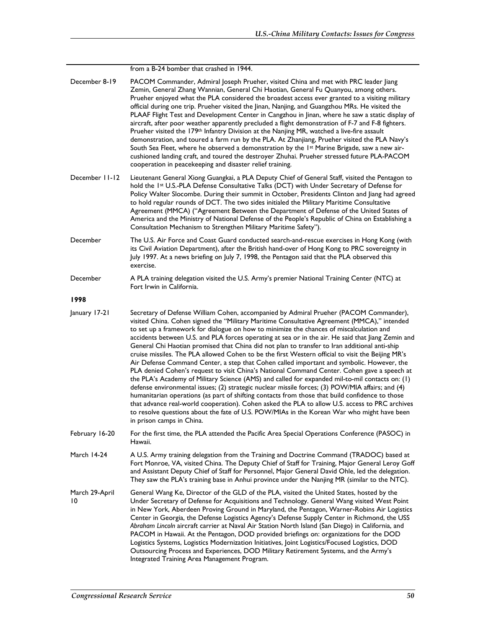| December 8-19        | PACOM Commander, Admiral Joseph Prueher, visited China and met with PRC leader Jiang<br>Zemin, General Zhang Wannian, General Chi Haotian, General Fu Quanyou, among others.<br>Prueher enjoyed what the PLA considered the broadest access ever granted to a visiting military<br>official during one trip. Prueher visited the Jinan, Nanjing, and Guangzhou MRs. He visited the<br>PLAAF Flight Test and Development Center in Cangzhou in Jinan, where he saw a static display of<br>aircraft, after poor weather apparently precluded a flight demonstration of F-7 and F-8 fighters.<br>Prueher visited the 179 <sup>th</sup> Infantry Division at the Nanjing MR, watched a live-fire assault<br>demonstration, and toured a farm run by the PLA. At Zhanjiang, Prueher visited the PLA Navy's<br>South Sea Fleet, where he observed a demonstration by the 1st Marine Brigade, saw a new air-<br>cushioned landing craft, and toured the destroyer Zhuhai. Prueher stressed future PLA-PACOM<br>cooperation in peacekeeping and disaster relief training.                                                                                                                                                                                                                                                              |
|----------------------|--------------------------------------------------------------------------------------------------------------------------------------------------------------------------------------------------------------------------------------------------------------------------------------------------------------------------------------------------------------------------------------------------------------------------------------------------------------------------------------------------------------------------------------------------------------------------------------------------------------------------------------------------------------------------------------------------------------------------------------------------------------------------------------------------------------------------------------------------------------------------------------------------------------------------------------------------------------------------------------------------------------------------------------------------------------------------------------------------------------------------------------------------------------------------------------------------------------------------------------------------------------------------------------------------------------------------------|
| December 11-12       | Lieutenant General Xiong Guangkai, a PLA Deputy Chief of General Staff, visited the Pentagon to<br>hold the 1st U.S.-PLA Defense Consultative Talks (DCT) with Under Secretary of Defense for<br>Policy Walter Slocombe. During their summit in October, Presidents Clinton and Jiang had agreed<br>to hold regular rounds of DCT. The two sides initialed the Military Maritime Consultative<br>Agreement (MMCA) ("Agreement Between the Department of Defense of the United States of<br>America and the Ministry of National Defense of the People's Republic of China on Establishing a<br>Consultation Mechanism to Strengthen Military Maritime Safety").                                                                                                                                                                                                                                                                                                                                                                                                                                                                                                                                                                                                                                                                |
| December             | The U.S. Air Force and Coast Guard conducted search-and-rescue exercises in Hong Kong (with<br>its Civil Aviation Department), after the British hand-over of Hong Kong to PRC sovereignty in<br>July 1997. At a news briefing on July 7, 1998, the Pentagon said that the PLA observed this<br>exercise.                                                                                                                                                                                                                                                                                                                                                                                                                                                                                                                                                                                                                                                                                                                                                                                                                                                                                                                                                                                                                      |
| December             | A PLA training delegation visited the U.S. Army's premier National Training Center (NTC) at<br>Fort Irwin in California.                                                                                                                                                                                                                                                                                                                                                                                                                                                                                                                                                                                                                                                                                                                                                                                                                                                                                                                                                                                                                                                                                                                                                                                                       |
| 1998                 |                                                                                                                                                                                                                                                                                                                                                                                                                                                                                                                                                                                                                                                                                                                                                                                                                                                                                                                                                                                                                                                                                                                                                                                                                                                                                                                                |
| January 17-21        | Secretary of Defense William Cohen, accompanied by Admiral Prueher (PACOM Commander),<br>visited China. Cohen signed the "Military Maritime Consultative Agreement (MMCA)," intended<br>to set up a framework for dialogue on how to minimize the chances of miscalculation and<br>accidents between U.S. and PLA forces operating at sea or in the air. He said that Jiang Zemin and<br>General Chi Haotian promised that China did not plan to transfer to Iran additional anti-ship<br>cruise missiles. The PLA allowed Cohen to be the first Western official to visit the Beijing MR's<br>Air Defense Command Center, a step that Cohen called important and symbolic. However, the<br>PLA denied Cohen's request to visit China's National Command Center. Cohen gave a speech at<br>the PLA's Academy of Military Science (AMS) and called for expanded mil-to-mil contacts on: (1)<br>defense environmental issues; (2) strategic nuclear missile forces; (3) POW/MIA affairs; and (4)<br>humanitarian operations (as part of shifting contacts from those that build confidence to those<br>that advance real-world cooperation). Cohen asked the PLA to allow U.S. access to PRC archives<br>to resolve questions about the fate of U.S. POW/MIAs in the Korean War who might have been<br>in prison camps in China. |
| February 16-20       | For the first time, the PLA attended the Pacific Area Special Operations Conference (PASOC) in<br>Hawaii.                                                                                                                                                                                                                                                                                                                                                                                                                                                                                                                                                                                                                                                                                                                                                                                                                                                                                                                                                                                                                                                                                                                                                                                                                      |
| March 14-24          | A U.S. Army training delegation from the Training and Doctrine Command (TRADOC) based at<br>Fort Monroe, VA, visited China. The Deputy Chief of Staff for Training, Major General Leroy Goff<br>and Assistant Deputy Chief of Staff for Personnel, Major General David Ohle, led the delegation.<br>They saw the PLA's training base in Anhui province under the Nanjing MR (similar to the NTC).                                                                                                                                                                                                                                                                                                                                                                                                                                                                                                                                                                                                                                                                                                                                                                                                                                                                                                                              |
| March 29-April<br>10 | General Wang Ke, Director of the GLD of the PLA, visited the United States, hosted by the<br>Under Secretary of Defense for Acquisitions and Technology. General Wang visited West Point<br>in New York, Aberdeen Proving Ground in Maryland, the Pentagon, Warner-Robins Air Logistics<br>Center in Georgia, the Defense Logistics Agency's Defense Supply Center in Richmond, the USS<br>Abraham Lincoln aircraft carrier at Naval Air Station North Island (San Diego) in California, and<br>PACOM in Hawaii. At the Pentagon, DOD provided briefings on: organizations for the DOD<br>Logistics Systems, Logistics Modernization Initiatives, Joint Logistics/Focused Logistics, DOD<br>Outsourcing Process and Experiences, DOD Military Retirement Systems, and the Army's<br>Integrated Training Area Management Program.                                                                                                                                                                                                                                                                                                                                                                                                                                                                                               |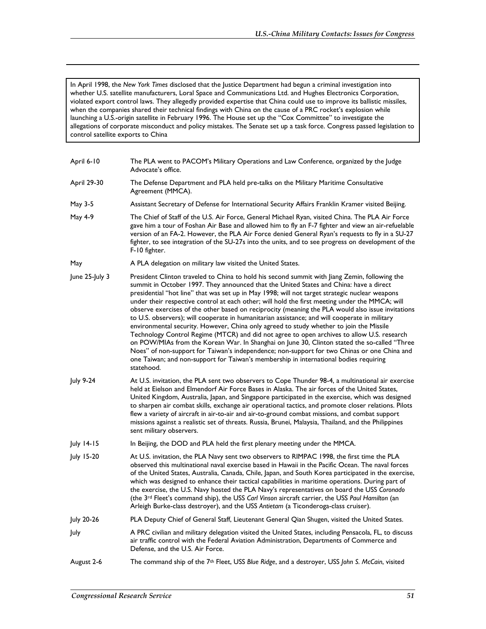In April 1998, the *New York Times* disclosed that the Justice Department had begun a criminal investigation into whether U.S. satellite manufacturers, Loral Space and Communications Ltd. and Hughes Electronics Corporation, violated export control laws. They allegedly provided expertise that China could use to improve its ballistic missiles, when the companies shared their technical findings with China on the cause of a PRC rocket's explosion while launching a U.S.-origin satellite in February 1996. The House set up the "Cox Committee" to investigate the allegations of corporate misconduct and policy mistakes. The Senate set up a task force. Congress passed legislation to control satellite exports to China

| April 6-10        | The PLA went to PACOM's Military Operations and Law Conference, organized by the Judge<br>Advocate's office.                                                                                                                                                                                                                                                                                                                                                                                                                                                                                                                                                                                                                                                                                                                                                                                                                                                                                                                                                                                     |
|-------------------|--------------------------------------------------------------------------------------------------------------------------------------------------------------------------------------------------------------------------------------------------------------------------------------------------------------------------------------------------------------------------------------------------------------------------------------------------------------------------------------------------------------------------------------------------------------------------------------------------------------------------------------------------------------------------------------------------------------------------------------------------------------------------------------------------------------------------------------------------------------------------------------------------------------------------------------------------------------------------------------------------------------------------------------------------------------------------------------------------|
| April 29-30       | The Defense Department and PLA held pre-talks on the Military Maritime Consultative<br>Agreement (MMCA).                                                                                                                                                                                                                                                                                                                                                                                                                                                                                                                                                                                                                                                                                                                                                                                                                                                                                                                                                                                         |
| May 3-5           | Assistant Secretary of Defense for International Security Affairs Franklin Kramer visited Beijing.                                                                                                                                                                                                                                                                                                                                                                                                                                                                                                                                                                                                                                                                                                                                                                                                                                                                                                                                                                                               |
| May 4-9           | The Chief of Staff of the U.S. Air Force, General Michael Ryan, visited China. The PLA Air Force<br>gave him a tour of Foshan Air Base and allowed him to fly an F-7 fighter and view an air-refuelable<br>version of an FA-2. However, the PLA Air Force denied General Ryan's requests to fly in a SU-27<br>fighter, to see integration of the SU-27s into the units, and to see progress on development of the<br>F-10 fighter.                                                                                                                                                                                                                                                                                                                                                                                                                                                                                                                                                                                                                                                               |
| May               | A PLA delegation on military law visited the United States.                                                                                                                                                                                                                                                                                                                                                                                                                                                                                                                                                                                                                                                                                                                                                                                                                                                                                                                                                                                                                                      |
| June 25-July 3    | President Clinton traveled to China to hold his second summit with Jiang Zemin, following the<br>summit in October 1997. They announced that the United States and China: have a direct<br>presidential "hot line" that was set up in May 1998; will not target strategic nuclear weapons<br>under their respective control at each other; will hold the first meeting under the MMCA; will<br>observe exercises of the other based on reciprocity (meaning the PLA would also issue invitations<br>to U.S. observers); will cooperate in humanitarian assistance; and will cooperate in military<br>environmental security. However, China only agreed to study whether to join the Missile<br>Technology Control Regime (MTCR) and did not agree to open archives to allow U.S. research<br>on POW/MIAs from the Korean War. In Shanghai on June 30, Clinton stated the so-called "Three<br>Noes" of non-support for Taiwan's independence; non-support for two Chinas or one China and<br>one Taiwan; and non-support for Taiwan's membership in international bodies requiring<br>statehood. |
| July 9-24         | At U.S. invitation, the PLA sent two observers to Cope Thunder 98-4, a multinational air exercise<br>held at Eielson and Elmendorf Air Force Bases in Alaska. The air forces of the United States,<br>United Kingdom, Australia, Japan, and Singapore participated in the exercise, which was designed<br>to sharpen air combat skills, exchange air operational tactics, and promote closer relations. Pilots<br>flew a variety of aircraft in air-to-air and air-to-ground combat missions, and combat support<br>missions against a realistic set of threats. Russia, Brunei, Malaysia, Thailand, and the Philippines<br>sent military observers.                                                                                                                                                                                                                                                                                                                                                                                                                                             |
| July 14-15        | In Beijing, the DOD and PLA held the first plenary meeting under the MMCA.                                                                                                                                                                                                                                                                                                                                                                                                                                                                                                                                                                                                                                                                                                                                                                                                                                                                                                                                                                                                                       |
| <b>July 15-20</b> | At U.S. invitation, the PLA Navy sent two observers to RIMPAC 1998, the first time the PLA<br>observed this multinational naval exercise based in Hawaii in the Pacific Ocean. The naval forces<br>of the United States, Australia, Canada, Chile, Japan, and South Korea participated in the exercise,<br>which was designed to enhance their tactical capabilities in maritime operations. During part of<br>the exercise, the U.S. Navy hosted the PLA Navy's representatives on board the USS Coronado                                                                                                                                                                                                                                                                                                                                                                                                                                                                                                                                                                                       |

July 20-26 PLA Deputy Chief of General Staff, Lieutenant General Qian Shugen, visited the United States.

July A PRC civilian and military delegation visited the United States, including Pensacola, FL, to discuss air traffic control with the Federal Aviation Administration, Departments of Commerce and Defense, and the U.S. Air Force.

Arleigh Burke-class destroyer), and the USS *Antietam* (a Ticonderoga-class cruiser).

(the 3rd Fleet's command ship), the USS *Carl Vinson* aircraft carrier, the USS *Paul Hamilton* (an

August 2-6 The command ship of the 7th Fleet, USS *Blue Ridge*, and a destroyer, USS *John S. McCain*, visited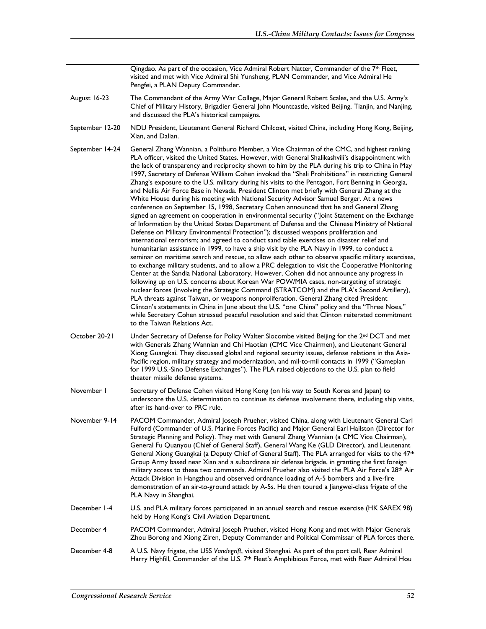Qingdao. As part of the occasion, Vice Admiral Robert Natter, Commander of the  $7<sup>th</sup>$  Fleet, visited and met with Vice Admiral Shi Yunsheng, PLAN Commander, and Vice Admiral He Pengfei, a PLAN Deputy Commander.

- August 16-23 The Commandant of the Army War College, Major General Robert Scales, and the U.S. Army's Chief of Military History, Brigadier General John Mountcastle, visited Beijing, Tianjin, and Nanjing, and discussed the PLA's historical campaigns.
- September 12-20 NDU President, Lieutenant General Richard Chilcoat, visited China, including Hong Kong, Beijing, Xian, and Dalian.
- September 14-24 General Zhang Wannian, a Politburo Member, a Vice Chairman of the CMC, and highest ranking PLA officer, visited the United States. However, with General Shalikashvili's disappointment with the lack of transparency and reciprocity shown to him by the PLA during his trip to China in May 1997, Secretary of Defense William Cohen invoked the "Shali Prohibitions" in restricting General Zhang's exposure to the U.S. military during his visits to the Pentagon, Fort Benning in Georgia, and Nellis Air Force Base in Nevada. President Clinton met briefly with General Zhang at the White House during his meeting with National Security Advisor Samuel Berger. At a news conference on September 15, 1998, Secretary Cohen announced that he and General Zhang signed an agreement on cooperation in environmental security ("|oint Statement on the Exchange of Information by the United States Department of Defense and the Chinese Ministry of National Defense on Military Environmental Protection"); discussed weapons proliferation and international terrorism; and agreed to conduct sand table exercises on disaster relief and humanitarian assistance in 1999, to have a ship visit by the PLA Navy in 1999, to conduct a seminar on maritime search and rescue, to allow each other to observe specific military exercises, to exchange military students, and to allow a PRC delegation to visit the Cooperative Monitoring Center at the Sandia National Laboratory. However, Cohen did not announce any progress in following up on U.S. concerns about Korean War POW/MIA cases, non-targeting of strategic nuclear forces (involving the Strategic Command (STRATCOM) and the PLA's Second Artillery), PLA threats against Taiwan, or weapons nonproliferation. General Zhang cited President Clinton's statements in China in June about the U.S. "one China" policy and the "Three Noes," while Secretary Cohen stressed peaceful resolution and said that Clinton reiterated commitment to the Taiwan Relations Act.
- October 20-21 Under Secretary of Defense for Policy Walter Slocombe visited Beijing for the 2<sup>nd</sup> DCT and met with Generals Zhang Wannian and Chi Haotian (CMC Vice Chairmen), and Lieutenant General Xiong Guangkai. They discussed global and regional security issues, defense relations in the Asia-Pacific region, military strategy and modernization, and mil-to-mil contacts in 1999 ("Gameplan for 1999 U.S.-Sino Defense Exchanges"). The PLA raised objections to the U.S. plan to field theater missile defense systems.
- November 1 Secretary of Defense Cohen visited Hong Kong (on his way to South Korea and Japan) to underscore the U.S. determination to continue its defense involvement there, including ship visits, after its hand-over to PRC rule.
- November 9-14 PACOM Commander, Admiral Joseph Prueher, visited China, along with Lieutenant General Carl Fulford (Commander of U.S. Marine Forces Pacific) and Major General Earl Hailston (Director for Strategic Planning and Policy). They met with General Zhang Wannian (a CMC Vice Chairman), General Fu Quanyou (Chief of General Staff), General Wang Ke (GLD Director), and Lieutenant General Xiong Guangkai (a Deputy Chief of General Staff). The PLA arranged for visits to the 47th Group Army based near Xian and a subordinate air defense brigade, in granting the first foreign military access to these two commands. Admiral Prueher also visited the PLA Air Force's 28<sup>th</sup> Air Attack Division in Hangzhou and observed ordnance loading of A-5 bombers and a live-fire demonstration of an air-to-ground attack by A-5s. He then toured a Jiangwei-class frigate of the PLA Navy in Shanghai.
- December 1-4 U.S. and PLA military forces participated in an annual search and rescue exercise (HK SAREX 98) held by Hong Kong's Civil Aviation Department.
- December 4 PACOM Commander, Admiral Joseph Prueher, visited Hong Kong and met with Major Generals Zhou Borong and Xiong Ziren, Deputy Commander and Political Commissar of PLA forces there.
- December 4-8 A U.S. Navy frigate, the USS *Vandegrift*, visited Shanghai. As part of the port call, Rear Admiral Harry Highfill, Commander of the U.S. 7<sup>th</sup> Fleet's Amphibious Force, met with Rear Admiral Hou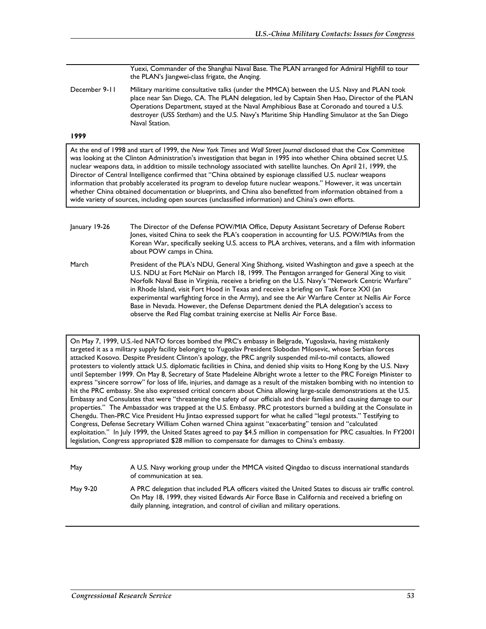Yuexi, Commander of the Shanghai Naval Base. The PLAN arranged for Admiral Highfill to tour the PLAN's Jiangwei-class frigate, the Anqing.

December 9-11 Military maritime consultative talks (under the MMCA) between the U.S. Navy and PLAN took place near San Diego, CA. The PLAN delegation, led by Captain Shen Hao, Director of the PLAN Operations Department, stayed at the Naval Amphibious Base at Coronado and toured a U.S. destroyer (USS *Stetham*) and the U.S. Navy's Maritime Ship Handling Simulator at the San Diego Naval Station.

## **1999**

At the end of 1998 and start of 1999, the *New York Times* and *Wall Street Journal* disclosed that the Cox Committee was looking at the Clinton Administration's investigation that began in 1995 into whether China obtained secret U.S. nuclear weapons data, in addition to missile technology associated with satellite launches. On April 21, 1999, the Director of Central Intelligence confirmed that "China obtained by espionage classified U.S. nuclear weapons information that probably accelerated its program to develop future nuclear weapons." However, it was uncertain whether China obtained documentation or blueprints, and China also benefitted from information obtained from a wide variety of sources, including open sources (unclassified information) and China's own efforts.

January 19-26 The Director of the Defense POW/MIA Office, Deputy Assistant Secretary of Defense Robert Jones, visited China to seek the PLA's cooperation in accounting for U.S. POW/MIAs from the Korean War, specifically seeking U.S. access to PLA archives, veterans, and a film with information about POW camps in China. March President of the PLA's NDU, General Xing Shizhong, visited Washington and gave a speech at the U.S. NDU at Fort McNair on March 18, 1999. The Pentagon arranged for General Xing to visit Norfolk Naval Base in Virginia, receive a briefing on the U.S. Navy's "Network Centric Warfare" in Rhode Island, visit Fort Hood in Texas and receive a briefing on Task Force XXI (an

Base in Nevada. However, the Defense Department denied the PLA delegation's access to observe the Red Flag combat training exercise at Nellis Air Force Base. On May 7, 1999, U.S.-led NATO forces bombed the PRC's embassy in Belgrade, Yugoslavia, having mistakenly targeted it as a military supply facility belonging to Yugoslav President Slobodan Milosevic, whose Serbian forces attacked Kosovo. Despite President Clinton's apology, the PRC angrily suspended mil-to-mil contacts, allowed protesters to violently attack U.S. diplomatic facilities in China, and denied ship visits to Hong Kong by the U.S. Navy

experimental warfighting force in the Army), and see the Air Warfare Center at Nellis Air Force

until September 1999. On May 8, Secretary of State Madeleine Albright wrote a letter to the PRC Foreign Minister to express "sincere sorrow" for loss of life, injuries, and damage as a result of the mistaken bombing with no intention to hit the PRC embassy. She also expressed critical concern about China allowing large-scale demonstrations at the U.S. Embassy and Consulates that were "threatening the safety of our officials and their families and causing damage to our properties." The Ambassador was trapped at the U.S. Embassy. PRC protestors burned a building at the Consulate in Chengdu. Then-PRC Vice President Hu Jintao expressed support for what he called "legal protests." Testifying to Congress, Defense Secretary William Cohen warned China against "exacerbating" tension and "calculated exploitation." In July 1999, the United States agreed to pay \$4.5 million in compensation for PRC casualties. In FY2001 legislation, Congress appropriated \$28 million to compensate for damages to China's embassy.

| May      | A U.S. Navy working group under the MMCA visited Qingdao to discuss international standards<br>of communication at sea.                                                                                                                                                                 |
|----------|-----------------------------------------------------------------------------------------------------------------------------------------------------------------------------------------------------------------------------------------------------------------------------------------|
| May 9-20 | A PRC delegation that included PLA officers visited the United States to discuss air traffic control.<br>On May 18, 1999, they visited Edwards Air Force Base in California and received a briefing on<br>daily planning, integration, and control of civilian and military operations. |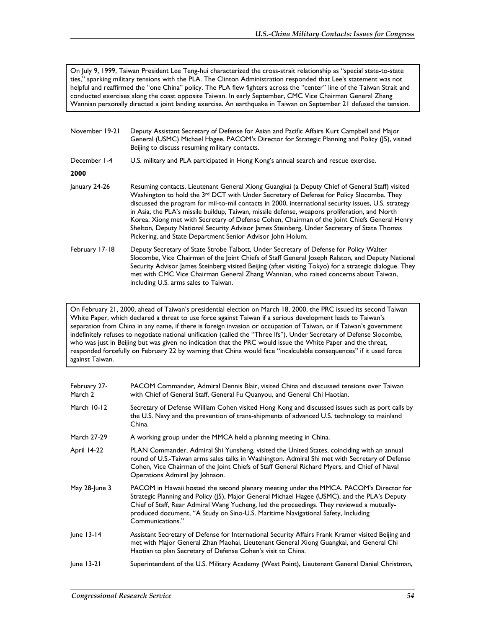On July 9, 1999, Taiwan President Lee Teng-hui characterized the cross-strait relationship as "special state-to-state ties," sparking military tensions with the PLA. The Clinton Administration responded that Lee's statement was not helpful and reaffirmed the "one China" policy. The PLA flew fighters across the "center" line of the Taiwan Strait and conducted exercises along the coast opposite Taiwan. In early September, CMC Vice Chairman General Zhang Wannian personally directed a joint landing exercise. An earthquake in Taiwan on September 21 defused the tension.

| November 19-21 | Deputy Assistant Secretary of Defense for Asian and Pacific Affairs Kurt Campbell and Major<br>General (USMC) Michael Hagee, PACOM's Director for Strategic Planning and Policy (J5), visited<br>Beijing to discuss resuming military contacts.                                                                                                                                                                                                                                                                                                                                                                                                                            |
|----------------|----------------------------------------------------------------------------------------------------------------------------------------------------------------------------------------------------------------------------------------------------------------------------------------------------------------------------------------------------------------------------------------------------------------------------------------------------------------------------------------------------------------------------------------------------------------------------------------------------------------------------------------------------------------------------|
| December 1-4   | U.S. military and PLA participated in Hong Kong's annual search and rescue exercise.                                                                                                                                                                                                                                                                                                                                                                                                                                                                                                                                                                                       |
| 2000           |                                                                                                                                                                                                                                                                                                                                                                                                                                                                                                                                                                                                                                                                            |
| January 24-26  | Resuming contacts, Lieutenant General Xiong Guangkai (a Deputy Chief of General Staff) visited<br>Washington to hold the 3 <sup>rd</sup> DCT with Under Secretary of Defense for Policy Slocombe. They<br>discussed the program for mil-to-mil contacts in 2000, international security issues, U.S. strategy<br>in Asia, the PLA's missile buildup, Taiwan, missile defense, weapons proliferation, and North<br>Korea. Xiong met with Secretary of Defense Cohen, Chairman of the Joint Chiefs General Henry<br>Shelton, Deputy National Security Advisor James Steinberg, Under Secretary of State Thomas<br>Pickering, and State Department Senior Advisor John Holum. |
| February 17-18 | Deputy Secretary of State Strobe Talbott, Under Secretary of Defense for Policy Walter<br>Slocombe, Vice Chairman of the Joint Chiefs of Staff General Joseph Ralston, and Deputy National<br>Security Advisor James Steinberg visited Beijing (after visiting Tokyo) for a strategic dialogue. They<br>met with CMC Vice Chairman General Zhang Wannian, who raised concerns about Taiwan,<br>including U.S. arms sales to Taiwan.                                                                                                                                                                                                                                        |

On February 21, 2000, ahead of Taiwan's presidential election on March 18, 2000, the PRC issued its second Taiwan White Paper, which declared a threat to use force against Taiwan if a serious development leads to Taiwan's separation from China in any name, if there is foreign invasion or occupation of Taiwan, or if Taiwan's government indefinitely refuses to negotiate national unification (called the "Three Ifs"). Under Secretary of Defense Slocombe, who was just in Beijing but was given no indication that the PRC would issue the White Paper and the threat, responded forcefully on February 22 by warning that China would face "incalculable consequences" if it used force against Taiwan.

| February 27-<br>March 2 | PACOM Commander, Admiral Dennis Blair, visited China and discussed tensions over Taiwan<br>with Chief of General Staff, General Fu Quanyou, and General Chi Haotian.                                                                                                                                                                                                                        |
|-------------------------|---------------------------------------------------------------------------------------------------------------------------------------------------------------------------------------------------------------------------------------------------------------------------------------------------------------------------------------------------------------------------------------------|
| March 10-12             | Secretary of Defense William Cohen visited Hong Kong and discussed issues such as port calls by<br>the U.S. Navy and the prevention of trans-shipments of advanced U.S. technology to mainland<br>China.                                                                                                                                                                                    |
| <b>March 27-29</b>      | A working group under the MMCA held a planning meeting in China.                                                                                                                                                                                                                                                                                                                            |
| <b>April 14-22</b>      | PLAN Commander, Admiral Shi Yunsheng, visited the United States, coinciding with an annual<br>round of U.S.-Taiwan arms sales talks in Washington. Admiral Shi met with Secretary of Defense<br>Cohen, Vice Chairman of the Joint Chiefs of Staff General Richard Myers, and Chief of Naval<br>Operations Admiral Jay Johnson.                                                              |
| May 28-June 3           | PACOM in Hawaii hosted the second plenary meeting under the MMCA. PACOM's Director for<br>Strategic Planning and Policy (J5), Major General Michael Hagee (USMC), and the PLA's Deputy<br>Chief of Staff, Rear Admiral Wang Yucheng, led the proceedings. They reviewed a mutually-<br>produced document, "A Study on Sino-U.S. Maritime Navigational Safety, Including<br>Communications." |
| $ une 13-14$            | Assistant Secretary of Defense for International Security Affairs Frank Kramer visited Beijing and<br>met with Major General Zhan Maohai, Lieutenant General Xiong Guangkai, and General Chi<br>Haotian to plan Secretary of Defense Cohen's visit to China.                                                                                                                                |
| $ une$ 13-21            | Superintendent of the U.S. Military Academy (West Point), Lieutenant General Daniel Christman,                                                                                                                                                                                                                                                                                              |
|                         |                                                                                                                                                                                                                                                                                                                                                                                             |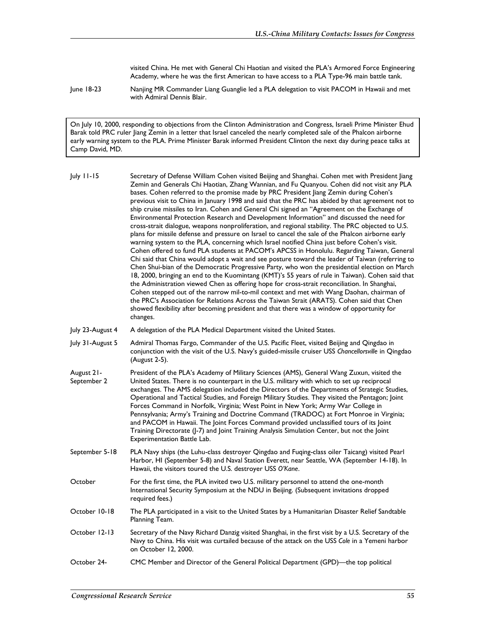visited China. He met with General Chi Haotian and visited the PLA's Armored Force Engineering Academy, where he was the first American to have access to a PLA Type-96 main battle tank.

June 18-23 Nanjing MR Commander Liang Guanglie led a PLA delegation to visit PACOM in Hawaii and met with Admiral Dennis Blair.

On July 10, 2000, responding to objections from the Clinton Administration and Congress, Israeli Prime Minister Ehud Barak told PRC ruler Jiang Zemin in a letter that Israel canceled the nearly completed sale of the Phalcon airborne early warning system to the PLA. Prime Minister Barak informed President Clinton the next day during peace talks at Camp David, MD.

July 11-15 Secretary of Defense William Cohen visited Beijing and Shanghai. Cohen met with President Jiang Zemin and Generals Chi Haotian, Zhang Wannian, and Fu Quanyou. Cohen did not visit any PLA bases. Cohen referred to the promise made by PRC President Jiang Zemin during Cohen's previous visit to China in January 1998 and said that the PRC has abided by that agreement not to ship cruise missiles to Iran. Cohen and General Chi signed an "Agreement on the Exchange of Environmental Protection Research and Development Information" and discussed the need for cross-strait dialogue, weapons nonproliferation, and regional stability. The PRC objected to U.S. plans for missile defense and pressure on Israel to cancel the sale of the Phalcon airborne early warning system to the PLA, concerning which Israel notified China just before Cohen's visit. Cohen offered to fund PLA students at PACOM's APCSS in Honolulu. Regarding Taiwan, General Chi said that China would adopt a wait and see posture toward the leader of Taiwan (referring to Chen Shui-bian of the Democratic Progressive Party, who won the presidential election on March 18, 2000, bringing an end to the Kuomintang (KMT)'s 55 years of rule in Taiwan). Cohen said that the Administration viewed Chen as offering hope for cross-strait reconciliation. In Shanghai, Cohen stepped out of the narrow mil-to-mil context and met with Wang Daohan, chairman of the PRC's Association for Relations Across the Taiwan Strait (ARATS). Cohen said that Chen showed flexibility after becoming president and that there was a window of opportunity for changes. July 23-August 4 A delegation of the PLA Medical Department visited the United States. July 31-August 5 Admiral Thomas Fargo, Commander of the U.S. Pacific Fleet, visited Beijing and Qingdao in conjunction with the visit of the U.S. Navy's guided-missile cruiser USS *Chancellorsville* in Qingdao (August 2-5). August 21- September 2 President of the PLA's Academy of Military Sciences (AMS), General Wang Zuxun, visited the United States. There is no counterpart in the U.S. military with which to set up reciprocal exchanges. The AMS delegation included the Directors of the Departments of Strategic Studies, Operational and Tactical Studies, and Foreign Military Studies. They visited the Pentagon; Joint Forces Command in Norfolk, Virginia; West Point in New York; Army War College in Pennsylvania; Army's Training and Doctrine Command (TRADOC) at Fort Monroe in Virginia; and PACOM in Hawaii. The Joint Forces Command provided unclassified tours of its Joint Training Directorate (J-7) and Joint Training Analysis Simulation Center, but not the Joint Experimentation Battle Lab. September 5-18 PLA Navy ships (the Luhu-class destroyer Qingdao and Fuqing-class oiler Taicang) visited Pearl Harbor, HI (September 5-8) and Naval Station Everett, near Seattle, WA (September 14-18). In Hawaii, the visitors toured the U.S. destroyer USS *O'Kane*. October For the first time, the PLA invited two U.S. military personnel to attend the one-month International Security Symposium at the NDU in Beijing. (Subsequent invitations dropped required fees.) October 10-18 The PLA participated in a visit to the United States by a Humanitarian Disaster Relief Sandtable Planning Team. October 12-13 Secretary of the Navy Richard Danzig visited Shanghai, in the first visit by a U.S. Secretary of the Navy to China. His visit was curtailed because of the attack on the USS *Cole* in a Yemeni harbor on October 12, 2000. October 24- CMC Member and Director of the General Political Department (GPD)—the top political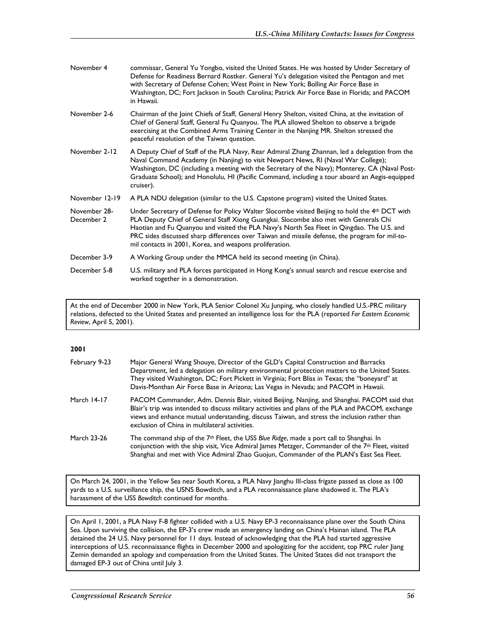| November 4                 | commissar, General Yu Yongbo, visited the United States. He was hosted by Under Secretary of<br>Defense for Readiness Bernard Rostker. General Yu's delegation visited the Pentagon and met<br>with Secretary of Defense Cohen; West Point in New York; Bolling Air Force Base in<br>Washington, DC; Fort Jackson in South Carolina; Patrick Air Force Base in Florida; and PACOM<br>in Hawaii.                                                    |
|----------------------------|----------------------------------------------------------------------------------------------------------------------------------------------------------------------------------------------------------------------------------------------------------------------------------------------------------------------------------------------------------------------------------------------------------------------------------------------------|
| November 2-6               | Chairman of the Joint Chiefs of Staff, General Henry Shelton, visited China, at the invitation of<br>Chief of General Staff, General Fu Quanyou. The PLA allowed Shelton to observe a brigade<br>exercising at the Combined Arms Training Center in the Nanjing MR. Shelton stressed the<br>peaceful resolution of the Taiwan question.                                                                                                            |
| November 2-12              | A Deputy Chief of Staff of the PLA Navy, Rear Admiral Zhang Zhannan, led a delegation from the<br>Naval Command Academy (in Nanjing) to visit Newport News, RI (Naval War College);<br>Washington, DC (including a meeting with the Secretary of the Navy); Monterey, CA (Naval Post-<br>Graduate School); and Honolulu, HI (Pacific Command, including a tour aboard an Aegis-equipped<br>cruiser).                                               |
| November 12-19             | A PLA NDU delegation (similar to the U.S. Capstone program) visited the United States.                                                                                                                                                                                                                                                                                                                                                             |
| November 28-<br>December 2 | Under Secretary of Defense for Policy Walter Slocombe visited Beijing to hold the 4th DCT with<br>PLA Deputy Chief of General Staff Xiong Guangkai. Slocombe also met with Generals Chi<br>Haotian and Fu Quanyou and visited the PLA Navy's North Sea Fleet in Qingdao. The U.S. and<br>PRC sides discussed sharp differences over Taiwan and missile defense, the program for mil-to-<br>mil contacts in 2001, Korea, and weapons proliferation. |
| December 3-9               | A Working Group under the MMCA held its second meeting (in China).                                                                                                                                                                                                                                                                                                                                                                                 |
| December 5-8               | U.S. military and PLA forces participated in Hong Kong's annual search and rescue exercise and<br>worked together in a demonstration.                                                                                                                                                                                                                                                                                                              |

At the end of December 2000 in New York, PLA Senior Colonel Xu Junping, who closely handled U.S.-PRC military relations, defected to the United States and presented an intelligence loss for the PLA (reported *Far Eastern Economic Review*, April 5, 2001).

## **2001**

| February 9-23 | Major General Wang Shouye, Director of the GLD's Capital Construction and Barracks<br>Department, led a delegation on military environmental protection matters to the United States.<br>They visited Washington, DC; Fort Pickett in Virginia; Fort Bliss in Texas; the "boneyard" at<br>Davis-Monthan Air Force Base in Arizona; Las Vegas in Nevada; and PACOM in Hawaii. |
|---------------|------------------------------------------------------------------------------------------------------------------------------------------------------------------------------------------------------------------------------------------------------------------------------------------------------------------------------------------------------------------------------|
| March 14-17   | PACOM Commander, Adm. Dennis Blair, visited Beijing, Nanjing, and Shanghai. PACOM said that<br>Blair's trip was intended to discuss military activities and plans of the PLA and PACOM, exchange<br>views and enhance mutual understanding, discuss Taiwan, and stress the inclusion rather than<br>exclusion of China in multilateral activities.                           |
| March 23-26   | The command ship of the $7th$ Fleet, the USS Blue Ridge, made a port call to Shanghai. In<br>conjunction with the ship visit, Vice Admiral James Metzger, Commander of the 7th Fleet, visited<br>Shanghai and met with Vice Admiral Zhao Guojun, Commander of the PLAN's East Sea Fleet.                                                                                     |

On March 24, 2001, in the Yellow Sea near South Korea, a PLA Navy Jianghu III-class frigate passed as close as 100 yards to a U.S. surveillance ship, the USNS Bowditch, and a PLA reconnaissance plane shadowed it. The PLA's harassment of the USS *Bowditch* continued for months.

On April 1, 2001, a PLA Navy F-8 fighter collided with a U.S. Navy EP-3 reconnaissance plane over the South China Sea. Upon surviving the collision, the EP-3's crew made an emergency landing on China's Hainan island. The PLA detained the 24 U.S. Navy personnel for 11 days. Instead of acknowledging that the PLA had started aggressive interceptions of U.S. reconnaissance flights in December 2000 and apologizing for the accident, top PRC ruler Jiang Zemin demanded an apology and compensation from the United States. The United States did not transport the damaged EP-3 out of China until July 3.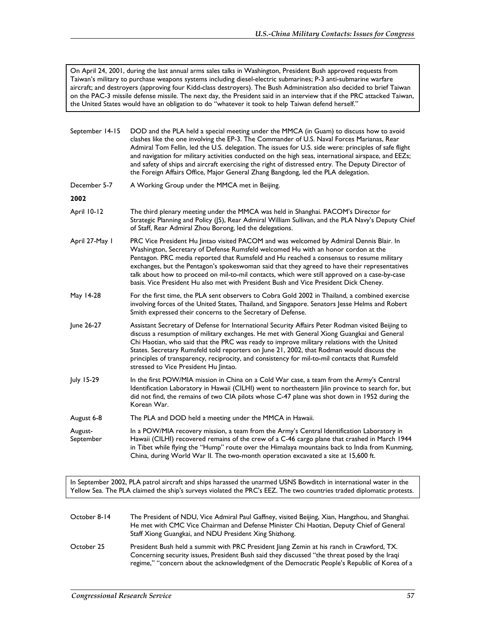On April 24, 2001, during the last annual arms sales talks in Washington, President Bush approved requests from Taiwan's military to purchase weapons systems including diesel-electric submarines; P-3 anti-submarine warfare aircraft; and destroyers (approving four Kidd-class destroyers). The Bush Administration also decided to brief Taiwan on the PAC-3 missile defense missile. The next day, the President said in an interview that if the PRC attacked Taiwan, the United States would have an obligation to do "whatever it took to help Taiwan defend herself."

| September 14-15      | DOD and the PLA held a special meeting under the MMCA (in Guam) to discuss how to avoid<br>clashes like the one involving the EP-3. The Commander of U.S. Naval Forces Marianas, Rear<br>Admiral Tom Fellin, led the U.S. delegation. The issues for U.S. side were: principles of safe flight<br>and navigation for military activities conducted on the high seas, international airspace, and EEZs;<br>and safety of ships and aircraft exercising the right of distressed entry. The Deputy Director of<br>the Foreign Affairs Office, Major General Zhang Bangdong, led the PLA delegation. |
|----------------------|--------------------------------------------------------------------------------------------------------------------------------------------------------------------------------------------------------------------------------------------------------------------------------------------------------------------------------------------------------------------------------------------------------------------------------------------------------------------------------------------------------------------------------------------------------------------------------------------------|
| December 5-7         | A Working Group under the MMCA met in Beijing.                                                                                                                                                                                                                                                                                                                                                                                                                                                                                                                                                   |
| 2002                 |                                                                                                                                                                                                                                                                                                                                                                                                                                                                                                                                                                                                  |
| April 10-12          | The third plenary meeting under the MMCA was held in Shanghai. PACOM's Director for<br>Strategic Planning and Policy (J5), Rear Admiral William Sullivan, and the PLA Navy's Deputy Chief<br>of Staff, Rear Admiral Zhou Borong, led the delegations.                                                                                                                                                                                                                                                                                                                                            |
| April 27-May 1       | PRC Vice President Hu Jintao visited PACOM and was welcomed by Admiral Dennis Blair. In<br>Washington, Secretary of Defense Rumsfeld welcomed Hu with an honor cordon at the<br>Pentagon. PRC media reported that Rumsfeld and Hu reached a consensus to resume military<br>exchanges, but the Pentagon's spokeswoman said that they agreed to have their representatives<br>talk about how to proceed on mil-to-mil contacts, which were still approved on a case-by-case<br>basis. Vice President Hu also met with President Bush and Vice President Dick Cheney.                              |
| May 14-28            | For the first time, the PLA sent observers to Cobra Gold 2002 in Thailand, a combined exercise<br>involving forces of the United States, Thailand, and Singapore. Senators Jesse Helms and Robert<br>Smith expressed their concerns to the Secretary of Defense.                                                                                                                                                                                                                                                                                                                                 |
| June 26-27           | Assistant Secretary of Defense for International Security Affairs Peter Rodman visited Beijing to<br>discuss a resumption of military exchanges. He met with General Xiong Guangkai and General<br>Chi Haotian, who said that the PRC was ready to improve military relations with the United<br>States. Secretary Rumsfeld told reporters on June 21, 2002, that Rodman would discuss the<br>principles of transparency, reciprocity, and consistency for mil-to-mil contacts that Rumsfeld<br>stressed to Vice President Hu Jintao.                                                            |
| July 15-29           | In the first POW/MIA mission in China on a Cold War case, a team from the Army's Central<br>Identification Laboratory in Hawaii (CILHI) went to northeastern Jilin province to search for, but<br>did not find, the remains of two CIA pilots whose C-47 plane was shot down in 1952 during the<br>Korean War.                                                                                                                                                                                                                                                                                   |
| August 6-8           | The PLA and DOD held a meeting under the MMCA in Hawaii.                                                                                                                                                                                                                                                                                                                                                                                                                                                                                                                                         |
| August-<br>September | In a POW/MIA recovery mission, a team from the Army's Central Identification Laboratory in<br>Hawaii (CILHI) recovered remains of the crew of a C-46 cargo plane that crashed in March 1944<br>in Tibet while flying the "Hump" route over the Himalaya mountains back to India from Kunming,<br>China, during World War II. The two-month operation excavated a site at 15,600 ft.                                                                                                                                                                                                              |

In September 2002, PLA patrol aircraft and ships harassed the unarmed USNS Bowditch in international water in the Yellow Sea. The PLA claimed the ship's surveys violated the PRC's EEZ. The two countries traded diplomatic protests.

| October 8-14 | The President of NDU, Vice Admiral Paul Gaffney, visited Beijing, Xian, Hangzhou, and Shanghai.<br>He met with CMC Vice Chairman and Defense Minister Chi Haotian, Deputy Chief of General<br>Staff Xiong Guangkai, and NDU President Xing Shizhong.                                       |
|--------------|--------------------------------------------------------------------------------------------------------------------------------------------------------------------------------------------------------------------------------------------------------------------------------------------|
| October 25   | President Bush held a summit with PRC President liang Zemin at his ranch in Crawford, TX.<br>Concerning security issues, President Bush said they discussed "the threat posed by the Iragi<br>regime," "concern about the acknowledgment of the Democratic People's Republic of Korea of a |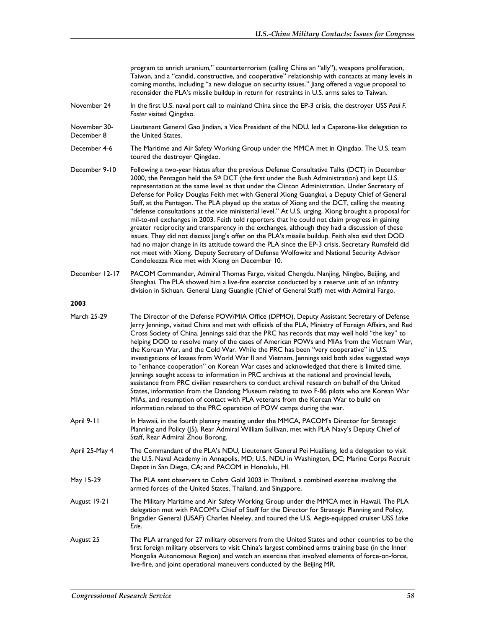| program to enrich uranium," counterterrorism (calling China an "ally"), weapons proliferation,     |
|----------------------------------------------------------------------------------------------------|
| Taiwan, and a "candid, constructive, and cooperative" relationship with contacts at many levels in |
| coming months, including "a new dialogue on security issues." Jiang offered a vague proposal to    |
| reconsider the PLA's missile buildup in return for restraints in U.S. arms sales to Taiwan.        |

- November 24 In the first U.S. naval port call to mainland China since the EP-3 crisis, the destroyer USS *Paul F. Foster* visited Qingdao.
- November 30- December 8 Lieutenant General Gao Jindian, a Vice President of the NDU, led a Capstone-like delegation to the United States.
- December 4-6 The Maritime and Air Safety Working Group under the MMCA met in Qingdao. The U.S. team toured the destroyer Qingdao.
- December 9-10 Following a two-year hiatus after the previous Defense Consultative Talks (DCT) in December 2000, the Pentagon held the 5<sup>th</sup> DCT (the first under the Bush Administration) and kept U.S. representation at the same level as that under the Clinton Administration. Under Secretary of Defense for Policy Douglas Feith met with General Xiong Guangkai, a Deputy Chief of General Staff, at the Pentagon. The PLA played up the status of Xiong and the DCT, calling the meeting "defense consultations at the vice ministerial level." At U.S. urging, Xiong brought a proposal for mil-to-mil exchanges in 2003. Feith told reporters that he could not claim progress in gaining greater reciprocity and transparency in the exchanges, although they had a discussion of these issues. They did not discuss Jiang's offer on the PLA's missile buildup. Feith also said that DOD had no major change in its attitude toward the PLA since the EP-3 crisis. Secretary Rumsfeld did not meet with Xiong. Deputy Secretary of Defense Wolfowitz and National Security Advisor Condoleezza Rice met with Xiong on December 10.
- December 12-17 PACOM Commander, Admiral Thomas Fargo, visited Chengdu, Nanjing, Ningbo, Beijing, and Shanghai. The PLA showed him a live-fire exercise conducted by a reserve unit of an infantry division in Sichuan. General Liang Guanglie (Chief of General Staff) met with Admiral Fargo.

| March 25-29 | The Director of the Defense POW/MIA Office (DPMO), Deputy Assistant Secretary of Defense              |
|-------------|-------------------------------------------------------------------------------------------------------|
|             | Jerry Jennings, visited China and met with officials of the PLA, Ministry of Foreign Affairs, and Red |
|             | Cross Society of China. Jennings said that the PRC has records that may well hold "the key" to        |
|             | helping DOD to resolve many of the cases of American POWs and MIAs from the Vietnam War,              |
|             | the Korean War, and the Cold War. While the PRC has been "very cooperative" in U.S.                   |
|             | investigations of losses from World War II and Vietnam, Jennings said both sides suggested ways       |
|             | to "enhance cooperation" on Korean War cases and acknowledged that there is limited time.             |
|             | Jennings sought access to information in PRC archives at the national and provincial levels,          |
|             | assistance from PRC civilian researchers to conduct archival research on behalf of the United         |
|             | States, information from the Dandong Museum relating to two F-86 pilots who are Korean War            |
|             | MIAs, and resumption of contact with PLA veterans from the Korean War to build on                     |
|             | information related to the PRC operation of POW camps during the war.                                 |
|             |                                                                                                       |

- April 9-11 In Hawaii, in the fourth plenary meeting under the MMCA, PACOM's Director for Strategic Planning and Policy (J5), Rear Admiral William Sullivan, met with PLA Navy's Deputy Chief of Staff, Rear Admiral Zhou Borong.
- April 25-May 4 The Commandant of the PLA's NDU, Lieutenant General Pei Huailiang, led a delegation to visit the U.S. Naval Academy in Annapolis, MD; U.S. NDU in Washington, DC; Marine Corps Recruit Depot in San Diego, CA; and PACOM in Honolulu, HI.
- May 15-29 The PLA sent observers to Cobra Gold 2003 in Thailand, a combined exercise involving the armed forces of the United States, Thailand, and Singapore.
- August 19-21 The Military Maritime and Air Safety Working Group under the MMCA met in Hawaii. The PLA delegation met with PACOM's Chief of Staff for the Director for Strategic Planning and Policy, Brigadier General (USAF) Charles Neeley, and toured the U.S. Aegis-equipped cruiser USS *Lake Erie*.
- August 25 The PLA arranged for 27 military observers from the United States and other countries to be the first foreign military observers to visit China's largest combined arms training base (in the Inner Mongolia Autonomous Region) and watch an exercise that involved elements of force-on-force, live-fire, and joint operational maneuvers conducted by the Beijing MR.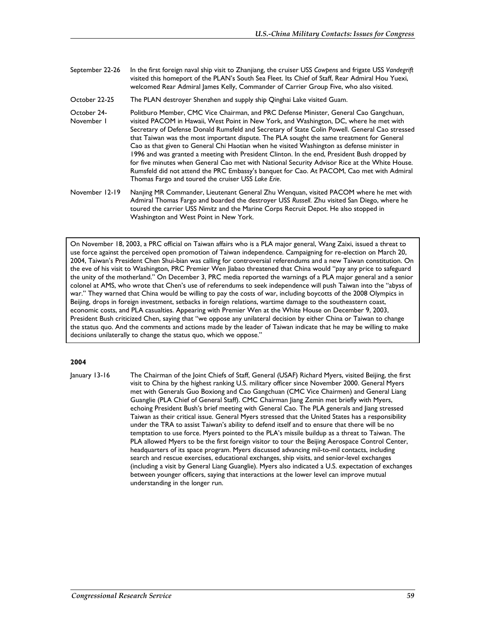- September 22-26 In the first foreign naval ship visit to Zhanjiang, the cruiser USS *Cowpens* and frigate USS *Vandegrift* visited this homeport of the PLAN's South Sea Fleet. Its Chief of Staff, Rear Admiral Hou Yuexi, welcomed Rear Admiral James Kelly, Commander of Carrier Group Five, who also visited.
- October 22-25 The PLAN destroyer Shenzhen and supply ship Qinghai Lake visited Guam.
- October 24- November 1 Politburo Member, CMC Vice Chairman, and PRC Defense Minister, General Cao Gangchuan, visited PACOM in Hawaii, West Point in New York, and Washington, DC, where he met with Secretary of Defense Donald Rumsfeld and Secretary of State Colin Powell. General Cao stressed that Taiwan was the most important dispute. The PLA sought the same treatment for General Cao as that given to General Chi Haotian when he visited Washington as defense minister in 1996 and was granted a meeting with President Clinton. In the end, President Bush dropped by for five minutes when General Cao met with National Security Advisor Rice at the White House. Rumsfeld did not attend the PRC Embassy's banquet for Cao. At PACOM, Cao met with Admiral Thomas Fargo and toured the cruiser USS *Lake Erie*.
- November 12-19 Nanjing MR Commander, Lieutenant General Zhu Wenquan, visited PACOM where he met with Admiral Thomas Fargo and boarded the destroyer USS *Russell*. Zhu visited San Diego, where he toured the carrier USS *Nimitz* and the Marine Corps Recruit Depot. He also stopped in Washington and West Point in New York.

On November 18, 2003, a PRC official on Taiwan affairs who is a PLA major general, Wang Zaixi, issued a threat to use force against the perceived open promotion of Taiwan independence. Campaigning for re-election on March 20, 2004, Taiwan's President Chen Shui-bian was calling for controversial referendums and a new Taiwan constitution. On the eve of his visit to Washington, PRC Premier Wen Jiabao threatened that China would "pay any price to safeguard the unity of the motherland." On December 3, PRC media reported the warnings of a PLA major general and a senior colonel at AMS, who wrote that Chen's use of referendums to seek independence will push Taiwan into the "abyss of war." They warned that China would be willing to pay the costs of war, including boycotts of the 2008 Olympics in Beijing, drops in foreign investment, setbacks in foreign relations, wartime damage to the southeastern coast, economic costs, and PLA casualties. Appearing with Premier Wen at the White House on December 9, 2003, President Bush criticized Chen, saying that "we oppose any unilateral decision by either China or Taiwan to change the status quo. And the comments and actions made by the leader of Taiwan indicate that he may be willing to make decisions unilaterally to change the status quo, which we oppose."

## **2004**

January 13-16 The Chairman of the Joint Chiefs of Staff, General (USAF) Richard Myers, visited Beijing, the first visit to China by the highest ranking U.S. military officer since November 2000. General Myers met with Generals Guo Boxiong and Cao Gangchuan (CMC Vice Chairmen) and General Liang Guanglie (PLA Chief of General Staff). CMC Chairman Jiang Zemin met briefly with Myers, echoing President Bush's brief meeting with General Cao. The PLA generals and Jiang stressed Taiwan as their critical issue. General Myers stressed that the United States has a responsibility under the TRA to assist Taiwan's ability to defend itself and to ensure that there will be no temptation to use force. Myers pointed to the PLA's missile buildup as a threat to Taiwan. The PLA allowed Myers to be the first foreign visitor to tour the Beijing Aerospace Control Center, headquarters of its space program. Myers discussed advancing mil-to-mil contacts, including search and rescue exercises, educational exchanges, ship visits, and senior-level exchanges (including a visit by General Liang Guanglie). Myers also indicated a U.S. expectation of exchanges between younger officers, saying that interactions at the lower level can improve mutual understanding in the longer run.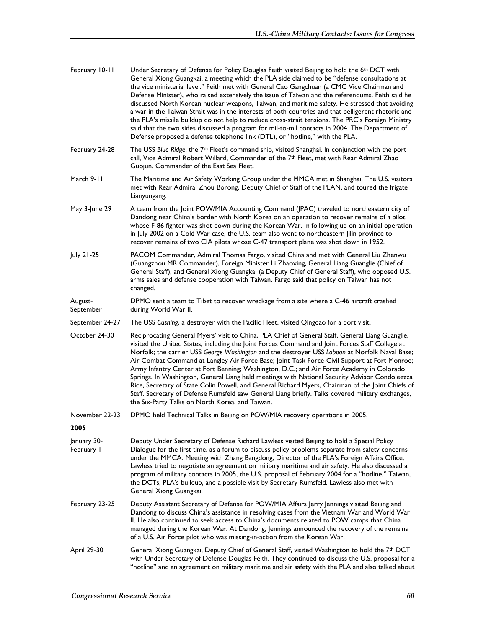| February 10-11            | Under Secretary of Defense for Policy Douglas Feith visited Beijing to hold the 6 <sup>th</sup> DCT with<br>General Xiong Guangkai, a meeting which the PLA side claimed to be "defense consultations at<br>the vice ministerial level." Feith met with General Cao Gangchuan (a CMC Vice Chairman and<br>Defense Minister), who raised extensively the issue of Taiwan and the referendums. Feith said he<br>discussed North Korean nuclear weapons, Taiwan, and maritime safety. He stressed that avoiding<br>a war in the Taiwan Strait was in the interests of both countries and that belligerent rhetoric and<br>the PLA's missile buildup do not help to reduce cross-strait tensions. The PRC's Foreign Ministry<br>said that the two sides discussed a program for mil-to-mil contacts in 2004. The Department of<br>Defense proposed a defense telephone link (DTL), or "hotline," with the PLA. |
|---------------------------|------------------------------------------------------------------------------------------------------------------------------------------------------------------------------------------------------------------------------------------------------------------------------------------------------------------------------------------------------------------------------------------------------------------------------------------------------------------------------------------------------------------------------------------------------------------------------------------------------------------------------------------------------------------------------------------------------------------------------------------------------------------------------------------------------------------------------------------------------------------------------------------------------------|
| February 24-28            | The USS Blue Ridge, the $7th$ Fleet's command ship, visited Shanghai. In conjunction with the port<br>call, Vice Admiral Robert Willard, Commander of the 7 <sup>th</sup> Fleet, met with Rear Admiral Zhao<br>Guojun, Commander of the East Sea Fleet.                                                                                                                                                                                                                                                                                                                                                                                                                                                                                                                                                                                                                                                    |
| March 9-11                | The Maritime and Air Safety Working Group under the MMCA met in Shanghai. The U.S. visitors<br>met with Rear Admiral Zhou Borong, Deputy Chief of Staff of the PLAN, and toured the frigate<br>Lianyungang.                                                                                                                                                                                                                                                                                                                                                                                                                                                                                                                                                                                                                                                                                                |
| May 3-June 29             | A team from the Joint POW/MIA Accounting Command (JPAC) traveled to northeastern city of<br>Dandong near China's border with North Korea on an operation to recover remains of a pilot<br>whose F-86 fighter was shot down during the Korean War. In following up on an initial operation<br>in July 2002 on a Cold War case, the U.S. team also went to northeastern Jilin province to<br>recover remains of two CIA pilots whose C-47 transport plane was shot down in 1952.                                                                                                                                                                                                                                                                                                                                                                                                                             |
| July 21-25                | PACOM Commander, Admiral Thomas Fargo, visited China and met with General Liu Zhenwu<br>(Guangzhou MR Commander), Foreign Minister Li Zhaoxing, General Liang Guanglie (Chief of<br>General Staff), and General Xiong Guangkai (a Deputy Chief of General Staff), who opposed U.S.<br>arms sales and defense cooperation with Taiwan. Fargo said that policy on Taiwan has not<br>changed.                                                                                                                                                                                                                                                                                                                                                                                                                                                                                                                 |
| August-<br>September      | DPMO sent a team to Tibet to recover wreckage from a site where a C-46 aircraft crashed<br>during World War II.                                                                                                                                                                                                                                                                                                                                                                                                                                                                                                                                                                                                                                                                                                                                                                                            |
| September 24-27           | The USS Cushing, a destroyer with the Pacific Fleet, visited Qingdao for a port visit.                                                                                                                                                                                                                                                                                                                                                                                                                                                                                                                                                                                                                                                                                                                                                                                                                     |
| October 24-30             | Reciprocating General Myers' visit to China, PLA Chief of General Staff, General Liang Guanglie,<br>visited the United States, including the Joint Forces Command and Joint Forces Staff College at<br>Norfolk; the carrier USS George Washington and the destroyer USS Laboon at Norfolk Naval Base;<br>Air Combat Command at Langley Air Force Base; Joint Task Force-Civil Support at Fort Monroe;<br>Army Infantry Center at Fort Benning; Washington, D.C.; and Air Force Academy in Colorado<br>Springs. In Washington, General Liang held meetings with National Security Advisor Condoleezza<br>Rice, Secretary of State Colin Powell, and General Richard Myers, Chairman of the Joint Chiefs of<br>Staff. Secretary of Defense Rumsfeld saw General Liang briefly. Talks covered military exchanges,<br>the Six-Party Talks on North Korea, and Taiwan.                                          |
| November 22-23            | DPMO held Technical Talks in Beijing on POW/MIA recovery operations in 2005.                                                                                                                                                                                                                                                                                                                                                                                                                                                                                                                                                                                                                                                                                                                                                                                                                               |
| 2005                      |                                                                                                                                                                                                                                                                                                                                                                                                                                                                                                                                                                                                                                                                                                                                                                                                                                                                                                            |
| January 30-<br>February I | Deputy Under Secretary of Defense Richard Lawless visited Beijing to hold a Special Policy<br>Dialogue for the first time, as a forum to discuss policy problems separate from safety concerns<br>under the MMCA. Meeting with Zhang Bangdong, Director of the PLA's Foreign Affairs Office,<br>Lawless tried to negotiate an agreement on military maritime and air safety. He also discussed a<br>program of military contacts in 2005, the U.S. proposal of February 2004 for a "hotline," Taiwan,<br>the DCTs, PLA's buildup, and a possible visit by Secretary Rumsfeld. Lawless also met with<br>General Xiong Guangkai.                                                                                                                                                                                                                                                                             |
| February 23-25            | Deputy Assistant Secretary of Defense for POW/MIA Affairs Jerry Jennings visited Beijing and<br>Dandong to discuss China's assistance in resolving cases from the Vietnam War and World War<br>II. He also continued to seek access to China's documents related to POW camps that China<br>managed during the Korean War. At Dandong, Jennings announced the recovery of the remains<br>of a U.S. Air Force pilot who was missing-in-action from the Korean War.                                                                                                                                                                                                                                                                                                                                                                                                                                          |
| April 29-30               | General Xiong Guangkai, Deputy Chief of General Staff, visited Washington to hold the 7th DCT<br>with Under Secretary of Defense Douglas Feith. They continued to discuss the U.S. proposal for a<br>"hotline" and an agreement on military maritime and air safety with the PLA and also talked about                                                                                                                                                                                                                                                                                                                                                                                                                                                                                                                                                                                                     |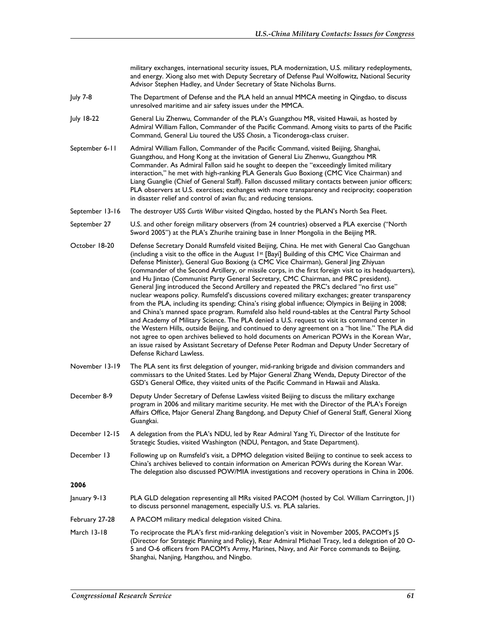military exchanges, international security issues, PLA modernization, U.S. military redeployments, and energy. Xiong also met with Deputy Secretary of Defense Paul Wolfowitz, National Security Advisor Stephen Hadley, and Under Secretary of State Nicholas Burns.

- July 7-8 The Department of Defense and the PLA held an annual MMCA meeting in Qingdao, to discuss unresolved maritime and air safety issues under the MMCA.
- July 18-22 General Liu Zhenwu, Commander of the PLA's Guangzhou MR, visited Hawaii, as hosted by Admiral William Fallon, Commander of the Pacific Command. Among visits to parts of the Pacific Command, General Liu toured the USS *Chosin*, a Ticonderoga-class cruiser.
- September 6-11 Admiral William Fallon, Commander of the Pacific Command, visited Beijing, Shanghai, Guangzhou, and Hong Kong at the invitation of General Liu Zhenwu, Guangzhou MR Commander. As Admiral Fallon said he sought to deepen the "exceedingly limited military interaction," he met with high-ranking PLA Generals Guo Boxiong (CMC Vice Chairman) and Liang Guanglie (Chief of General Staff). Fallon discussed military contacts between junior officers; PLA observers at U.S. exercises; exchanges with more transparency and reciprocity; cooperation in disaster relief and control of avian flu; and reducing tensions.

September 13-16 The destroyer USS *Curtis Wilbur* visited Qingdao, hosted by the PLAN's North Sea Fleet.

September 27 U.S. and other foreign military observers (from 24 countries) observed a PLA exercise ("North Sword 2005") at the PLA's Zhurihe training base in Inner Mongolia in the Beijing MR.

- October 18-20 Defense Secretary Donald Rumsfeld visited Beijing, China. He met with General Cao Gangchuan (including a visit to the office in the August 1st [Bayi] Building of this CMC Vice Chairman and Defense Minister), General Guo Boxiong (a CMC Vice Chairman), General Jing Zhiyuan (commander of the Second Artillery, or missile corps, in the first foreign visit to its headquarters), and Hu Jintao (Communist Party General Secretary, CMC Chairman, and PRC president). General Jing introduced the Second Artillery and repeated the PRC's declared "no first use" nuclear weapons policy. Rumsfeld's discussions covered military exchanges; greater transparency from the PLA, including its spending; China's rising global influence; Olympics in Beijing in 2008; and China's manned space program. Rumsfeld also held round-tables at the Central Party School and Academy of Military Science. The PLA denied a U.S. request to visit its command center in the Western Hills, outside Beijing, and continued to deny agreement on a "hot line." The PLA did not agree to open archives believed to hold documents on American POWs in the Korean War, an issue raised by Assistant Secretary of Defense Peter Rodman and Deputy Under Secretary of Defense Richard Lawless.
- November 13-19 The PLA sent its first delegation of younger, mid-ranking brigade and division commanders and commissars to the United States. Led by Major General Zhang Wenda, Deputy Director of the GSD's General Office, they visited units of the Pacific Command in Hawaii and Alaska.
- December 8-9 Deputy Under Secretary of Defense Lawless visited Beijing to discuss the military exchange program in 2006 and military maritime security. He met with the Director of the PLA's Foreign Affairs Office, Major General Zhang Bangdong, and Deputy Chief of General Staff, General Xiong Guangkai.
- December 12-15 A delegation from the PLA's NDU, led by Rear Admiral Yang Yi, Director of the Institute for Strategic Studies, visited Washington (NDU, Pentagon, and State Department).
- December 13 Following up on Rumsfeld's visit, a DPMO delegation visited Beijing to continue to seek access to China's archives believed to contain information on American POWs during the Korean War. The delegation also discussed POW/MIA investigations and recovery operations in China in 2006.

- January 9-13 PLA GLD delegation representing all MRs visited PACOM (hosted by Col. William Carrington, J1) to discuss personnel management, especially U.S. vs. PLA salaries.
- February 27-28 A PACOM military medical delegation visited China.
- March 13-18 To reciprocate the PLA's first mid-ranking delegation's visit in November 2005, PACOM's J5 (Director for Strategic Planning and Policy), Rear Admiral Michael Tracy, led a delegation of 20 O-5 and O-6 officers from PACOM's Army, Marines, Navy, and Air Force commands to Beijing, Shanghai, Nanjing, Hangzhou, and Ningbo.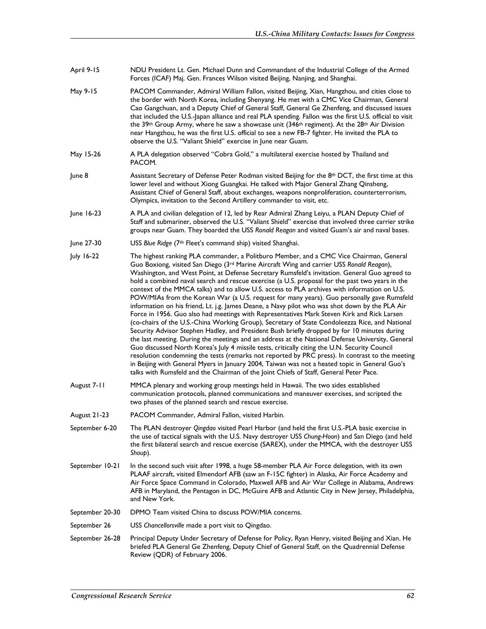- April 9-15 NDU President Lt. Gen. Michael Dunn and Commandant of the Industrial College of the Armed Forces (ICAF) Maj. Gen. Frances Wilson visited Beijing, Nanjing, and Shanghai.
- May 9-15 PACOM Commander, Admiral William Fallon, visited Beijing, Xian, Hangzhou, and cities close to the border with North Korea, including Shenyang. He met with a CMC Vice Chairman, General Cao Gangchuan, and a Deputy Chief of General Staff, General Ge Zhenfeng, and discussed issues that included the U.S.-Japan alliance and real PLA spending. Fallon was the first U.S. official to visit the 39<sup>th</sup> Group Army, where he saw a showcase unit (346<sup>th</sup> regiment). At the 28<sup>th</sup> Air Division near Hangzhou, he was the first U.S. official to see a new FB-7 fighter. He invited the PLA to observe the U.S. "Valiant Shield" exercise in June near Guam.
- May 15-26 A PLA delegation observed "Cobra Gold," a multilateral exercise hosted by Thailand and PACOM.
- June 8 Assistant Secretary of Defense Peter Rodman visited Beijing for the 8<sup>th</sup> DCT, the first time at this lower level and without Xiong Guangkai. He talked with Major General Zhang Qinsheng, Assistant Chief of General Staff, about exchanges, weapons nonproliferation, counterterrorism, Olympics, invitation to the Second Artillery commander to visit, etc.
- June 16-23 A PLA and civilian delegation of 12, led by Rear Admiral Zhang Leiyu, a PLAN Deputy Chief of Staff and submariner, observed the U.S. "Valiant Shield" exercise that involved three carrier strike groups near Guam. They boarded the USS *Ronald Reagan* and visited Guam's air and naval bases.
- June 27-30 USS *Blue Ridge* (7th Fleet's command ship) visited Shanghai.
- July 16-22 The highest ranking PLA commander, a Politburo Member, and a CMC Vice Chairman, General Guo Boxiong, visited San Diego (3rd Marine Aircraft Wing and carrier USS *Ronald Reagan*), Washington, and West Point, at Defense Secretary Rumsfeld's invitation. General Guo agreed to hold a combined naval search and rescue exercise (a U.S. proposal for the past two years in the context of the MMCA talks) and to allow U.S. access to PLA archives with information on U.S. POW/MIAs from the Korean War (a U.S. request for many years). Guo personally gave Rumsfeld information on his friend, Lt. j.g. James Deane, a Navy pilot who was shot down by the PLA Air Force in 1956. Guo also had meetings with Representatives Mark Steven Kirk and Rick Larsen (co-chairs of the U.S.-China Working Group), Secretary of State Condoleezza Rice, and National Security Advisor Stephen Hadley, and President Bush briefly dropped by for 10 minutes during the last meeting. During the meetings and an address at the National Defense University, General Guo discussed North Korea's July 4 missile tests, critically citing the U.N. Security Council resolution condemning the tests (remarks not reported by PRC press). In contrast to the meeting in Beijing with General Myers in January 2004, Taiwan was not a heated topic in General Guo's talks with Rumsfeld and the Chairman of the Joint Chiefs of Staff, General Peter Pace.
- August 7-11 MMCA plenary and working group meetings held in Hawaii. The two sides established communication protocols, planned communications and maneuver exercises, and scripted the two phases of the planned search and rescue exercise.
- August 21-23 PACOM Commander, Admiral Fallon, visited Harbin.
- September 6-20 The PLAN destroyer *Qingdao* visited Pearl Harbor (and held the first U.S.-PLA basic exercise in the use of tactical signals with the U.S. Navy destroyer USS *Chung-Hoon*) and San Diego (and held the first bilateral search and rescue exercise (SAREX), under the MMCA, with the destroyer USS *Shoup*).
- September 10-21 In the second such visit after 1998, a huge 58-member PLA Air Force delegation, with its own PLAAF aircraft, visited Elmendorf AFB (saw an F-15C fighter) in Alaska, Air Force Academy and Air Force Space Command in Colorado, Maxwell AFB and Air War College in Alabama, Andrews AFB in Maryland, the Pentagon in DC, McGuire AFB and Atlantic City in New Jersey, Philadelphia, and New York.
- September 20-30 DPMO Team visited China to discuss POW/MIA concerns.
- September 26 USS *Chancellorsville* made a port visit to Qingdao.
- September 26-28 Principal Deputy Under Secretary of Defense for Policy, Ryan Henry, visited Beijing and Xian. He briefed PLA General Ge Zhenfeng, Deputy Chief of General Staff, on the Quadrennial Defense Review (QDR) of February 2006.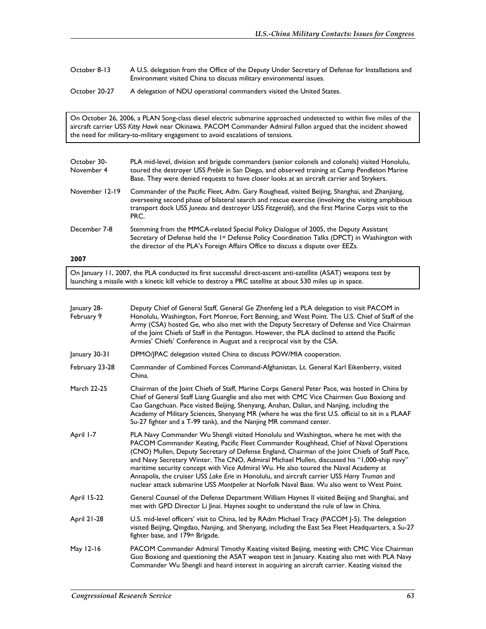October 8-13 A U.S. delegation from the Office of the Deputy Under Secretary of Defense for Installations and Environment visited China to discuss military environmental issues.

October 20-27 A delegation of NDU operational commanders visited the United States.

On October 26, 2006, a PLAN Song-class diesel electric submarine approached undetected to within five miles of the aircraft carrier USS *Kitty Hawk* near Okinawa. PACOM Commander Admiral Fallon argued that the incident showed the need for military-to-military engagement to avoid escalations of tensions.

| October 30-<br>November 4 | PLA mid-level, division and brigade commanders (senior colonels and colonels) visited Honolulu,<br>toured the destroyer USS Preble in San Diego, and observed training at Camp Pendleton Marine<br>Base. They were denied requests to have closer looks at an aircraft carrier and Strykers.                    |
|---------------------------|-----------------------------------------------------------------------------------------------------------------------------------------------------------------------------------------------------------------------------------------------------------------------------------------------------------------|
| November 12-19            | Commander of the Pacific Fleet, Adm. Gary Roughead, visited Beijing, Shanghai, and Zhanjiang,<br>overseeing second phase of bilateral search and rescue exercise (involving the visiting amphibious<br>transport dock USS Juneau and destroyer USS Fitzgerald), and the first Marine Corps visit to the<br>PRC. |
| December 7-8              | Stemming from the MMCA-related Special Policy Dialogue of 2005, the Deputy Assistant<br>Secretary of Defense held the 1 <sup>st</sup> Defense Policy Coordination Talks (DPCT) in Washington with<br>the director of the PLA's Foreign Affairs Office to discuss a dispute over EEZs.                           |
| 2007                      |                                                                                                                                                                                                                                                                                                                 |

On January 11, 2007, the PLA conducted its first successful direct-ascent anti-satellite (ASAT) weapons test by launching a missile with a kinetic kill vehicle to destroy a PRC satellite at about 530 miles up in space.

| January 28-<br>February 9 | Deputy Chief of General Staff, General Ge Zhenfeng led a PLA delegation to visit PACOM in<br>Honolulu, Washington, Fort Monroe, Fort Benning, and West Point. The U.S. Chief of Staff of the<br>Army (CSA) hosted Ge, who also met with the Deputy Secretary of Defense and Vice Chairman<br>of the Joint Chiefs of Staff in the Pentagon. However, the PLA declined to attend the Pacific<br>Armies' Chiefs' Conference in August and a reciprocal visit by the CSA.                                                                                                                                                                                              |
|---------------------------|--------------------------------------------------------------------------------------------------------------------------------------------------------------------------------------------------------------------------------------------------------------------------------------------------------------------------------------------------------------------------------------------------------------------------------------------------------------------------------------------------------------------------------------------------------------------------------------------------------------------------------------------------------------------|
| January 30-31             | DPMO/IPAC delegation visited China to discuss POW/MIA cooperation.                                                                                                                                                                                                                                                                                                                                                                                                                                                                                                                                                                                                 |
| February 23-28            | Commander of Combined Forces Command-Afghanistan, Lt. General Karl Eikenberry, visited<br>China.                                                                                                                                                                                                                                                                                                                                                                                                                                                                                                                                                                   |
| March 22-25               | Chairman of the Joint Chiefs of Staff, Marine Corps General Peter Pace, was hosted in China by<br>Chief of General Staff Liang Guanglie and also met with CMC Vice Chairmen Guo Boxiong and<br>Cao Gangchuan. Pace visited Beijing, Shenyang, Anshan, Dalian, and Nanjing, including the<br>Academy of Military Sciences, Shenyang MR (where he was the first U.S. official to sit in a PLAAF<br>Su-27 fighter and a T-99 tank), and the Nanjing MR command center.                                                                                                                                                                                                |
| April 1-7                 | PLA Navy Commander Wu Shengli visited Honolulu and Washington, where he met with the<br>PACOM Commander Keating, Pacific Fleet Commander Roughhead, Chief of Naval Operations<br>(CNO) Mullen, Deputy Secretary of Defense England, Chairman of the Joint Chiefs of Staff Pace,<br>and Navy Secretary Winter. The CNO, Admiral Michael Mullen, discussed his "1,000-ship navy"<br>maritime security concept with Vice Admiral Wu. He also toured the Naval Academy at<br>Annapolis, the cruiser USS Lake Erie in Honolulu, and aircraft carrier USS Harry Truman and<br>nuclear attack submarine USS Montpelier at Norfolk Naval Base. Wu also went to West Point. |
| <b>April 15-22</b>        | General Counsel of the Defense Department William Haynes II visited Beijing and Shanghai, and<br>met with GPD Director Li Jinai. Haynes sought to understand the rule of law in China.                                                                                                                                                                                                                                                                                                                                                                                                                                                                             |
| <b>April 21-28</b>        | U.S. mid-level officers' visit to China, led by RAdm Michael Tracy (PACOM J-5). The delegation<br>visited Beijing, Qingdao, Nanjing, and Shenyang, including the East Sea Fleet Headquarters, a Su-27<br>fighter base, and 179th Brigade.                                                                                                                                                                                                                                                                                                                                                                                                                          |
| May 12-16                 | PACOM Commander Admiral Timothy Keating visited Beijing, meeting with CMC Vice Chairman<br>Guo Boxiong and questioning the ASAT weapon test in January. Keating also met with PLA Navy<br>Commander Wu Shengli and heard interest in acquiring an aircraft carrier. Keating visited the                                                                                                                                                                                                                                                                                                                                                                            |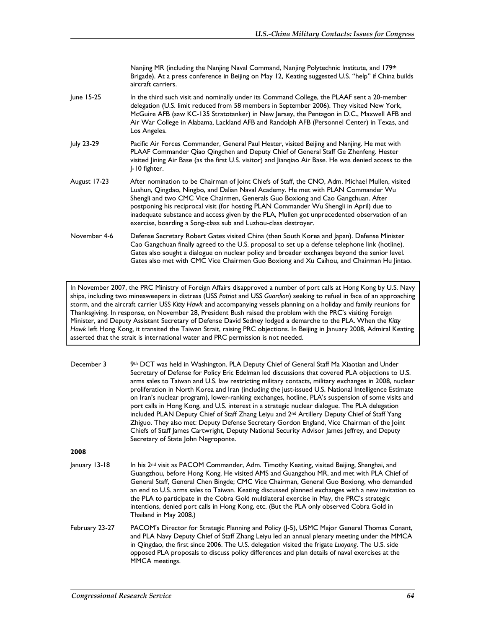Nanjing MR (including the Nanjing Naval Command, Nanjing Polytechnic Institute, and 179<sup>th</sup> Brigade). At a press conference in Beijing on May 12, Keating suggested U.S. "help" if China builds aircraft carriers.

- June 15-25 In the third such visit and nominally under its Command College, the PLAAF sent a 20-member delegation (U.S. limit reduced from 58 members in September 2006). They visited New York, McGuire AFB (saw KC-135 Stratotanker) in New Jersey, the Pentagon in D.C., Maxwell AFB and Air War College in Alabama, Lackland AFB and Randolph AFB (Personnel Center) in Texas, and Los Angeles.
- July 23-29 Pacific Air Forces Commander, General Paul Hester, visited Beijing and Nanjing. He met with PLAAF Commander Qiao Qingchen and Deputy Chief of General Staff Ge Zhenfeng. Hester visited Jining Air Base (as the first U.S. visitor) and Jianqiao Air Base. He was denied access to the J-10 fighter.
- August 17-23 After nomination to be Chairman of Joint Chiefs of Staff, the CNO, Adm. Michael Mullen, visited Lushun, Qingdao, Ningbo, and Dalian Naval Academy. He met with PLAN Commander Wu Shengli and two CMC Vice Chairmen, Generals Guo Boxiong and Cao Gangchuan. After postponing his reciprocal visit (for hosting PLAN Commander Wu Shengli in April) due to inadequate substance and access given by the PLA, Mullen got unprecedented observation of an exercise, boarding a Song-class sub and Luzhou-class destroyer.
- November 4-6 Defense Secretary Robert Gates visited China (then South Korea and Japan). Defense Minister Cao Gangchuan finally agreed to the U.S. proposal to set up a defense telephone link (hotline). Gates also sought a dialogue on nuclear policy and broader exchanges beyond the senior level. Gates also met with CMC Vice Chairmen Guo Boxiong and Xu Caihou, and Chairman Hu Jintao.

In November 2007, the PRC Ministry of Foreign Affairs disapproved a number of port calls at Hong Kong by U.S. Navy ships, including two minesweepers in distress (USS *Patriot* and USS *Guardian*) seeking to refuel in face of an approaching storm, and the aircraft carrier USS *Kitty Hawk* and accompanying vessels planning on a holiday and family reunions for Thanksgiving. In response, on November 28, President Bush raised the problem with the PRC's visiting Foreign Minister, and Deputy Assistant Secretary of Defense David Sedney lodged a demarche to the PLA. When the *Kitty Hawk* left Hong Kong, it transited the Taiwan Strait, raising PRC objections. In Beijing in January 2008, Admiral Keating asserted that the strait is international water and PRC permission is not needed.

| December 3     | 9th DCT was held in Washington. PLA Deputy Chief of General Staff Ma Xiaotian and Under<br>Secretary of Defense for Policy Eric Edelman led discussions that covered PLA objections to U.S.<br>arms sales to Taiwan and U.S. law restricting military contacts, military exchanges in 2008, nuclear<br>proliferation in North Korea and Iran (including the just-issued U.S. National Intelligence Estimate<br>on Iran's nuclear program), lower-ranking exchanges, hotline, PLA's suspension of some visits and<br>port calls in Hong Kong, and U.S. interest in a strategic nuclear dialogue. The PLA delegation<br>included PLAN Deputy Chief of Staff Zhang Leiyu and 2 <sup>nd</sup> Artillery Deputy Chief of Staff Yang<br>Zhiguo. They also met: Deputy Defense Secretary Gordon England, Vice Chairman of the Joint<br>Chiefs of Staff James Cartwright, Deputy National Security Advisor James Jeffrey, and Deputy<br>Secretary of State John Negroponte. |
|----------------|---------------------------------------------------------------------------------------------------------------------------------------------------------------------------------------------------------------------------------------------------------------------------------------------------------------------------------------------------------------------------------------------------------------------------------------------------------------------------------------------------------------------------------------------------------------------------------------------------------------------------------------------------------------------------------------------------------------------------------------------------------------------------------------------------------------------------------------------------------------------------------------------------------------------------------------------------------------------|
| 2008           |                                                                                                                                                                                                                                                                                                                                                                                                                                                                                                                                                                                                                                                                                                                                                                                                                                                                                                                                                                     |
| January 13-18  | In his 2 <sup>nd</sup> visit as PACOM Commander, Adm. Timothy Keating, visited Beijing, Shanghai, and<br>Guangzhou, before Hong Kong. He visited AMS and Guangzhou MR, and met with PLA Chief of<br>General Staff, General Chen Bingde; CMC Vice Chairman, General Guo Boxiong, who demanded<br>an end to U.S. arms sales to Taiwan. Keating discussed planned exchanges with a new invitation to<br>the PLA to participate in the Cobra Gold multilateral exercise in May, the PRC's strategic<br>intentions, denied port calls in Hong Kong, etc. (But the PLA only observed Cobra Gold in<br>Thailand in May 2008.)                                                                                                                                                                                                                                                                                                                                              |
| February 23-27 | PACOM's Director for Strategic Planning and Policy (J-5), USMC Major General Thomas Conant,<br>and PLA Navy Deputy Chief of Staff Zhang Leiyu led an annual plenary meeting under the MMCA<br>in Qingdao, the first since 2006. The U.S. delegation visited the frigate Luoyang. The U.S. side<br>opposed PLA proposals to discuss policy differences and plan details of naval exercises at the<br>MMCA meetings.                                                                                                                                                                                                                                                                                                                                                                                                                                                                                                                                                  |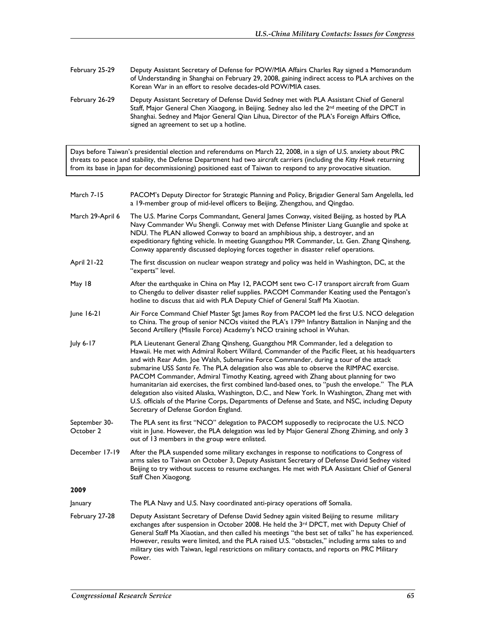- February 25-29 Deputy Assistant Secretary of Defense for POW/MIA Affairs Charles Ray signed a Memorandum of Understanding in Shanghai on February 29, 2008, gaining indirect access to PLA archives on the Korean War in an effort to resolve decades-old POW/MIA cases.
- February 26-29 Deputy Assistant Secretary of Defense David Sedney met with PLA Assistant Chief of General Staff, Major General Chen Xiaogong, in Beijing. Sedney also led the 2<sup>nd</sup> meeting of the DPCT in Shanghai. Sedney and Major General Qian Lihua, Director of the PLA's Foreign Affairs Office, signed an agreement to set up a hotline.

Days before Taiwan's presidential election and referendums on March 22, 2008, in a sign of U.S. anxiety about PRC threats to peace and stability, the Defense Department had two aircraft carriers (including the *Kitty Hawk* returning from its base in Japan for decommissioning) positioned east of Taiwan to respond to any provocative situation.

| March 7-15                 | PACOM's Deputy Director for Strategic Planning and Policy, Brigadier General Sam Angelella, led<br>a 19-member group of mid-level officers to Beijing, Zhengzhou, and Qingdao.                                                                                                                                                                                                                                                                                                                                                                                                                                                                                                                                                                                                                                 |
|----------------------------|----------------------------------------------------------------------------------------------------------------------------------------------------------------------------------------------------------------------------------------------------------------------------------------------------------------------------------------------------------------------------------------------------------------------------------------------------------------------------------------------------------------------------------------------------------------------------------------------------------------------------------------------------------------------------------------------------------------------------------------------------------------------------------------------------------------|
| March 29-April 6           | The U.S. Marine Corps Commandant, General James Conway, visited Beijing, as hosted by PLA<br>Navy Commander Wu Shengli. Conway met with Defense Minister Liang Guanglie and spoke at<br>NDU. The PLAN allowed Conway to board an amphibious ship, a destroyer, and an<br>expeditionary fighting vehicle. In meeting Guangzhou MR Commander, Lt. Gen. Zhang Qinsheng,<br>Conway apparently discussed deploying forces together in disaster relief operations.                                                                                                                                                                                                                                                                                                                                                   |
| <b>April 21-22</b>         | The first discussion on nuclear weapon strategy and policy was held in Washington, DC, at the<br>"experts" level.                                                                                                                                                                                                                                                                                                                                                                                                                                                                                                                                                                                                                                                                                              |
| May 18                     | After the earthquake in China on May 12, PACOM sent two C-17 transport aircraft from Guam<br>to Chengdu to deliver disaster relief supplies. PACOM Commander Keating used the Pentagon's<br>hotline to discuss that aid with PLA Deputy Chief of General Staff Ma Xiaotian.                                                                                                                                                                                                                                                                                                                                                                                                                                                                                                                                    |
| June 16-21                 | Air Force Command Chief Master Sgt James Roy from PACOM led the first U.S. NCO delegation<br>to China. The group of senior NCOs visited the PLA's 179th Infantry Battalion in Nanjing and the<br>Second Artillery (Missile Force) Academy's NCO training school in Wuhan.                                                                                                                                                                                                                                                                                                                                                                                                                                                                                                                                      |
| July 6-17                  | PLA Lieutenant General Zhang Qinsheng, Guangzhou MR Commander, led a delegation to<br>Hawaii. He met with Admiral Robert Willard, Commander of the Pacific Fleet, at his headquarters<br>and with Rear Adm. Joe Walsh, Submarine Force Commander, during a tour of the attack<br>submarine USS Santa Fe. The PLA delegation also was able to observe the RIMPAC exercise.<br>PACOM Commander, Admiral Timothy Keating, agreed with Zhang about planning for two<br>humanitarian aid exercises, the first combined land-based ones, to "push the envelope." The PLA<br>delegation also visited Alaska, Washington, D.C., and New York. In Washington, Zhang met with<br>U.S. officials of the Marine Corps, Departments of Defense and State, and NSC, including Deputy<br>Secretary of Defense Gordon England. |
| September 30-<br>October 2 | The PLA sent its first "NCO" delegation to PACOM supposedly to reciprocate the U.S. NCO<br>visit in June. However, the PLA delegation was led by Major General Zhong Zhiming, and only 3<br>out of 13 members in the group were enlisted.                                                                                                                                                                                                                                                                                                                                                                                                                                                                                                                                                                      |
| December 17-19             | After the PLA suspended some military exchanges in response to notifications to Congress of<br>arms sales to Taiwan on October 3, Deputy Assistant Secretary of Defense David Sedney visited<br>Beijing to try without success to resume exchanges. He met with PLA Assistant Chief of General<br>Staff Chen Xiaogong.                                                                                                                                                                                                                                                                                                                                                                                                                                                                                         |
| 2009                       |                                                                                                                                                                                                                                                                                                                                                                                                                                                                                                                                                                                                                                                                                                                                                                                                                |
| January                    | The PLA Navy and U.S. Navy coordinated anti-piracy operations off Somalia.                                                                                                                                                                                                                                                                                                                                                                                                                                                                                                                                                                                                                                                                                                                                     |
| February 27-28             | Deputy Assistant Secretary of Defense David Sedney again visited Beijing to resume military<br>exchanges after suspension in October 2008. He held the 3rd DPCT, met with Deputy Chief of<br>General Staff Ma Xiaotian, and then called his meetings "the best set of talks" he has experienced.<br>However, results were limited, and the PLA raised U.S. "obstacles," including arms sales to and<br>military ties with Taiwan, legal restrictions on military contacts, and reports on PRC Military<br>Power.                                                                                                                                                                                                                                                                                               |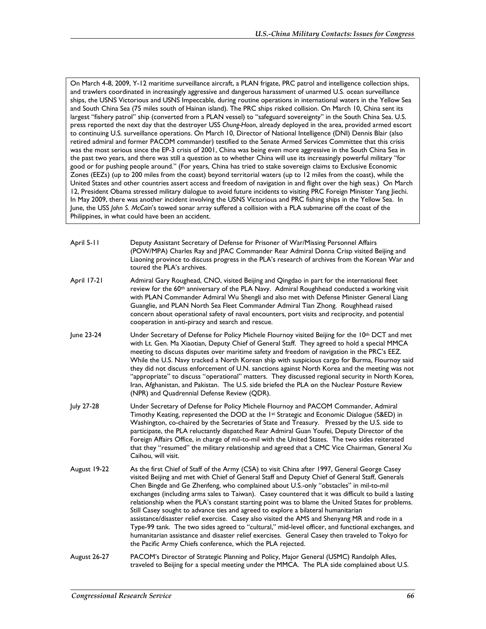On March 4-8, 2009, Y-12 maritime surveillance aircraft, a PLAN frigate, PRC patrol and intelligence collection ships, and trawlers coordinated in increasingly aggressive and dangerous harassment of unarmed U.S. ocean surveillance ships, the USNS Victorious and USNS Impeccable, during routine operations in international waters in the Yellow Sea and South China Sea (75 miles south of Hainan island). The PRC ships risked collision. On March 10, China sent its largest "fishery patrol" ship (converted from a PLAN vessel) to "safeguard sovereignty" in the South China Sea. U.S. press reported the next day that the destroyer USS *Chung-Hoon*, already deployed in the area, provided armed escort to continuing U.S. surveillance operations. On March 10, Director of National Intelligence (DNI) Dennis Blair (also retired admiral and former PACOM commander) testified to the Senate Armed Services Committee that this crisis was the most serious since the EP-3 crisis of 2001, China was being even more aggressive in the South China Sea in the past two years, and there was still a question as to whether China will use its increasingly powerful military "for good or for pushing people around." (For years, China has tried to stake sovereign claims to Exclusive Economic Zones (EEZs) (up to 200 miles from the coast) beyond territorial waters (up to 12 miles from the coast), while the United States and other countries assert access and freedom of navigation in and flight over the high seas.) On March 12, President Obama stressed military dialogue to avoid future incidents to visiting PRC Foreign Minister Yang Jiechi. In May 2009, there was another incident involving the USNS Victorious and PRC fishing ships in the Yellow Sea. In June, the USS *John S. McCain*'s towed sonar array suffered a collision with a PLA submarine off the coast of the Philippines, in what could have been an accident.

| April 5-11 | Deputy Assistant Secretary of Defense for Prisoner of War/Missing Personnel Affairs             |
|------------|-------------------------------------------------------------------------------------------------|
|            | (POW/MPA) Charles Ray and JPAC Commander Rear Admiral Donna Crisp visited Beijing and           |
|            | Liaoning province to discuss progress in the PLA's research of archives from the Korean War and |
|            | toured the PLA's archives.                                                                      |

- April 17-21 Admiral Gary Roughead, CNO, visited Beijing and Qingdao in part for the international fleet review for the 60th anniversary of the PLA Navy. Admiral Roughhead conducted a working visit with PLAN Commander Admiral Wu Shengli and also met with Defense Minister General Liang Guanglie, and PLAN North Sea Fleet Commander Admiral Tian Zhong. Roughhead raised concern about operational safety of naval encounters, port visits and reciprocity, and potential cooperation in anti-piracy and search and rescue.
- June 23-24 Under Secretary of Defense for Policy Michele Flournoy visited Beijing for the 10th DCT and met with Lt. Gen. Ma Xiaotian, Deputy Chief of General Staff. They agreed to hold a special MMCA meeting to discuss disputes over maritime safety and freedom of navigation in the PRC's EEZ. While the U.S. Navy tracked a North Korean ship with suspicious cargo for Burma, Flournoy said they did not discuss enforcement of U.N. sanctions against North Korea and the meeting was not "appropriate" to discuss "operational" matters. They discussed regional security in North Korea, Iran, Afghanistan, and Pakistan. The U.S. side briefed the PLA on the Nuclear Posture Review (NPR) and Quadrennial Defense Review (QDR).
- July 27-28 Under Secretary of Defense for Policy Michele Flournoy and PACOM Commander, Admiral Timothy Keating, represented the DOD at the 1st Strategic and Economic Dialogue (S&ED) in Washington, co-chaired by the Secretaries of State and Treasury. Pressed by the U.S. side to participate, the PLA reluctantly dispatched Rear Admiral Guan Youfei, Deputy Director of the Foreign Affairs Office, in charge of mil-to-mil with the United States. The two sides reiterated that they "resumed" the military relationship and agreed that a CMC Vice Chairman, General Xu Caihou, will visit.
- August 19-22 As the first Chief of Staff of the Army (CSA) to visit China after 1997, General George Casey visited Beijing and met with Chief of General Staff and Deputy Chief of General Staff, Generals Chen Bingde and Ge Zhenfeng, who complained about U.S.-only "obstacles" in mil-to-mil exchanges (including arms sales to Taiwan). Casey countered that it was difficult to build a lasting relationship when the PLA's constant starting point was to blame the United States for problems. Still Casey sought to advance ties and agreed to explore a bilateral humanitarian assistance/disaster relief exercise. Casey also visited the AMS and Shenyang MR and rode in a Type-99 tank. The two sides agreed to "cultural," mid-level officer, and functional exchanges, and humanitarian assistance and disaster relief exercises. General Casey then traveled to Tokyo for the Pacific Army Chiefs conference, which the PLA rejected.
- August 26-27 PACOM's Director of Strategic Planning and Policy, Major General (USMC) Randolph Alles, traveled to Beijing for a special meeting under the MMCA. The PLA side complained about U.S.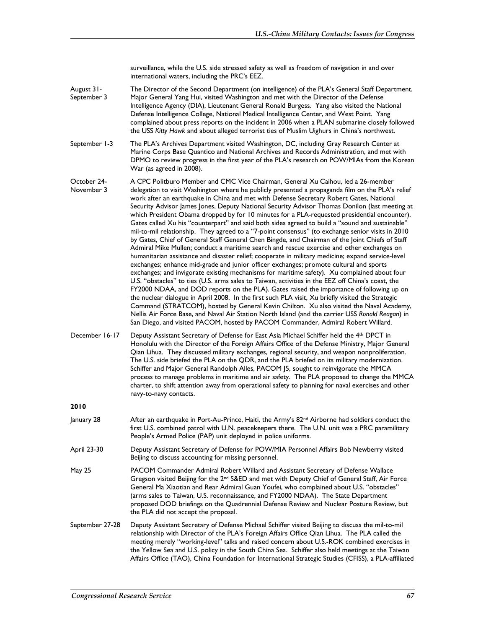surveillance, while the U.S. side stressed safety as well as freedom of navigation in and over international waters, including the PRC's EEZ.

- August 31- September 3 The Director of the Second Department (on intelligence) of the PLA's General Staff Department, Major General Yang Hui, visited Washington and met with the Director of the Defense Intelligence Agency (DIA), Lieutenant General Ronald Burgess. Yang also visited the National Defense Intelligence College, National Medical Intelligence Center, and West Point. Yang complained about press reports on the incident in 2006 when a PLAN submarine closely followed the USS *Kitty Hawk* and about alleged terrorist ties of Muslim Uighurs in China's northwest.
- September 1-3 The PLA's Archives Department visited Washington, DC, including Gray Research Center at Marine Corps Base Quantico and National Archives and Records Administration, and met with DPMO to review progress in the first year of the PLA's research on POW/MIAs from the Korean War (as agreed in 2008).
- October 24- November 3 A CPC Politburo Member and CMC Vice Chairman, General Xu Caihou, led a 26-member delegation to visit Washington where he publicly presented a propaganda film on the PLA's relief work after an earthquake in China and met with Defense Secretary Robert Gates, National Security Advisor James Jones, Deputy National Security Advisor Thomas Donilon (last meeting at which President Obama dropped by for 10 minutes for a PLA-requested presidential encounter). Gates called Xu his "counterpart" and said both sides agreed to build a "sound and sustainable" mil-to-mil relationship. They agreed to a "7-point consensus" (to exchange senior visits in 2010 by Gates, Chief of General Staff General Chen Bingde, and Chairman of the Joint Chiefs of Staff Admiral Mike Mullen; conduct a maritime search and rescue exercise and other exchanges on humanitarian assistance and disaster relief; cooperate in military medicine; expand service-level exchanges; enhance mid-grade and junior officer exchanges; promote cultural and sports exchanges; and invigorate existing mechanisms for maritime safety). Xu complained about four U.S. "obstacles" to ties (U.S. arms sales to Taiwan, activities in the EEZ off China's coast, the FY2000 NDAA, and DOD reports on the PLA). Gates raised the importance of following up on the nuclear dialogue in April 2008. In the first such PLA visit, Xu briefly visited the Strategic Command (STRATCOM), hosted by General Kevin Chilton. Xu also visited the Naval Academy, Nellis Air Force Base, and Naval Air Station North Island (and the carrier USS *Ronald Reagan*) in San Diego, and visited PACOM, hosted by PACOM Commander, Admiral Robert Willard.
- December 16-17 Deputy Assistant Secretary of Defense for East Asia Michael Schiffer held the 4th DPCT in Honolulu with the Director of the Foreign Affairs Office of the Defense Ministry, Major General Qian Lihua. They discussed military exchanges, regional security, and weapon nonproliferation. The U.S. side briefed the PLA on the QDR, and the PLA briefed on its military modernization. Schiffer and Major General Randolph Alles, PACOM J5, sought to reinvigorate the MMCA process to manage problems in maritime and air safety. The PLA proposed to change the MMCA charter, to shift attention away from operational safety to planning for naval exercises and other navy-to-navy contacts.

- $J$ anuary 28 After an earthquake in Port-Au-Prince, Haiti, the Army's 82<sup>nd</sup> Airborne had soldiers conduct the first U.S. combined patrol with U.N. peacekeepers there. The U.N. unit was a PRC paramilitary People's Armed Police (PAP) unit deployed in police uniforms.
- April 23-30 Deputy Assistant Secretary of Defense for POW/MIA Personnel Affairs Bob Newberry visited Beijing to discuss accounting for missing personnel.
- May 25 PACOM Commander Admiral Robert Willard and Assistant Secretary of Defense Wallace Gregson visited Beijing for the 2<sup>nd</sup> S&ED and met with Deputy Chief of General Staff, Air Force General Ma Xiaotian and Rear Admiral Guan Youfei, who complained about U.S. "obstacles" (arms sales to Taiwan, U.S. reconnaissance, and FY2000 NDAA). The State Department proposed DOD briefings on the Quadrennial Defense Review and Nuclear Posture Review, but the PLA did not accept the proposal.
- September 27-28 Deputy Assistant Secretary of Defense Michael Schiffer visited Beijing to discuss the mil-to-mil relationship with Director of the PLA's Foreign Affairs Office Qian Lihua. The PLA called the meeting merely "working-level" talks and raised concern about U.S.-ROK combined exercises in the Yellow Sea and U.S. policy in the South China Sea. Schiffer also held meetings at the Taiwan Affairs Office (TAO), China Foundation for International Strategic Studies (CFISS), a PLA-affiliated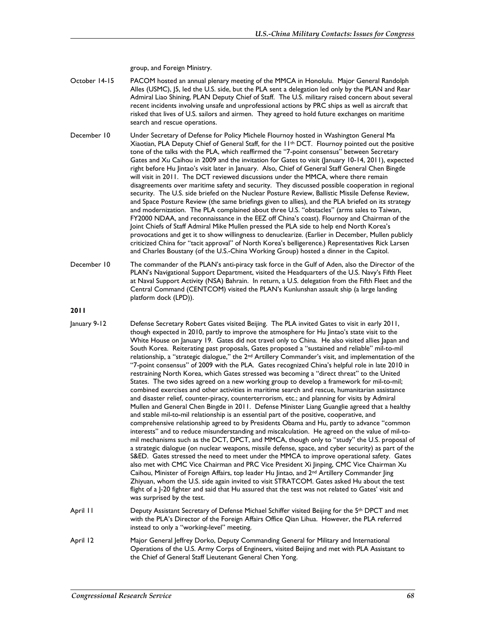group, and Foreign Ministry.

- October 14-15 PACOM hosted an annual plenary meeting of the MMCA in Honolulu. Major General Randolph Alles (USMC), J5, led the U.S. side, but the PLA sent a delegation led only by the PLAN and Rear Admiral Liao Shining, PLAN Deputy Chief of Staff. The U.S. military raised concern about several recent incidents involving unsafe and unprofessional actions by PRC ships as well as aircraft that risked that lives of U.S. sailors and airmen. They agreed to hold future exchanges on maritime search and rescue operations.
- December 10 Under Secretary of Defense for Policy Michele Flournoy hosted in Washington General Ma Xiaotian, PLA Deputy Chief of General Staff, for the 11th DCT. Flournoy pointed out the positive tone of the talks with the PLA, which reaffirmed the "7-point consensus" between Secretary Gates and Xu Caihou in 2009 and the invitation for Gates to visit (January 10-14, 2011), expected right before Hu Jintao's visit later in January. Also, Chief of General Staff General Chen Bingde will visit in 2011. The DCT reviewed discussions under the MMCA, where there remain disagreements over maritime safety and security. They discussed possible cooperation in regional security. The U.S. side briefed on the Nuclear Posture Review, Ballistic Missile Defense Review, and Space Posture Review (the same briefings given to allies), and the PLA briefed on its strategy and modernization. The PLA complained about three U.S. "obstacles" (arms sales to Taiwan, FY2000 NDAA, and reconnaissance in the EEZ off China's coast). Flournoy and Chairman of the Joint Chiefs of Staff Admiral Mike Mullen pressed the PLA side to help end North Korea's provocations and get it to show willingness to denuclearize. (Earlier in December, Mullen publicly criticized China for "tacit approval" of North Korea's belligerence.) Representatives Rick Larsen and Charles Boustany (of the U.S.-China Working Group) hosted a dinner in the Capitol.
- December 10 The commander of the PLAN's anti-piracy task force in the Gulf of Aden, also the Director of the PLAN's Navigational Support Department, visited the Headquarters of the U.S. Navy's Fifth Fleet at Naval Support Activity (NSA) Bahrain. In return, a U.S. delegation from the Fifth Fleet and the Central Command (CENTCOM) visited the PLAN's Kunlunshan assault ship (a large landing platform dock (LPD)).
- **2011**
- January 9-12 Defense Secretary Robert Gates visited Beijing. The PLA invited Gates to visit in early 2011, though expected in 2010, partly to improve the atmosphere for Hu Jintao's state visit to the White House on January 19. Gates did not travel only to China. He also visited allies Japan and South Korea. Reiterating past proposals, Gates proposed a "sustained and reliable" mil-to-mil relationship, a "strategic dialogue," the 2nd Artillery Commander's visit, and implementation of the "7-point consensus" of 2009 with the PLA. Gates recognized China's helpful role in late 2010 in restraining North Korea, which Gates stressed was becoming a "direct threat" to the United States. The two sides agreed on a new working group to develop a framework for mil-to-mil; combined exercises and other activities in maritime search and rescue, humanitarian assistance and disaster relief, counter-piracy, counterterrorism, etc.; and planning for visits by Admiral Mullen and General Chen Bingde in 2011. Defense Minister Liang Guanglie agreed that a healthy and stable mil-to-mil relationship is an essential part of the positive, cooperative, and comprehensive relationship agreed to by Presidents Obama and Hu, partly to advance "common interests" and to reduce misunderstanding and miscalculation. He agreed on the value of mil-tomil mechanisms such as the DCT, DPCT, and MMCA, though only to "study" the U.S. proposal of a strategic dialogue (on nuclear weapons, missile defense, space, and cyber security) as part of the S&ED. Gates stressed the need to meet under the MMCA to improve operational safety. Gates also met with CMC Vice Chairman and PRC Vice President Xi Jinping, CMC Vice Chairman Xu Caihou, Minister of Foreign Affairs, top leader Hu Jintao, and 2<sup>nd</sup> Artillery Commander Jing Zhiyuan, whom the U.S. side again invited to visit STRATCOM. Gates asked Hu about the test flight of a J-20 fighter and said that Hu assured that the test was not related to Gates' visit and was surprised by the test.
- April 11 Deputy Assistant Secretary of Defense Michael Schiffer visited Beijing for the 5<sup>th</sup> DPCT and met with the PLA's Director of the Foreign Affairs Office Qian Lihua. However, the PLA referred instead to only a "working-level" meeting.
- April 12 Major General Jeffrey Dorko, Deputy Commanding General for Military and International Operations of the U.S. Army Corps of Engineers, visited Beijing and met with PLA Assistant to the Chief of General Staff Lieutenant General Chen Yong.